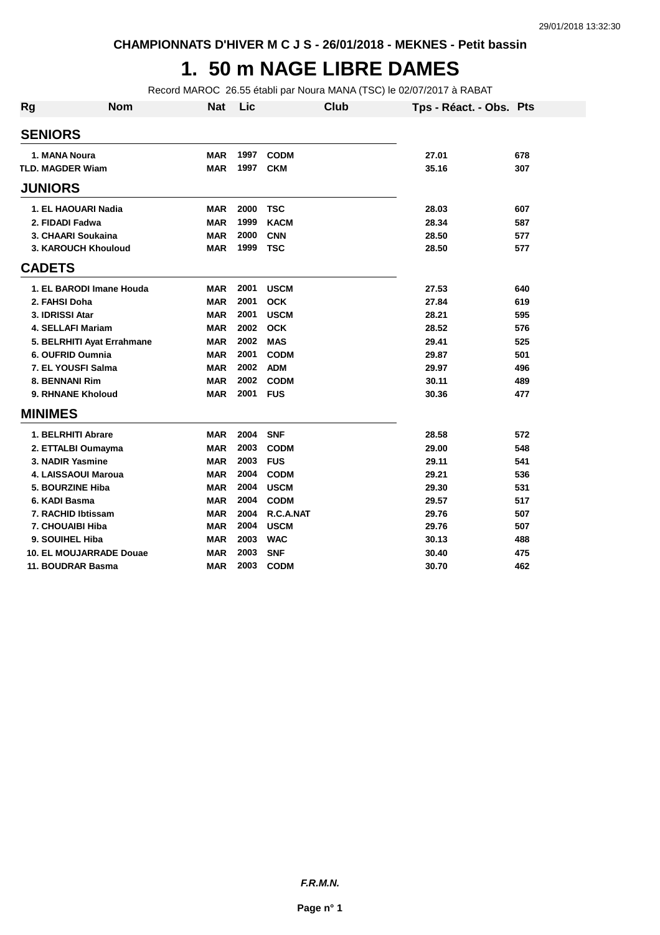#### **1. 50 m NAGE LIBRE DAMES**

Record MAROC 26.55 établi par Noura MANA (TSC) le 02/07/2017 à RABAT

| <b>Rg</b>               | <b>Nom</b>                     | <b>Nat</b> | Lic  | <b>Club</b> | Tps - Réact. - Obs. Pts |     |
|-------------------------|--------------------------------|------------|------|-------------|-------------------------|-----|
| <b>SENIORS</b>          |                                |            |      |             |                         |     |
| 1. MANA Noura           |                                | <b>MAR</b> | 1997 | <b>CODM</b> | 27.01                   | 678 |
| <b>TLD. MAGDER Wiam</b> |                                | <b>MAR</b> | 1997 | <b>CKM</b>  | 35.16                   | 307 |
| <b>JUNIORS</b>          |                                |            |      |             |                         |     |
|                         | 1. EL HAOUARI Nadia            | <b>MAR</b> | 2000 | <b>TSC</b>  | 28.03                   | 607 |
| 2. FIDADI Fadwa         |                                | <b>MAR</b> | 1999 | <b>KACM</b> | 28.34                   | 587 |
|                         | 3. CHAARI Soukaina             | <b>MAR</b> | 2000 | <b>CNN</b>  | 28.50                   | 577 |
|                         | 3. KAROUCH Khouloud            | <b>MAR</b> | 1999 | <b>TSC</b>  | 28.50                   | 577 |
| <b>CADETS</b>           |                                |            |      |             |                         |     |
|                         | 1. EL BARODI Imane Houda       | <b>MAR</b> | 2001 | <b>USCM</b> | 27.53                   | 640 |
| 2. FAHSI Doha           |                                | <b>MAR</b> | 2001 | <b>OCK</b>  | 27.84                   | 619 |
| 3. IDRISSI Atar         |                                | <b>MAR</b> | 2001 | <b>USCM</b> | 28.21                   | 595 |
|                         | <b>4. SELLAFI Mariam</b>       | <b>MAR</b> | 2002 | <b>OCK</b>  | 28.52                   | 576 |
|                         | 5. BELRHITI Ayat Errahmane     | <b>MAR</b> | 2002 | <b>MAS</b>  | 29.41                   | 525 |
|                         | 6. OUFRID Oumnia               | <b>MAR</b> | 2001 | <b>CODM</b> | 29.87                   | 501 |
|                         | 7. EL YOUSFI Salma             | <b>MAR</b> | 2002 | <b>ADM</b>  | 29.97                   | 496 |
| 8. BENNANI Rim          |                                | <b>MAR</b> | 2002 | <b>CODM</b> | 30.11                   | 489 |
|                         | 9. RHNANE Kholoud              | <b>MAR</b> | 2001 | <b>FUS</b>  | 30.36                   | 477 |
| <b>MINIMES</b>          |                                |            |      |             |                         |     |
|                         | 1. BELRHITI Abrare             | <b>MAR</b> | 2004 | <b>SNF</b>  | 28.58                   | 572 |
|                         | 2. ETTALBI Oumayma             | <b>MAR</b> | 2003 | <b>CODM</b> | 29.00                   | 548 |
|                         | 3. NADIR Yasmine               | <b>MAR</b> | 2003 | <b>FUS</b>  | 29.11                   | 541 |
|                         | 4. LAISSAOUI Maroua            | <b>MAR</b> | 2004 | <b>CODM</b> | 29.21                   | 536 |
|                         | 5. BOURZINE Hiba               | <b>MAR</b> | 2004 | <b>USCM</b> | 29.30                   | 531 |
| 6. KADI Basma           |                                | <b>MAR</b> | 2004 | <b>CODM</b> | 29.57                   | 517 |
|                         | 7. RACHID Ibtissam             | <b>MAR</b> | 2004 | R.C.A.NAT   | 29.76                   | 507 |
|                         | 7. CHOUAIBI Hiba               | <b>MAR</b> | 2004 | <b>USCM</b> | 29.76                   | 507 |
| 9. SOUIHEL Hiba         |                                | <b>MAR</b> | 2003 | <b>WAC</b>  | 30.13                   | 488 |
|                         | <b>10. EL MOUJARRADE Douae</b> | <b>MAR</b> | 2003 | <b>SNF</b>  | 30.40                   | 475 |
|                         | 11. BOUDRAR Basma              | <b>MAR</b> | 2003 | <b>CODM</b> | 30.70                   | 462 |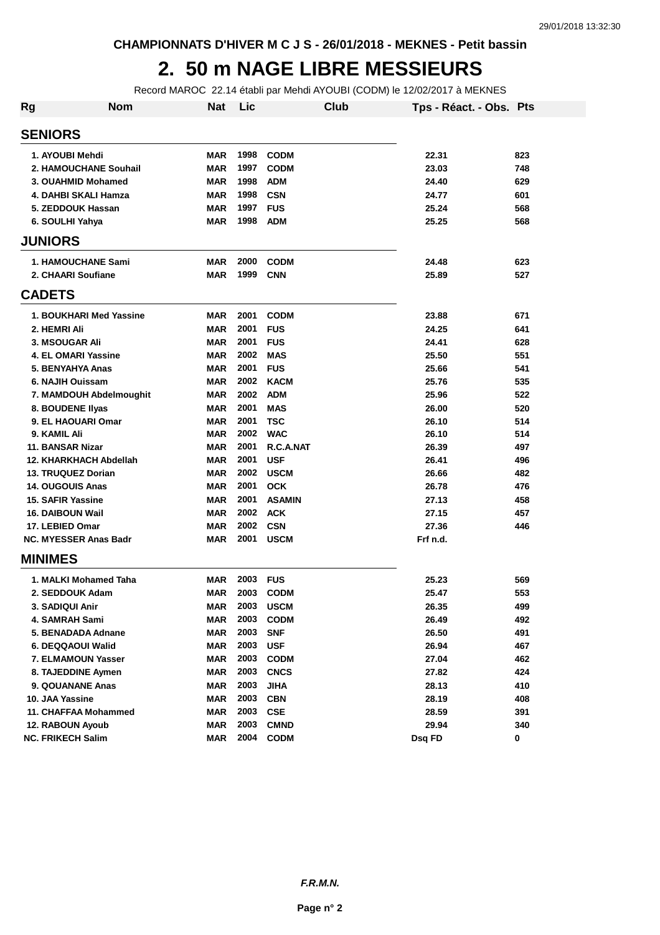#### **2. 50 m NAGE LIBRE MESSIEURS**

Record MAROC 22.14 établi par Mehdi AYOUBI (CODM) le 12/02/2017 à MEKNES

| Rg | <b>Nom</b>                   | Nat        | Lic  |               | Club | Tps - Réact. - Obs. Pts |     |
|----|------------------------------|------------|------|---------------|------|-------------------------|-----|
|    | <b>SENIORS</b>               |            |      |               |      |                         |     |
|    | 1. AYOUBI Mehdi              | MAR        | 1998 | <b>CODM</b>   |      | 22.31                   | 823 |
|    | 2. HAMOUCHANE Souhail        | <b>MAR</b> | 1997 | <b>CODM</b>   |      | 23.03                   | 748 |
|    | 3. OUAHMID Mohamed           | <b>MAR</b> | 1998 | <b>ADM</b>    |      | 24.40                   | 629 |
|    | 4. DAHBI SKALI Hamza         | <b>MAR</b> | 1998 | <b>CSN</b>    |      | 24.77                   | 601 |
|    | 5. ZEDDOUK Hassan            | <b>MAR</b> | 1997 | <b>FUS</b>    |      | 25.24                   | 568 |
|    | 6. SOULHI Yahya              | <b>MAR</b> | 1998 | <b>ADM</b>    |      | 25.25                   | 568 |
|    | <b>JUNIORS</b>               |            |      |               |      |                         |     |
|    | <b>1. HAMOUCHANE Sami</b>    | <b>MAR</b> | 2000 | <b>CODM</b>   |      | 24.48                   | 623 |
|    | 2. CHAARI Soufiane           | MAR        | 1999 | <b>CNN</b>    |      | 25.89                   | 527 |
|    | <b>CADETS</b>                |            |      |               |      |                         |     |
|    | 1. BOUKHARI Med Yassine      | <b>MAR</b> | 2001 | <b>CODM</b>   |      | 23.88                   | 671 |
|    | 2. HEMRI Ali                 | MAR        | 2001 | <b>FUS</b>    |      | 24.25                   | 641 |
|    | 3. MSOUGAR Ali               | <b>MAR</b> | 2001 | <b>FUS</b>    |      | 24.41                   | 628 |
|    | 4. EL OMARI Yassine          | <b>MAR</b> | 2002 | <b>MAS</b>    |      | 25.50                   | 551 |
|    | 5. BENYAHYA Anas             | MAR        | 2001 | <b>FUS</b>    |      | 25.66                   | 541 |
|    | 6. NAJIH Ouissam             | <b>MAR</b> | 2002 | <b>KACM</b>   |      | 25.76                   | 535 |
|    | 7. MAMDOUH Abdelmoughit      | <b>MAR</b> | 2002 | <b>ADM</b>    |      | 25.96                   | 522 |
|    | 8. BOUDENE IIyas             | <b>MAR</b> | 2001 | MAS           |      | 26.00                   | 520 |
|    | 9. EL HAOUARI Omar           | <b>MAR</b> | 2001 | <b>TSC</b>    |      | 26.10                   | 514 |
|    | 9. KAMIL Ali                 | <b>MAR</b> | 2002 | <b>WAC</b>    |      | 26.10                   | 514 |
|    | 11. BANSAR Nizar             | <b>MAR</b> | 2001 | R.C.A.NAT     |      | 26.39                   | 497 |
|    | 12. KHARKHACH Abdellah       | <b>MAR</b> | 2001 | <b>USF</b>    |      | 26.41                   | 496 |
|    | 13. TRUQUEZ Dorian           | <b>MAR</b> | 2002 | <b>USCM</b>   |      | 26.66                   | 482 |
|    | <b>14. OUGOUIS Anas</b>      | <b>MAR</b> | 2001 | <b>OCK</b>    |      | 26.78                   | 476 |
|    | 15. SAFIR Yassine            | <b>MAR</b> | 2001 | <b>ASAMIN</b> |      | 27.13                   | 458 |
|    | 16. DAIBOUN Wail             | <b>MAR</b> | 2002 | <b>ACK</b>    |      | 27.15                   | 457 |
|    | 17. LEBIED Omar              | <b>MAR</b> | 2002 | <b>CSN</b>    |      | 27.36                   | 446 |
|    | <b>NC. MYESSER Anas Badr</b> | <b>MAR</b> | 2001 | <b>USCM</b>   |      | Frf n.d.                |     |
|    | <b>MINIMES</b>               |            |      |               |      |                         |     |
|    | 1. MALKI Mohamed Taha        | <b>MAR</b> | 2003 | <b>FUS</b>    |      | 25.23                   | 569 |
|    | 2. SEDDOUK Adam              | MAR        | 2003 | <b>CODM</b>   |      | 25.47                   | 553 |
|    | 3. SADIQUI Anir              | <b>MAR</b> | 2003 | <b>USCM</b>   |      | 26.35                   | 499 |
|    | 4. SAMRAH Sami               | <b>MAR</b> | 2003 | <b>CODM</b>   |      | 26.49                   | 492 |
|    | 5. BENADADA Adnane           | <b>MAR</b> | 2003 | <b>SNF</b>    |      | 26.50                   | 491 |
|    | 6. DEQQAOUI Walid            | <b>MAR</b> | 2003 | <b>USF</b>    |      | 26.94                   | 467 |
|    | 7. ELMAMOUN Yasser           | <b>MAR</b> | 2003 | <b>CODM</b>   |      | 27.04                   | 462 |
|    | 8. TAJEDDINE Aymen           | <b>MAR</b> | 2003 | <b>CNCS</b>   |      | 27.82                   | 424 |
|    | 9. QOUANANE Anas             | <b>MAR</b> | 2003 | <b>JIHA</b>   |      | 28.13                   | 410 |
|    | 10. JAA Yassine              | <b>MAR</b> | 2003 | <b>CBN</b>    |      | 28.19                   | 408 |
|    | 11. CHAFFAA Mohammed         | <b>MAR</b> | 2003 | <b>CSE</b>    |      | 28.59                   | 391 |
|    | 12. RABOUN Ayoub             | <b>MAR</b> | 2003 | <b>CMND</b>   |      | 29.94                   | 340 |
|    | <b>NC. FRIKECH Salim</b>     | <b>MAR</b> | 2004 | <b>CODM</b>   |      | Dsq FD                  | 0   |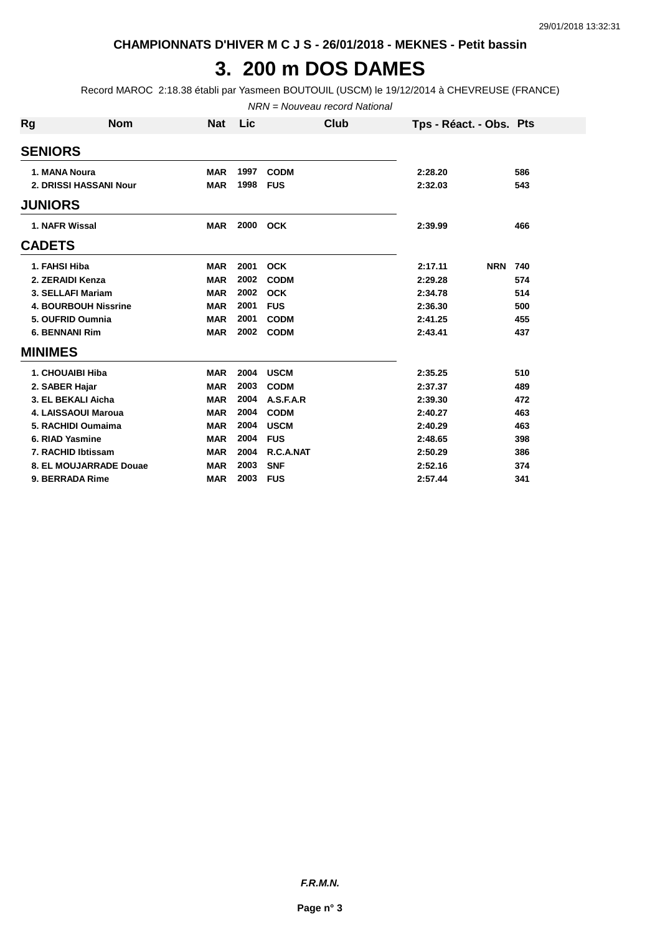**CHAMPIONNATS D'HIVER M C J S - 26/01/2018 - MEKNES - Petit bassin**

#### **3. 200 m DOS DAMES**

Record MAROC 2:18.38 établi par Yasmeen BOUTOUIL (USCM) le 19/12/2014 à CHEVREUSE (FRANCE)

NRN = Nouveau record National

| <b>Rg</b>     | <b>Nom</b>                  | <b>Nat</b> | Lic  | Club        | Tps - Réact. - Obs. Pts |     |
|---------------|-----------------------------|------------|------|-------------|-------------------------|-----|
|               | <b>SENIORS</b>              |            |      |             |                         |     |
|               | 1. MANA Noura               | <b>MAR</b> | 1997 | <b>CODM</b> | 2:28.20                 | 586 |
|               | 2. DRISSI HASSANI Nour      | <b>MAR</b> | 1998 | <b>FUS</b>  | 2:32.03                 | 543 |
|               | <b>JUNIORS</b>              |            |      |             |                         |     |
|               | 1. NAFR Wissal              | <b>MAR</b> | 2000 | <b>OCK</b>  | 2:39.99                 | 466 |
| <b>CADETS</b> |                             |            |      |             |                         |     |
|               | 1. FAHSI Hiba               | <b>MAR</b> | 2001 | <b>OCK</b>  | <b>NRN</b><br>2:17.11   | 740 |
|               | 2. ZERAIDI Kenza            | <b>MAR</b> | 2002 | <b>CODM</b> | 2:29.28                 | 574 |
|               | 3. SELLAFI Mariam           | <b>MAR</b> | 2002 | <b>OCK</b>  | 2:34.78                 | 514 |
|               | <b>4. BOURBOUH Nissrine</b> | <b>MAR</b> | 2001 | <b>FUS</b>  | 2:36.30                 | 500 |
|               | 5. OUFRID Oumnia            | <b>MAR</b> | 2001 | <b>CODM</b> | 2:41.25                 | 455 |
|               | <b>6. BENNANI Rim</b>       | <b>MAR</b> | 2002 | <b>CODM</b> | 2:43.41                 | 437 |
|               | <b>MINIMES</b>              |            |      |             |                         |     |
|               | 1. CHOUAIBI Hiba            | <b>MAR</b> | 2004 | <b>USCM</b> | 2:35.25                 | 510 |
|               | 2. SABER Hajar              | <b>MAR</b> | 2003 | <b>CODM</b> | 2:37.37                 | 489 |
|               | 3. EL BEKALI Aicha          | <b>MAR</b> | 2004 | A.S.F.A.R   | 2:39.30                 | 472 |
|               | 4. LAISSAOUI Maroua         | <b>MAR</b> | 2004 | <b>CODM</b> | 2:40.27                 | 463 |
|               | 5. RACHIDI Oumaima          | <b>MAR</b> | 2004 | <b>USCM</b> | 2:40.29                 | 463 |
|               | 6. RIAD Yasmine             | <b>MAR</b> | 2004 | <b>FUS</b>  | 2:48.65                 | 398 |
|               | 7. RACHID Ibtissam          | <b>MAR</b> | 2004 | R.C.A.NAT   | 2:50.29                 | 386 |
|               | 8. EL MOUJARRADE Douae      | <b>MAR</b> | 2003 | <b>SNF</b>  | 2:52.16                 | 374 |
|               | 9. BERRADA Rime             | <b>MAR</b> | 2003 | <b>FUS</b>  | 2:57.44                 | 341 |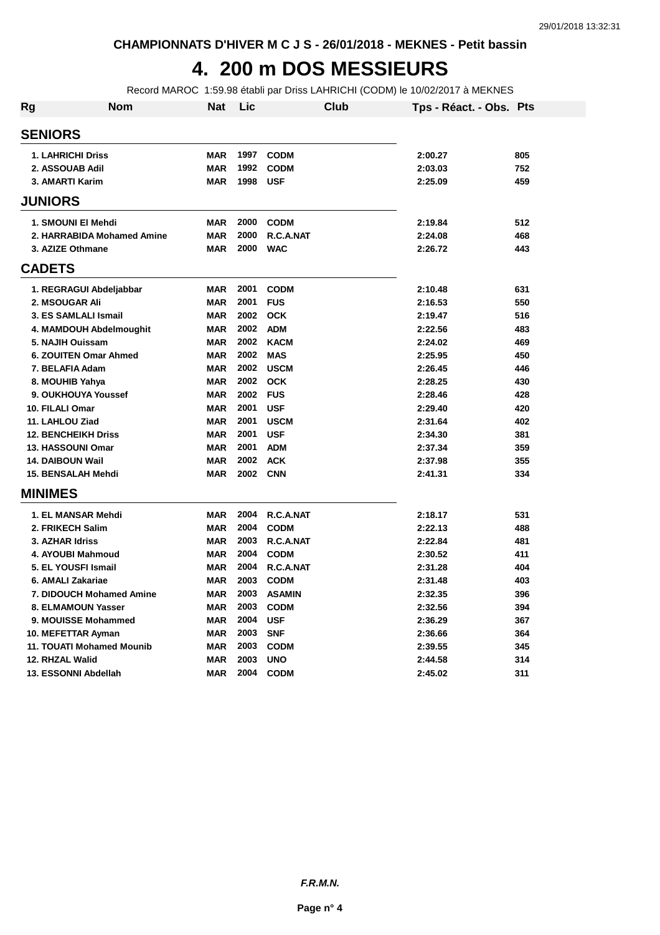#### **4. 200 m DOS MESSIEURS**

Record MAROC 1:59.98 établi par Driss LAHRICHI (CODM) le 10/02/2017 à MEKNES

| Rg             | <b>Nom</b>                      | <b>Nat</b> | Lic      | <b>Club</b>   | Tps - Réact. - Obs. Pts |     |
|----------------|---------------------------------|------------|----------|---------------|-------------------------|-----|
| <b>SENIORS</b> |                                 |            |          |               |                         |     |
|                | <b>1. LAHRICHI Driss</b>        | <b>MAR</b> | 1997     | <b>CODM</b>   | 2:00.27                 | 805 |
|                | 2. ASSOUAB Adil                 | <b>MAR</b> | 1992     | <b>CODM</b>   | 2:03.03                 | 752 |
|                | 3. AMARTI Karim                 | <b>MAR</b> | 1998     | <b>USF</b>    | 2:25.09                 | 459 |
| <b>JUNIORS</b> |                                 |            |          |               |                         |     |
|                | 1. SMOUNI EI Mehdi              | <b>MAR</b> | 2000     | <b>CODM</b>   | 2:19.84                 | 512 |
|                | 2. HARRABIDA Mohamed Amine      | <b>MAR</b> | 2000     | R.C.A.NAT     | 2:24.08                 | 468 |
|                | 3. AZIZE Othmane                | <b>MAR</b> | 2000     | <b>WAC</b>    | 2:26.72                 | 443 |
| <b>CADETS</b>  |                                 |            |          |               |                         |     |
|                | 1. REGRAGUI Abdeljabbar         | <b>MAR</b> | 2001     | <b>CODM</b>   | 2:10.48                 | 631 |
|                | 2. MSOUGAR Ali                  | <b>MAR</b> | 2001     | <b>FUS</b>    | 2:16.53                 | 550 |
|                | 3. ES SAMLALI Ismail            | <b>MAR</b> | 2002     | <b>OCK</b>    | 2:19.47                 | 516 |
|                | 4. MAMDOUH Abdelmoughit         | <b>MAR</b> | 2002     | <b>ADM</b>    | 2:22.56                 | 483 |
|                | 5. NAJIH Ouissam                | <b>MAR</b> | 2002     | <b>KACM</b>   | 2:24.02                 | 469 |
|                | 6. ZOUITEN Omar Ahmed           | <b>MAR</b> | 2002     | <b>MAS</b>    | 2:25.95                 | 450 |
|                | 7. BELAFIA Adam                 | <b>MAR</b> | 2002     | <b>USCM</b>   | 2:26.45                 | 446 |
|                | 8. MOUHIB Yahya                 | <b>MAR</b> |          | 2002 OCK      | 2:28.25                 | 430 |
|                | 9. OUKHOUYA Youssef             | <b>MAR</b> | 2002 FUS |               | 2:28.46                 | 428 |
|                | 10. FILALI Omar                 | <b>MAR</b> | 2001     | <b>USF</b>    | 2:29.40                 | 420 |
|                | 11. LAHLOU Ziad                 | <b>MAR</b> | 2001     | <b>USCM</b>   | 2:31.64                 | 402 |
|                | <b>12. BENCHEIKH Driss</b>      | <b>MAR</b> | 2001     | <b>USF</b>    | 2:34.30                 | 381 |
|                | 13. HASSOUNI Omar               | <b>MAR</b> | 2001     | <b>ADM</b>    | 2:37.34                 | 359 |
|                | <b>14. DAIBOUN Wail</b>         | <b>MAR</b> | 2002     | <b>ACK</b>    | 2:37.98                 | 355 |
|                | 15. BENSALAH Mehdi              | <b>MAR</b> | 2002 CNN |               | 2:41.31                 | 334 |
| <b>MINIMES</b> |                                 |            |          |               |                         |     |
|                | 1. EL MANSAR Mehdi              | <b>MAR</b> | 2004     | R.C.A.NAT     | 2:18.17                 | 531 |
|                | 2. FRIKECH Salim                | <b>MAR</b> | 2004     | <b>CODM</b>   | 2:22.13                 | 488 |
|                | 3. AZHAR Idriss                 | <b>MAR</b> | 2003     | R.C.A.NAT     | 2:22.84                 | 481 |
|                | 4. AYOUBI Mahmoud               | <b>MAR</b> | 2004     | <b>CODM</b>   | 2:30.52                 | 411 |
|                | 5. EL YOUSFI Ismail             | <b>MAR</b> | 2004     | R.C.A.NAT     | 2:31.28                 | 404 |
|                | 6. AMALI Zakariae               | <b>MAR</b> | 2003     | <b>CODM</b>   | 2:31.48                 | 403 |
|                | <b>7. DIDOUCH Mohamed Amine</b> | <b>MAR</b> | 2003     | <b>ASAMIN</b> | 2:32.35                 | 396 |
|                | 8. ELMAMOUN Yasser              | <b>MAR</b> | 2003     | <b>CODM</b>   | 2:32.56                 | 394 |
|                | 9. MOUISSE Mohammed             | <b>MAR</b> | 2004     | <b>USF</b>    | 2:36.29                 | 367 |
|                | 10. MEFETTAR Ayman              | <b>MAR</b> | 2003     | <b>SNF</b>    | 2:36.66                 | 364 |
|                | 11. TOUATI Mohamed Mounib       | <b>MAR</b> | 2003     | <b>CODM</b>   | 2:39.55                 | 345 |
|                | 12. RHZAL Walid                 | <b>MAR</b> | 2003     | <b>UNO</b>    | 2:44.58                 | 314 |
|                | 13. ESSONNI Abdellah            | <b>MAR</b> | 2004     | <b>CODM</b>   | 2:45.02                 | 311 |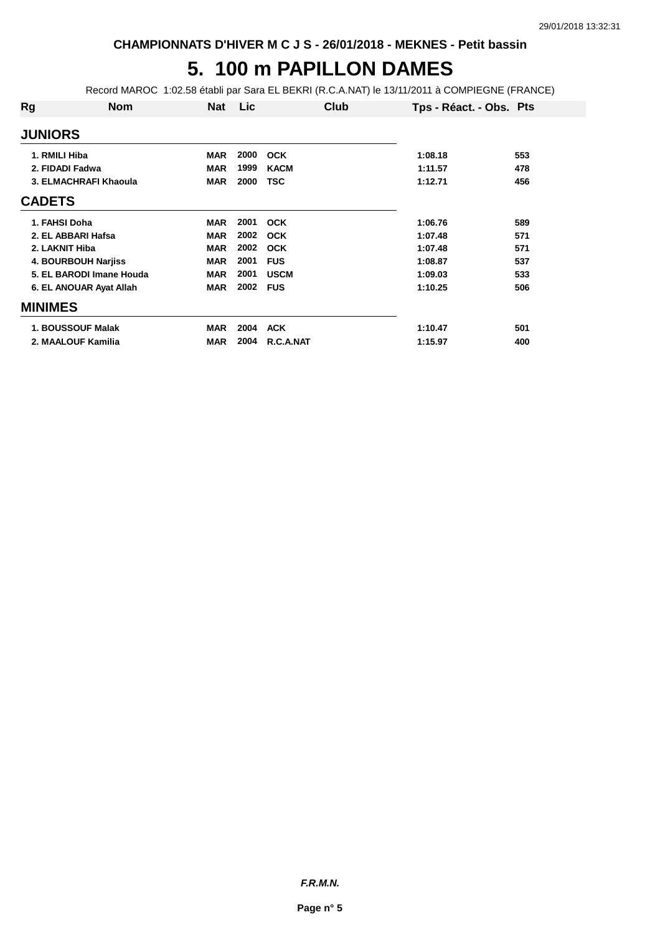## **5. 100 m PAPILLON DAMES**

Record MAROC 1:02.58 établi par Sara EL BEKRI (R.C.A.NAT) le 13/11/2011 à COMPIEGNE (FRANCE)

| Rg              | <b>Nom</b>               | <b>Nat</b> | Lic  | Club        | Tps - Réact. - Obs. Pts |     |
|-----------------|--------------------------|------------|------|-------------|-------------------------|-----|
| <b>JUNIORS</b>  |                          |            |      |             |                         |     |
| 1. RMILI Hiba   |                          | <b>MAR</b> | 2000 | <b>OCK</b>  | 1:08.18                 | 553 |
| 2. FIDADI Fadwa |                          | <b>MAR</b> | 1999 | <b>KACM</b> | 1:11.57                 | 478 |
|                 | 3. ELMACHRAFI Khaoula    | <b>MAR</b> | 2000 | <b>TSC</b>  | 1:12.71                 | 456 |
| <b>CADETS</b>   |                          |            |      |             |                         |     |
| 1. FAHSI Doha   |                          | <b>MAR</b> | 2001 | <b>OCK</b>  | 1:06.76                 | 589 |
|                 | 2. EL ABBARI Hafsa       | <b>MAR</b> | 2002 | <b>OCK</b>  | 1:07.48                 | 571 |
| 2. LAKNIT Hiba  |                          | <b>MAR</b> | 2002 | <b>OCK</b>  | 1:07.48                 | 571 |
|                 | 4. BOURBOUH Narjiss      | <b>MAR</b> | 2001 | <b>FUS</b>  | 1:08.87                 | 537 |
|                 | 5. EL BARODI Imane Houda | <b>MAR</b> | 2001 | <b>USCM</b> | 1:09.03                 | 533 |
|                 | 6. EL ANOUAR Ayat Allah  | <b>MAR</b> | 2002 | <b>FUS</b>  | 1:10.25                 | 506 |
| <b>MINIMES</b>  |                          |            |      |             |                         |     |
|                 | <b>1. BOUSSOUF Malak</b> | <b>MAR</b> | 2004 | <b>ACK</b>  | 1:10.47                 | 501 |
|                 | 2. MAALOUF Kamilia       | <b>MAR</b> | 2004 | R.C.A.NAT   | 1:15.97                 | 400 |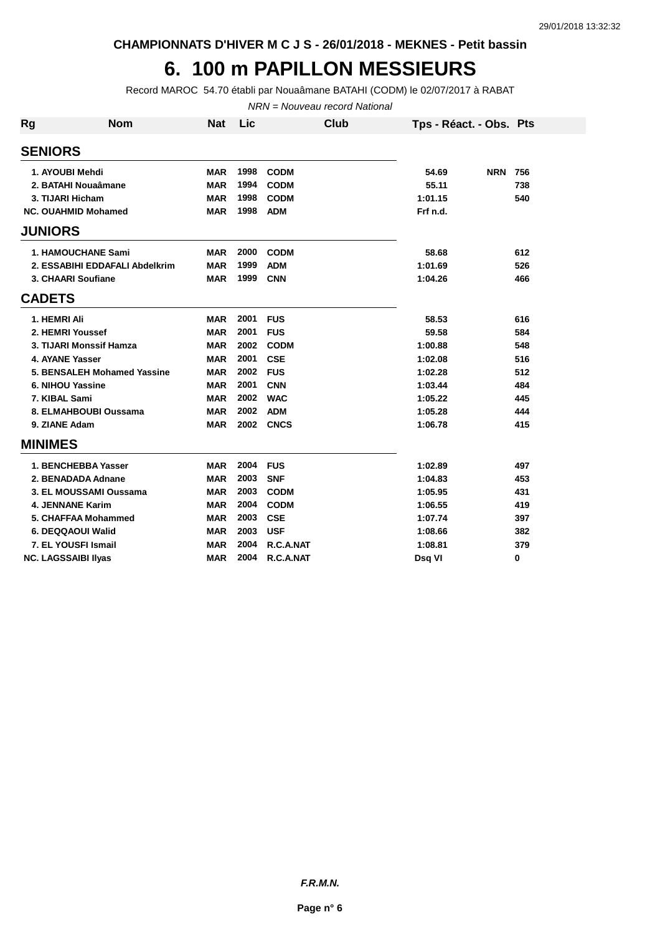**CHAMPIONNATS D'HIVER M C J S - 26/01/2018 - MEKNES - Petit bassin**

## **6. 100 m PAPILLON MESSIEURS**

Record MAROC 54.70 établi par Nouaâmane BATAHI (CODM) le 02/07/2017 à RABAT

NRN = Nouveau record National

| Rg             | <b>Nom</b>                     | <b>Nat</b> | Lic  |             | Club | Tps - Réact. - Obs. Pts |            |     |
|----------------|--------------------------------|------------|------|-------------|------|-------------------------|------------|-----|
| <b>SENIORS</b> |                                |            |      |             |      |                         |            |     |
|                | 1. AYOUBI Mehdi                | <b>MAR</b> | 1998 | <b>CODM</b> |      | 54.69                   | <b>NRN</b> | 756 |
|                | 2. BATAHI Nouaâmane            | <b>MAR</b> | 1994 | <b>CODM</b> |      | 55.11                   |            | 738 |
|                | 3. TIJARI Hicham               | <b>MAR</b> | 1998 | <b>CODM</b> |      | 1:01.15                 |            | 540 |
|                | NC. OUAHMID Mohamed            | <b>MAR</b> | 1998 | <b>ADM</b>  |      | Frf n.d.                |            |     |
| <b>JUNIORS</b> |                                |            |      |             |      |                         |            |     |
|                | <b>1. HAMOUCHANE Sami</b>      | MAR        | 2000 | <b>CODM</b> |      | 58.68                   |            | 612 |
|                | 2. ESSABIHI EDDAFALI Abdelkrim | <b>MAR</b> | 1999 | <b>ADM</b>  |      | 1:01.69                 |            | 526 |
|                | 3. CHAARI Soufiane             | <b>MAR</b> | 1999 | <b>CNN</b>  |      | 1:04.26                 |            | 466 |
| <b>CADETS</b>  |                                |            |      |             |      |                         |            |     |
|                | 1. HEMRI Ali                   | <b>MAR</b> | 2001 | <b>FUS</b>  |      | 58.53                   |            | 616 |
|                | 2. HEMRI Youssef               | <b>MAR</b> | 2001 | <b>FUS</b>  |      | 59.58                   |            | 584 |
|                | 3. TIJARI Monssif Hamza        | <b>MAR</b> | 2002 | <b>CODM</b> |      | 1:00.88                 |            | 548 |
|                | 4. AYANE Yasser                | <b>MAR</b> | 2001 | <b>CSE</b>  |      | 1:02.08                 |            | 516 |
|                | 5. BENSALEH Mohamed Yassine    | <b>MAR</b> | 2002 | <b>FUS</b>  |      | 1:02.28                 |            | 512 |
|                | 6. NIHOU Yassine               | <b>MAR</b> | 2001 | <b>CNN</b>  |      | 1:03.44                 |            | 484 |
|                | 7. KIBAL Sami                  | <b>MAR</b> | 2002 | <b>WAC</b>  |      | 1:05.22                 |            | 445 |
|                | 8. ELMAHBOUBI Oussama          | <b>MAR</b> | 2002 | <b>ADM</b>  |      | 1:05.28                 |            | 444 |
|                | 9. ZIANE Adam                  | <b>MAR</b> | 2002 | <b>CNCS</b> |      | 1:06.78                 |            | 415 |
| <b>MINIMES</b> |                                |            |      |             |      |                         |            |     |
|                | 1. BENCHEBBA Yasser            | <b>MAR</b> | 2004 | <b>FUS</b>  |      | 1:02.89                 |            | 497 |
|                | 2. BENADADA Adnane             | <b>MAR</b> | 2003 | <b>SNF</b>  |      | 1:04.83                 |            | 453 |
|                | 3. EL MOUSSAMI Oussama         | <b>MAR</b> | 2003 | <b>CODM</b> |      | 1:05.95                 |            | 431 |
|                | 4. JENNANE Karim               | <b>MAR</b> | 2004 | <b>CODM</b> |      | 1:06.55                 |            | 419 |
|                | 5. CHAFFAA Mohammed            | <b>MAR</b> | 2003 | <b>CSE</b>  |      | 1:07.74                 |            | 397 |
|                | 6. DEQQAOUI Walid              | <b>MAR</b> | 2003 | <b>USF</b>  |      | 1:08.66                 |            | 382 |
|                | 7. EL YOUSFI Ismail            | <b>MAR</b> | 2004 | R.C.A.NAT   |      | 1:08.81                 |            | 379 |
|                | <b>NC. LAGSSAIBI IIvas</b>     | <b>MAR</b> | 2004 | R.C.A.NAT   |      | Dsq VI                  |            | 0   |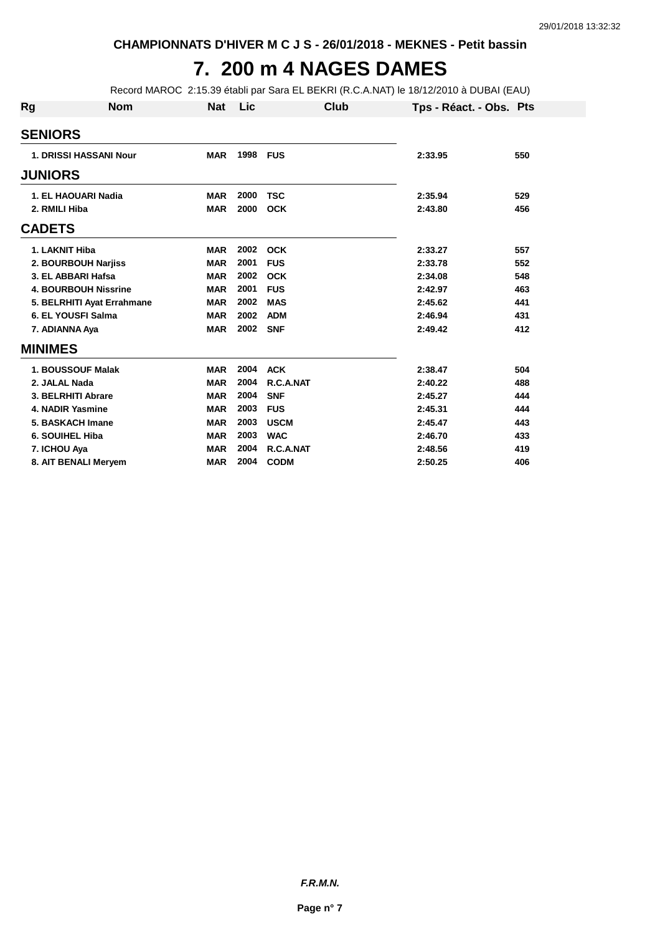## **7. 200 m 4 NAGES DAMES**

Record MAROC 2:15.39 établi par Sara EL BEKRI (R.C.A.NAT) le 18/12/2010 à DUBAI (EAU)

| Rg | <b>Nom</b>                    | <b>Nat</b> | Lic  | Club        | Tps - Réact. - Obs. Pts |     |
|----|-------------------------------|------------|------|-------------|-------------------------|-----|
|    | <b>SENIORS</b>                |            |      |             |                         |     |
|    | <b>1. DRISSI HASSANI Nour</b> | <b>MAR</b> | 1998 | <b>FUS</b>  | 2:33.95                 | 550 |
|    | <b>JUNIORS</b>                |            |      |             |                         |     |
|    | 1. EL HAOUARI Nadia           | <b>MAR</b> | 2000 | <b>TSC</b>  | 2:35.94                 | 529 |
|    | 2. RMILI Hiba                 | <b>MAR</b> | 2000 | <b>OCK</b>  | 2:43.80                 | 456 |
|    | <b>CADETS</b>                 |            |      |             |                         |     |
|    | 1. LAKNIT Hiba                | <b>MAR</b> | 2002 | <b>OCK</b>  | 2:33.27                 | 557 |
|    | 2. BOURBOUH Narjiss           | <b>MAR</b> | 2001 | <b>FUS</b>  | 2:33.78                 | 552 |
|    | 3. EL ABBARI Hafsa            | <b>MAR</b> | 2002 | <b>OCK</b>  | 2:34.08                 | 548 |
|    | <b>4. BOURBOUH Nissrine</b>   | <b>MAR</b> | 2001 | <b>FUS</b>  | 2:42.97                 | 463 |
|    | 5. BELRHITI Ayat Errahmane    | <b>MAR</b> | 2002 | <b>MAS</b>  | 2:45.62                 | 441 |
|    | 6. EL YOUSFI Salma            | <b>MAR</b> | 2002 | <b>ADM</b>  | 2:46.94                 | 431 |
|    | 7. ADIANNA Aya                | <b>MAR</b> | 2002 | <b>SNF</b>  | 2:49.42                 | 412 |
|    | <b>MINIMES</b>                |            |      |             |                         |     |
|    | 1. BOUSSOUF Malak             | <b>MAR</b> | 2004 | <b>ACK</b>  | 2:38.47                 | 504 |
|    | 2. JALAL Nada                 | <b>MAR</b> | 2004 | R.C.A.NAT   | 2:40.22                 | 488 |
|    | 3. BELRHITI Abrare            | <b>MAR</b> | 2004 | <b>SNF</b>  | 2:45.27                 | 444 |
|    | 4. NADIR Yasmine              | <b>MAR</b> | 2003 | <b>FUS</b>  | 2:45.31                 | 444 |
|    | 5. BASKACH Imane              | <b>MAR</b> | 2003 | <b>USCM</b> | 2:45.47                 | 443 |
|    | 6. SOUIHEL Hiba               | <b>MAR</b> | 2003 | <b>WAC</b>  | 2:46.70                 | 433 |
|    | 7. ICHOU Aya                  | <b>MAR</b> | 2004 | R.C.A.NAT   | 2:48.56                 | 419 |
|    | 8. AIT BENALI Meryem          | <b>MAR</b> | 2004 | <b>CODM</b> | 2:50.25                 | 406 |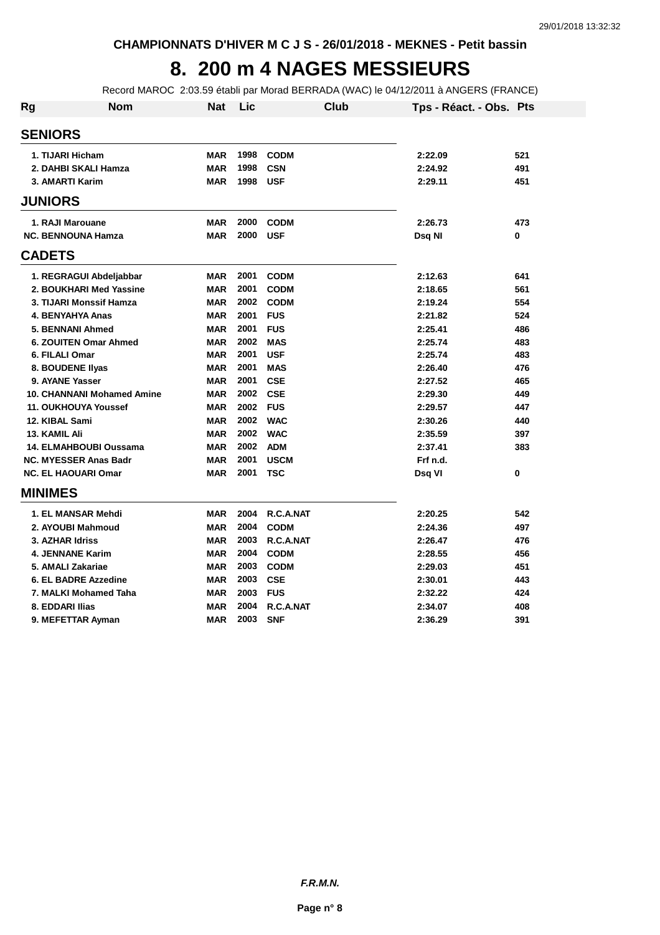## **8. 200 m 4 NAGES MESSIEURS**

Record MAROC 2:03.59 établi par Morad BERRADA (WAC) le 04/12/2011 à ANGERS (FRANCE)

| <b>Rg</b>         | Nom                               | <b>Nat</b> | Lic  | <b>Club</b> | Tps - Réact. - Obs. Pts |     |
|-------------------|-----------------------------------|------------|------|-------------|-------------------------|-----|
| <b>SENIORS</b>    |                                   |            |      |             |                         |     |
| 1. TIJARI Hicham  |                                   | <b>MAR</b> | 1998 | <b>CODM</b> | 2:22.09                 | 521 |
|                   | 2. DAHBI SKALI Hamza              | <b>MAR</b> | 1998 | <b>CSN</b>  | 2:24.92                 | 491 |
| 3. AMARTI Karim   |                                   | <b>MAR</b> | 1998 | <b>USF</b>  | 2:29.11                 | 451 |
| <b>JUNIORS</b>    |                                   |            |      |             |                         |     |
| 1. RAJI Marouane  |                                   | <b>MAR</b> | 2000 | <b>CODM</b> | 2:26.73                 | 473 |
|                   | <b>NC. BENNOUNA Hamza</b>         | <b>MAR</b> | 2000 | <b>USF</b>  | Dsg NI                  | 0   |
| <b>CADETS</b>     |                                   |            |      |             |                         |     |
|                   | 1. REGRAGUI Abdeljabbar           | <b>MAR</b> | 2001 | <b>CODM</b> | 2:12.63                 | 641 |
|                   | 2. BOUKHARI Med Yassine           | <b>MAR</b> | 2001 | <b>CODM</b> | 2:18.65                 | 561 |
|                   | 3. TIJARI Monssif Hamza           | <b>MAR</b> | 2002 | <b>CODM</b> | 2:19.24                 | 554 |
|                   | <b>4. BENYAHYA Anas</b>           | <b>MAR</b> | 2001 | <b>FUS</b>  | 2:21.82                 | 524 |
|                   | 5. BENNANI Ahmed                  | <b>MAR</b> | 2001 | <b>FUS</b>  | 2:25.41                 | 486 |
|                   | 6. ZOUITEN Omar Ahmed             | <b>MAR</b> | 2002 | <b>MAS</b>  | 2:25.74                 | 483 |
| 6. FILALI Omar    |                                   | <b>MAR</b> | 2001 | <b>USF</b>  | 2:25.74                 | 483 |
| 8. BOUDENE Ilyas  |                                   | <b>MAR</b> | 2001 | <b>MAS</b>  | 2:26.40                 | 476 |
| 9. AYANE Yasser   |                                   | <b>MAR</b> | 2001 | <b>CSE</b>  | 2:27.52                 | 465 |
|                   | <b>10. CHANNANI Mohamed Amine</b> | <b>MAR</b> | 2002 | <b>CSE</b>  | 2:29.30                 | 449 |
|                   | 11. OUKHOUYA Youssef              | <b>MAR</b> | 2002 | <b>FUS</b>  | 2:29.57                 | 447 |
| 12. KIBAL Sami    |                                   | <b>MAR</b> | 2002 | <b>WAC</b>  | 2:30.26                 | 440 |
| 13. KAMIL Ali     |                                   | <b>MAR</b> | 2002 | <b>WAC</b>  | 2:35.59                 | 397 |
|                   | 14. ELMAHBOUBI Oussama            | <b>MAR</b> | 2002 | <b>ADM</b>  | 2:37.41                 | 383 |
|                   | <b>NC. MYESSER Anas Badr</b>      | <b>MAR</b> | 2001 | <b>USCM</b> | Frf n.d.                |     |
|                   | <b>NC. EL HAOUARI Omar</b>        | <b>MAR</b> | 2001 | <b>TSC</b>  | Dsq VI                  | 0   |
| <b>MINIMES</b>    |                                   |            |      |             |                         |     |
|                   | 1. EL MANSAR Mehdi                | <b>MAR</b> | 2004 | R.C.A.NAT   | 2:20.25                 | 542 |
|                   | 2. AYOUBI Mahmoud                 | <b>MAR</b> | 2004 | <b>CODM</b> | 2:24.36                 | 497 |
| 3. AZHAR Idriss   |                                   | <b>MAR</b> | 2003 | R.C.A.NAT   | 2:26.47                 | 476 |
|                   | 4. JENNANE Karim                  | <b>MAR</b> | 2004 | <b>CODM</b> | 2:28.55                 | 456 |
| 5. AMALI Zakariae |                                   | <b>MAR</b> | 2003 | <b>CODM</b> | 2:29.03                 | 451 |
|                   | 6. EL BADRE Azzedine              | <b>MAR</b> | 2003 | <b>CSE</b>  | 2:30.01                 | 443 |
|                   | 7. MALKI Mohamed Taha             | <b>MAR</b> | 2003 | <b>FUS</b>  | 2:32.22                 | 424 |
| 8. EDDARI Ilias   |                                   | <b>MAR</b> | 2004 | R.C.A.NAT   | 2:34.07                 | 408 |
|                   | 9. MEFETTAR Avman                 | MAR        | 2003 | <b>SNF</b>  | 2:36.29                 | 391 |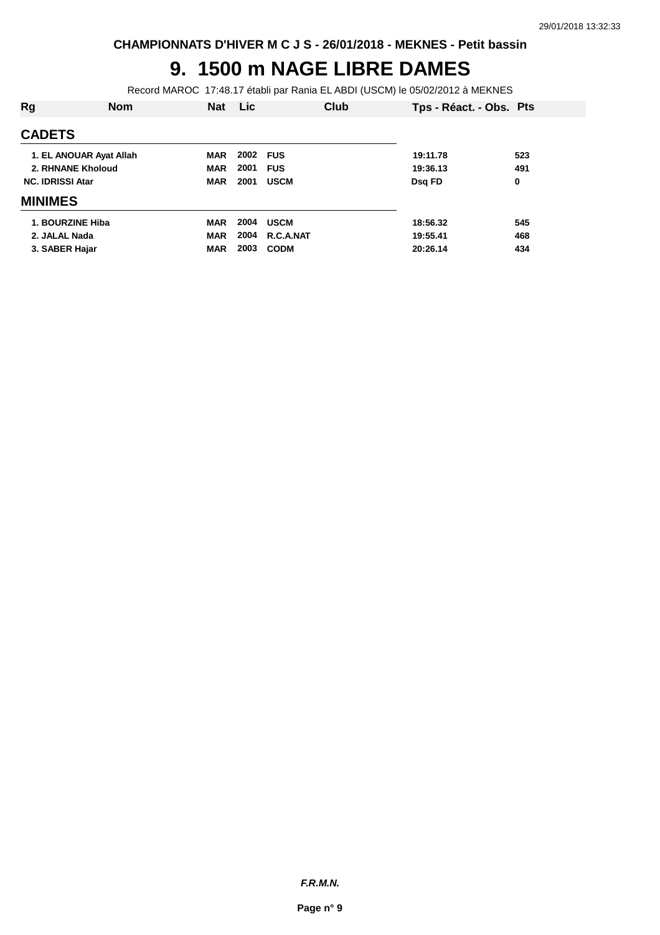## **9. 1500 m NAGE LIBRE DAMES**

Record MAROC 17:48.17 établi par Rania EL ABDI (USCM) le 05/02/2012 à MEKNES

| Rg                      | <b>Nom</b> | <b>Nat</b> | Lic  | Club        | Tps - Réact. - Obs. Pts |     |
|-------------------------|------------|------------|------|-------------|-------------------------|-----|
| <b>CADETS</b>           |            |            |      |             |                         |     |
| 1. EL ANOUAR Ayat Allah |            | <b>MAR</b> | 2002 | <b>FUS</b>  | 19:11.78                | 523 |
| 2. RHNANE Kholoud       |            | <b>MAR</b> | 2001 | <b>FUS</b>  | 19:36.13                | 491 |
| <b>NC. IDRISSI Atar</b> |            | <b>MAR</b> | 2001 | <b>USCM</b> | Dsg FD                  | 0   |
| <b>MINIMES</b>          |            |            |      |             |                         |     |
| 1. BOURZINE Hiba        |            | <b>MAR</b> | 2004 | <b>USCM</b> | 18:56.32                | 545 |
| 2. JALAL Nada           |            | <b>MAR</b> | 2004 | R.C.A.NAT   | 19:55.41                | 468 |
| 3. SABER Hajar          |            | <b>MAR</b> | 2003 | <b>CODM</b> | 20:26.14                | 434 |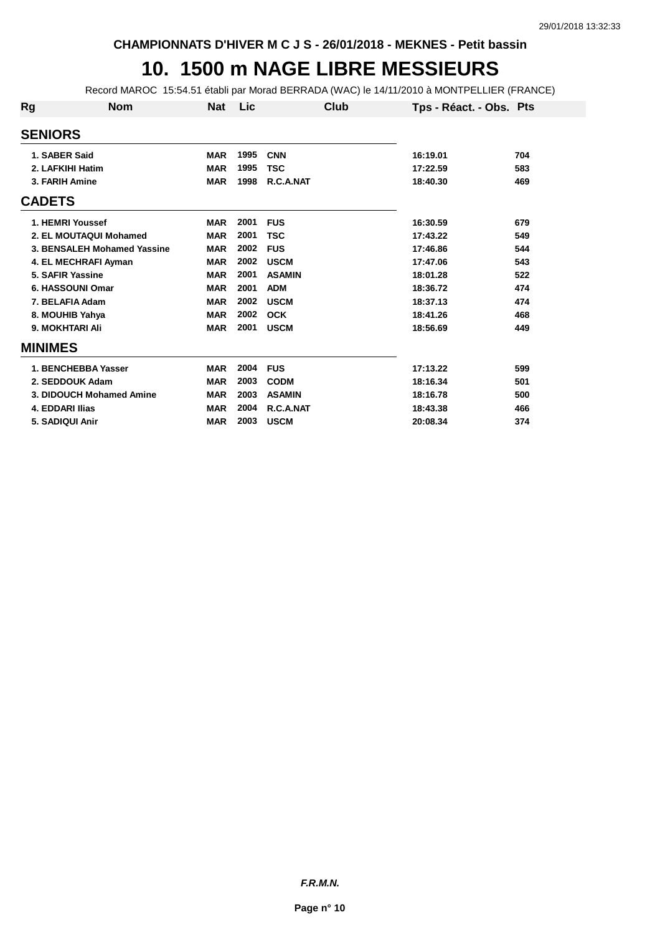#### **10. 1500 m NAGE LIBRE MESSIEURS**

Record MAROC 15:54.51 établi par Morad BERRADA (WAC) le 14/11/2010 à MONTPELLIER (FRANCE)

| Rg             | <b>Nom</b>                  | <b>Nat</b> | <b>Lic</b> | Club          | Tps - Réact. - Obs. Pts |     |
|----------------|-----------------------------|------------|------------|---------------|-------------------------|-----|
| <b>SENIORS</b> |                             |            |            |               |                         |     |
| 1. SABER Said  |                             | <b>MAR</b> | 1995       | <b>CNN</b>    | 16:19.01                | 704 |
|                | 2. LAFKIHI Hatim            | <b>MAR</b> | 1995       | <b>TSC</b>    | 17:22.59                | 583 |
|                | 3. FARIH Amine              | <b>MAR</b> | 1998       | R.C.A.NAT     | 18:40.30                | 469 |
| <b>CADETS</b>  |                             |            |            |               |                         |     |
|                | 1. HEMRI Youssef            | <b>MAR</b> | 2001       | <b>FUS</b>    | 16:30.59                | 679 |
|                | 2. EL MOUTAQUI Mohamed      | <b>MAR</b> | 2001       | TSC           | 17:43.22                | 549 |
|                | 3. BENSALEH Mohamed Yassine | <b>MAR</b> | 2002       | <b>FUS</b>    | 17:46.86                | 544 |
|                | 4. EL MECHRAFI Ayman        | <b>MAR</b> | 2002       | <b>USCM</b>   | 17:47.06                | 543 |
|                | 5. SAFIR Yassine            | <b>MAR</b> | 2001       | <b>ASAMIN</b> | 18:01.28                | 522 |
|                | 6. HASSOUNI Omar            | <b>MAR</b> | 2001       | <b>ADM</b>    | 18:36.72                | 474 |
|                | 7. BELAFIA Adam             | <b>MAR</b> | 2002       | <b>USCM</b>   | 18:37.13                | 474 |
|                | 8. MOUHIB Yahya             | <b>MAR</b> | 2002       | <b>OCK</b>    | 18:41.26                | 468 |
|                | 9. MOKHTARI Ali             | <b>MAR</b> | 2001       | <b>USCM</b>   | 18:56.69                | 449 |
| <b>MINIMES</b> |                             |            |            |               |                         |     |
|                | 1. BENCHEBBA Yasser         | <b>MAR</b> | 2004       | <b>FUS</b>    | 17:13.22                | 599 |
|                | 2. SEDDOUK Adam             | <b>MAR</b> | 2003       | <b>CODM</b>   | 18:16.34                | 501 |
|                | 3. DIDOUCH Mohamed Amine    | <b>MAR</b> | 2003       | <b>ASAMIN</b> | 18:16.78                | 500 |
|                | <b>4. EDDARI Ilias</b>      | <b>MAR</b> | 2004       | R.C.A.NAT     | 18:43.38                | 466 |
|                | 5. SADIQUI Anir             | <b>MAR</b> | 2003       | <b>USCM</b>   | 20:08.34                | 374 |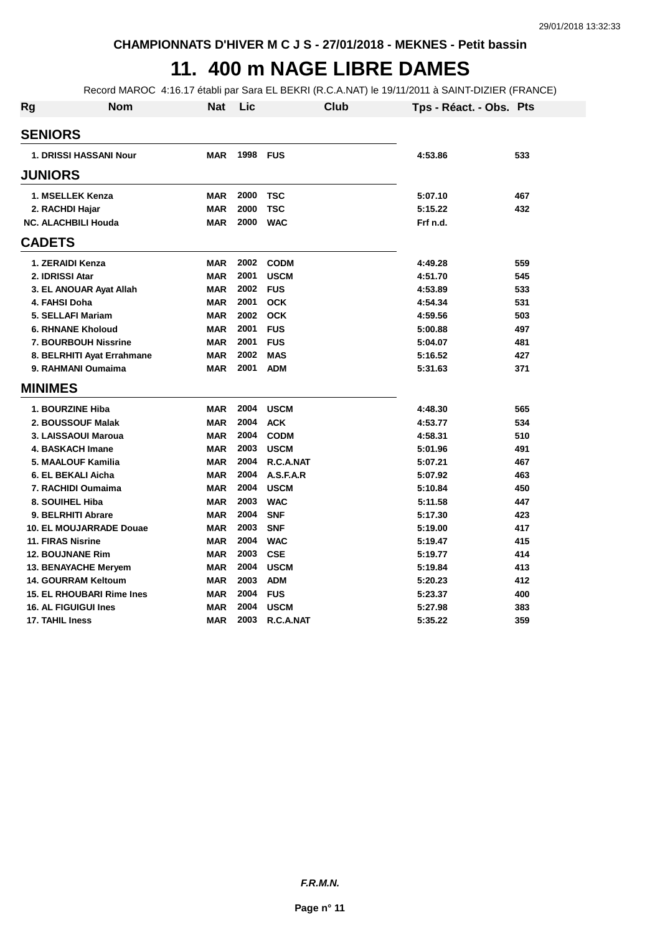## **11. 400 m NAGE LIBRE DAMES**

Record MAROC 4:16.17 établi par Sara EL BEKRI (R.C.A.NAT) le 19/11/2011 à SAINT-DIZIER (FRANCE)

| Rg | Nom                            | Nat        | Lic      | Club        | Tps - Réact. - Obs. Pts |     |
|----|--------------------------------|------------|----------|-------------|-------------------------|-----|
|    | <b>SENIORS</b>                 |            |          |             |                         |     |
|    | <b>1. DRISSI HASSANI Nour</b>  | <b>MAR</b> | 1998 FUS |             | 4:53.86                 | 533 |
|    | <b>JUNIORS</b>                 |            |          |             |                         |     |
|    | 1. MSELLEK Kenza               | <b>MAR</b> | 2000     | <b>TSC</b>  | 5:07.10                 | 467 |
|    | 2. RACHDI Hajar                | <b>MAR</b> | 2000     | <b>TSC</b>  | 5:15.22                 | 432 |
|    | <b>NC. ALACHBILI Houda</b>     | <b>MAR</b> | 2000     | <b>WAC</b>  | Frf n.d.                |     |
|    | <b>CADETS</b>                  |            |          |             |                         |     |
|    | 1. ZERAIDI Kenza               | <b>MAR</b> | 2002     | <b>CODM</b> | 4:49.28                 | 559 |
|    | 2. IDRISSI Atar                | <b>MAR</b> | 2001     | <b>USCM</b> | 4:51.70                 | 545 |
|    | 3. EL ANOUAR Ayat Allah        | <b>MAR</b> | 2002     | <b>FUS</b>  | 4:53.89                 | 533 |
|    | 4. FAHSI Doha                  | <b>MAR</b> | 2001     | <b>OCK</b>  | 4:54.34                 | 531 |
|    | 5. SELLAFI Mariam              | <b>MAR</b> | 2002     | <b>OCK</b>  | 4:59.56                 | 503 |
|    | <b>6. RHNANE Kholoud</b>       | <b>MAR</b> | 2001     | <b>FUS</b>  | 5:00.88                 | 497 |
|    | <b>7. BOURBOUH Nissrine</b>    | <b>MAR</b> | 2001     | <b>FUS</b>  | 5:04.07                 | 481 |
|    | 8. BELRHITI Ayat Errahmane     | <b>MAR</b> | 2002     | <b>MAS</b>  | 5:16.52                 | 427 |
|    | 9. RAHMANI Oumaima             | <b>MAR</b> | 2001     | <b>ADM</b>  | 5:31.63                 | 371 |
|    | <b>MINIMES</b>                 |            |          |             |                         |     |
|    | <b>1. BOURZINE Hiba</b>        | <b>MAR</b> | 2004     | <b>USCM</b> | 4:48.30                 | 565 |
|    | 2. BOUSSOUF Malak              | <b>MAR</b> | 2004     | <b>ACK</b>  | 4:53.77                 | 534 |
|    | 3. LAISSAOUI Maroua            | <b>MAR</b> | 2004     | <b>CODM</b> | 4:58.31                 | 510 |
|    | <b>4. BASKACH Imane</b>        | <b>MAR</b> | 2003     | <b>USCM</b> | 5:01.96                 | 491 |
|    | 5. MAALOUF Kamilia             | <b>MAR</b> | 2004     | R.C.A.NAT   | 5:07.21                 | 467 |
|    | 6. EL BEKALI Aicha             | <b>MAR</b> | 2004     | A.S.F.A.R   | 5:07.92                 | 463 |
|    | 7. RACHIDI Oumaima             | <b>MAR</b> | 2004     | <b>USCM</b> | 5:10.84                 | 450 |
|    | 8. SOUIHEL Hiba                | <b>MAR</b> | 2003     | <b>WAC</b>  | 5:11.58                 | 447 |
|    | 9. BELRHITI Abrare             | <b>MAR</b> | 2004     | <b>SNF</b>  | 5:17.30                 | 423 |
|    | <b>10. EL MOUJARRADE Douae</b> | <b>MAR</b> | 2003     | <b>SNF</b>  | 5:19.00                 | 417 |
|    | <b>11. FIRAS Nisrine</b>       | <b>MAR</b> | 2004     | <b>WAC</b>  | 5:19.47                 | 415 |
|    | <b>12. BOUJNANE Rim</b>        | <b>MAR</b> | 2003     | <b>CSE</b>  | 5:19.77                 | 414 |
|    | <b>13. BENAYACHE Mervem</b>    | <b>MAR</b> | 2004     | <b>USCM</b> | 5:19.84                 | 413 |
|    | <b>14. GOURRAM Keltoum</b>     | <b>MAR</b> | 2003     | <b>ADM</b>  | 5:20.23                 | 412 |
|    | 15. EL RHOUBARI Rime Ines      | <b>MAR</b> | 2004     | <b>FUS</b>  | 5:23.37                 | 400 |
|    | <b>16. AL FIGUIGUI Ines</b>    | <b>MAR</b> | 2004     | <b>USCM</b> | 5:27.98                 | 383 |
|    | 17. TAHIL Iness                | <b>MAR</b> | 2003     | R.C.A.NAT   | 5:35.22                 | 359 |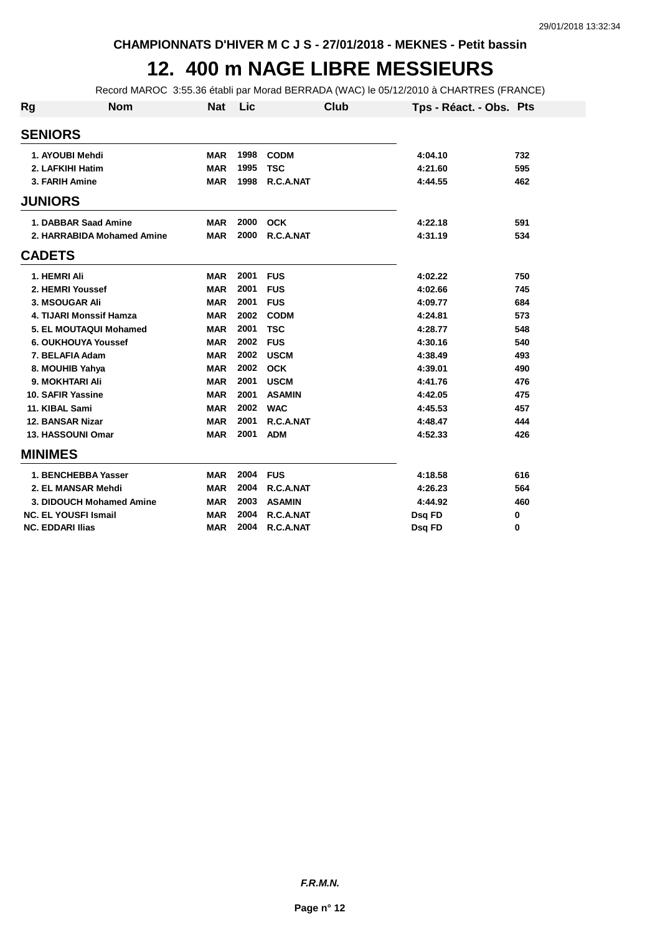### **12. 400 m NAGE LIBRE MESSIEURS**

Record MAROC 3:55.36 établi par Morad BERRADA (WAC) le 05/12/2010 à CHARTRES (FRANCE)

| <b>Rg</b>               | <b>Nom</b>                  | <b>Nat</b> | Lic  | Club          | Tps - Réact. - Obs. Pts |     |
|-------------------------|-----------------------------|------------|------|---------------|-------------------------|-----|
| <b>SENIORS</b>          |                             |            |      |               |                         |     |
|                         | 1. AYOUBI Mehdi             | <b>MAR</b> | 1998 | <b>CODM</b>   | 4:04.10                 | 732 |
|                         | 2. LAFKIHI Hatim            | <b>MAR</b> | 1995 | <b>TSC</b>    | 4:21.60                 | 595 |
| 3. FARIH Amine          |                             | <b>MAR</b> | 1998 | R.C.A.NAT     | 4:44.55                 | 462 |
| <b>JUNIORS</b>          |                             |            |      |               |                         |     |
|                         | 1. DABBAR Saad Amine        | <b>MAR</b> | 2000 | <b>OCK</b>    | 4:22.18                 | 591 |
|                         | 2. HARRABIDA Mohamed Amine  | <b>MAR</b> | 2000 | R.C.A.NAT     | 4:31.19                 | 534 |
| <b>CADETS</b>           |                             |            |      |               |                         |     |
| 1. HEMRI Ali            |                             | <b>MAR</b> | 2001 | <b>FUS</b>    | 4:02.22                 | 750 |
|                         | 2. HEMRI Youssef            | <b>MAR</b> | 2001 | <b>FUS</b>    | 4:02.66                 | 745 |
|                         | 3. MSOUGAR Ali              | <b>MAR</b> | 2001 | <b>FUS</b>    | 4:09.77                 | 684 |
|                         | 4. TIJARI Monssif Hamza     | <b>MAR</b> | 2002 | <b>CODM</b>   | 4:24.81                 | 573 |
|                         | 5. EL MOUTAQUI Mohamed      | <b>MAR</b> | 2001 | <b>TSC</b>    | 4:28.77                 | 548 |
|                         | <b>6. OUKHOUYA Youssef</b>  | <b>MAR</b> | 2002 | <b>FUS</b>    | 4:30.16                 | 540 |
|                         | 7. BELAFIA Adam             | <b>MAR</b> | 2002 | <b>USCM</b>   | 4:38.49                 | 493 |
|                         | 8. MOUHIB Yahya             | <b>MAR</b> | 2002 | <b>OCK</b>    | 4:39.01                 | 490 |
|                         | 9. MOKHTARI Ali             | <b>MAR</b> | 2001 | <b>USCM</b>   | 4:41.76                 | 476 |
|                         | 10. SAFIR Yassine           | <b>MAR</b> | 2001 | <b>ASAMIN</b> | 4:42.05                 | 475 |
| 11. KIBAL Sami          |                             | <b>MAR</b> | 2002 | <b>WAC</b>    | 4:45.53                 | 457 |
| <b>12. BANSAR Nizar</b> |                             | <b>MAR</b> | 2001 | R.C.A.NAT     | 4:48.47                 | 444 |
|                         | <b>13. HASSOUNI Omar</b>    | <b>MAR</b> | 2001 | <b>ADM</b>    | 4:52.33                 | 426 |
| <b>MINIMES</b>          |                             |            |      |               |                         |     |
|                         | 1. BENCHEBBA Yasser         | <b>MAR</b> | 2004 | <b>FUS</b>    | 4:18.58                 | 616 |
|                         | 2. EL MANSAR Mehdi          | <b>MAR</b> | 2004 | R.C.A.NAT     | 4:26.23                 | 564 |
|                         | 3. DIDOUCH Mohamed Amine    | <b>MAR</b> | 2003 | <b>ASAMIN</b> | 4:44.92                 | 460 |
|                         | <b>NC. EL YOUSFI Ismail</b> | <b>MAR</b> | 2004 | R.C.A.NAT     | <b>Dsg FD</b>           | 0   |
| <b>NC. EDDARI Ilias</b> |                             | <b>MAR</b> | 2004 | R.C.A.NAT     | Dsq FD                  | 0   |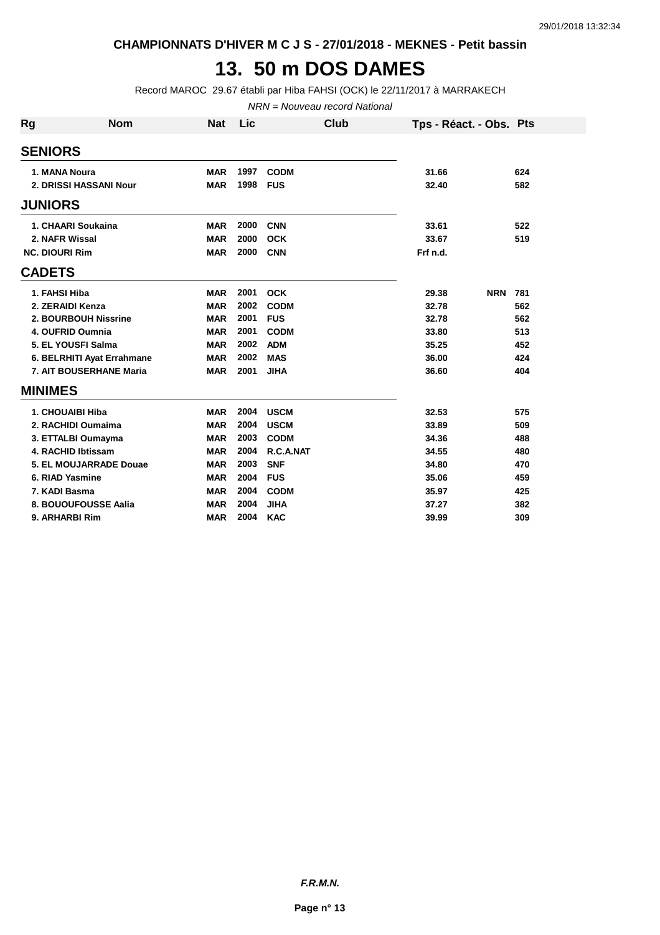**CHAMPIONNATS D'HIVER M C J S - 27/01/2018 - MEKNES - Petit bassin**

#### **13. 50 m DOS DAMES**

Record MAROC 29.67 établi par Hiba FAHSI (OCK) le 22/11/2017 à MARRAKECH

NRN = Nouveau record National

| Rg             | <b>Nom</b>                 | <b>Nat</b> | Lic  | Club        | Tps - Réact. - Obs. Pts |            |     |
|----------------|----------------------------|------------|------|-------------|-------------------------|------------|-----|
| <b>SENIORS</b> |                            |            |      |             |                         |            |     |
|                | 1. MANA Noura              | <b>MAR</b> | 1997 | <b>CODM</b> | 31.66                   |            | 624 |
|                | 2. DRISSI HASSANI Nour     | <b>MAR</b> | 1998 | <b>FUS</b>  | 32.40                   |            | 582 |
| <b>JUNIORS</b> |                            |            |      |             |                         |            |     |
|                | 1. CHAARI Soukaina         | <b>MAR</b> | 2000 | <b>CNN</b>  | 33.61                   |            | 522 |
|                | 2. NAFR Wissal             | <b>MAR</b> | 2000 | <b>OCK</b>  | 33.67                   |            | 519 |
|                | <b>NC. DIOURI Rim</b>      | <b>MAR</b> | 2000 | <b>CNN</b>  | Frf n.d.                |            |     |
| <b>CADETS</b>  |                            |            |      |             |                         |            |     |
|                | 1. FAHSI Hiba              | <b>MAR</b> | 2001 | <b>OCK</b>  | 29.38                   | <b>NRN</b> | 781 |
|                | 2. ZERAIDI Kenza           | <b>MAR</b> | 2002 | <b>CODM</b> | 32.78                   |            | 562 |
|                | 2. BOURBOUH Nissrine       | <b>MAR</b> | 2001 | <b>FUS</b>  | 32.78                   |            | 562 |
|                | 4. OUFRID Oumnia           | <b>MAR</b> | 2001 | <b>CODM</b> | 33.80                   |            | 513 |
|                | 5. EL YOUSFI Salma         | <b>MAR</b> | 2002 | <b>ADM</b>  | 35.25                   |            | 452 |
|                | 6. BELRHITI Ayat Errahmane | <b>MAR</b> | 2002 | <b>MAS</b>  | 36.00                   |            | 424 |
|                | 7. AIT BOUSERHANE Maria    | <b>MAR</b> | 2001 | <b>JIHA</b> | 36.60                   |            | 404 |
| <b>MINIMES</b> |                            |            |      |             |                         |            |     |
|                | 1. CHOUAIBI Hiba           | <b>MAR</b> | 2004 | <b>USCM</b> | 32.53                   |            | 575 |
|                | 2. RACHIDI Oumaima         | <b>MAR</b> | 2004 | <b>USCM</b> | 33.89                   |            | 509 |
|                | 3. ETTALBI Oumayma         | <b>MAR</b> | 2003 | <b>CODM</b> | 34.36                   |            | 488 |
|                | 4. RACHID Ibtissam         | <b>MAR</b> | 2004 | R.C.A.NAT   | 34.55                   |            | 480 |
|                | 5. EL MOUJARRADE Douae     | <b>MAR</b> | 2003 | <b>SNF</b>  | 34.80                   |            | 470 |
|                | 6. RIAD Yasmine            | <b>MAR</b> | 2004 | <b>FUS</b>  | 35.06                   |            | 459 |
|                | 7. KADI Basma              | <b>MAR</b> | 2004 | <b>CODM</b> | 35.97                   |            | 425 |
|                | 8. BOUOUFOUSSE Aalia       | <b>MAR</b> | 2004 | <b>JIHA</b> | 37.27                   |            | 382 |
|                | 9. ARHARBI Rim             | <b>MAR</b> | 2004 | <b>KAC</b>  | 39.99                   |            | 309 |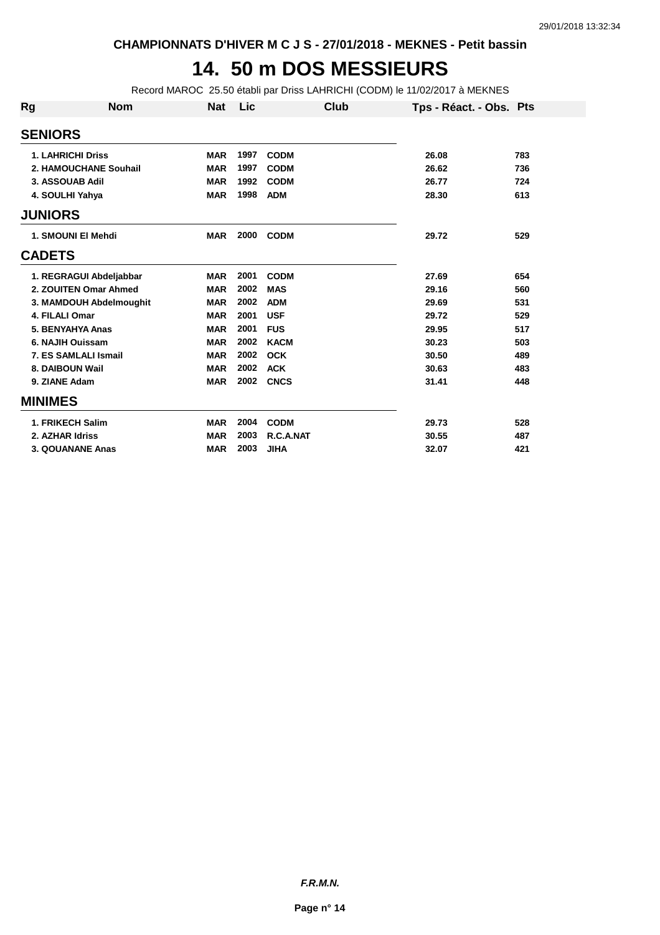#### **14. 50 m DOS MESSIEURS**

Record MAROC 25.50 établi par Driss LAHRICHI (CODM) le 11/02/2017 à MEKNES

| Rg             | <b>Nom</b>               | <b>Nat</b> | Lic  | Club        | Tps - Réact. - Obs. Pts |     |
|----------------|--------------------------|------------|------|-------------|-------------------------|-----|
| <b>SENIORS</b> |                          |            |      |             |                         |     |
|                | <b>1. LAHRICHI Driss</b> | <b>MAR</b> | 1997 | <b>CODM</b> | 26.08                   | 783 |
|                | 2. HAMOUCHANE Souhail    | <b>MAR</b> | 1997 | <b>CODM</b> | 26.62                   | 736 |
|                | 3. ASSOUAB Adil          | <b>MAR</b> | 1992 | <b>CODM</b> | 26.77                   | 724 |
|                | 4. SOULHI Yahya          | <b>MAR</b> | 1998 | <b>ADM</b>  | 28.30                   | 613 |
| <b>JUNIORS</b> |                          |            |      |             |                         |     |
|                | 1. SMOUNI EI Mehdi       | <b>MAR</b> | 2000 | <b>CODM</b> | 29.72                   | 529 |
| <b>CADETS</b>  |                          |            |      |             |                         |     |
|                | 1. REGRAGUI Abdeljabbar  | <b>MAR</b> | 2001 | <b>CODM</b> | 27.69                   | 654 |
|                | 2. ZOUITEN Omar Ahmed    | <b>MAR</b> | 2002 | <b>MAS</b>  | 29.16                   | 560 |
|                | 3. MAMDOUH Abdelmoughit  | <b>MAR</b> | 2002 | <b>ADM</b>  | 29.69                   | 531 |
|                | 4. FILALI Omar           | <b>MAR</b> | 2001 | <b>USF</b>  | 29.72                   | 529 |
|                | 5. BENYAHYA Anas         | <b>MAR</b> | 2001 | <b>FUS</b>  | 29.95                   | 517 |
|                | 6. NAJIH Ouissam         | <b>MAR</b> | 2002 | <b>KACM</b> | 30.23                   | 503 |
|                | 7. ES SAMLALI Ismail     | <b>MAR</b> | 2002 | <b>OCK</b>  | 30.50                   | 489 |
|                | 8. DAIBOUN Wail          | <b>MAR</b> | 2002 | <b>ACK</b>  | 30.63                   | 483 |
|                | 9. ZIANE Adam            | <b>MAR</b> | 2002 | <b>CNCS</b> | 31.41                   | 448 |
| <b>MINIMES</b> |                          |            |      |             |                         |     |
|                | 1. FRIKECH Salim         | <b>MAR</b> | 2004 | <b>CODM</b> | 29.73                   | 528 |
|                | 2. AZHAR Idriss          | <b>MAR</b> | 2003 | R.C.A.NAT   | 30.55                   | 487 |
|                | 3. QOUANANE Anas         | <b>MAR</b> | 2003 | <b>JIHA</b> | 32.07                   | 421 |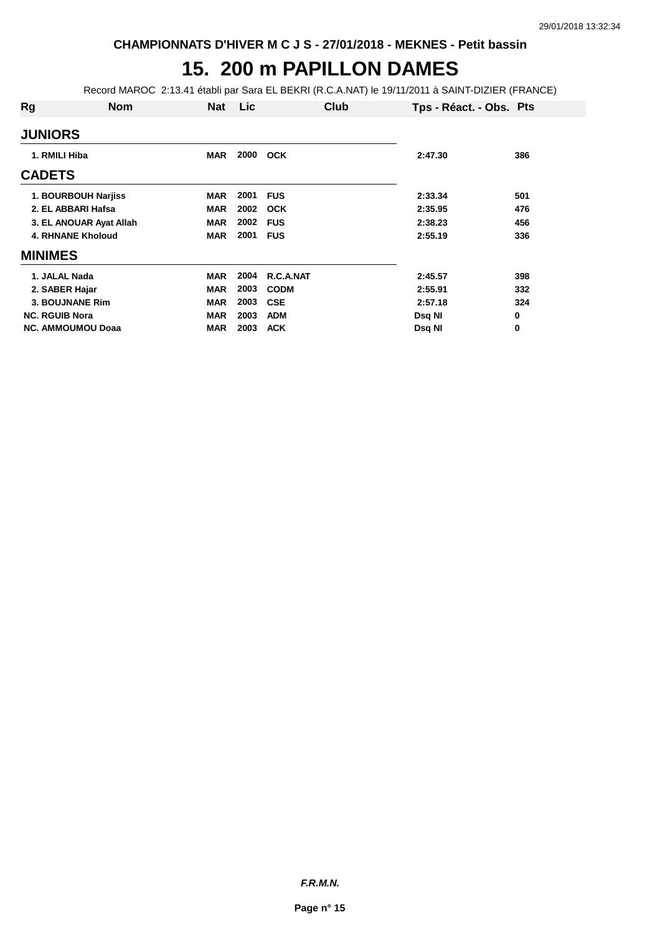## **15. 200 m PAPILLON DAMES**

Record MAROC 2:13.41 établi par Sara EL BEKRI (R.C.A.NAT) le 19/11/2011 à SAINT-DIZIER (FRANCE)

| Rg                       | <b>Nom</b>              | <b>Nat</b> | Lic  | Club        | Tps - Réact. - Obs. Pts |          |
|--------------------------|-------------------------|------------|------|-------------|-------------------------|----------|
| <b>JUNIORS</b>           |                         |            |      |             |                         |          |
| 1. RMILI Hiba            |                         | <b>MAR</b> | 2000 | <b>OCK</b>  | 2:47.30                 | 386      |
| <b>CADETS</b>            |                         |            |      |             |                         |          |
| 1. BOURBOUH Narjiss      |                         | <b>MAR</b> | 2001 | <b>FUS</b>  | 2:33.34                 | 501      |
| 2. EL ABBARI Hafsa       |                         | <b>MAR</b> | 2002 | OCK         | 2:35.95                 | 476      |
|                          | 3. EL ANOUAR Ayat Allah | <b>MAR</b> | 2002 | <b>FUS</b>  | 2:38.23                 | 456      |
| <b>4. RHNANE Kholoud</b> |                         | <b>MAR</b> | 2001 | <b>FUS</b>  | 2:55.19                 | 336      |
| <b>MINIMES</b>           |                         |            |      |             |                         |          |
| 1. JALAL Nada            |                         | <b>MAR</b> | 2004 | R.C.A.NAT   | 2:45.57                 | 398      |
| 2. SABER Hajar           |                         | <b>MAR</b> | 2003 | <b>CODM</b> | 2:55.91                 | 332      |
| 3. BOUJNANE Rim          |                         | <b>MAR</b> | 2003 | <b>CSE</b>  | 2:57.18                 | 324      |
| <b>NC. RGUIB Nora</b>    |                         | <b>MAR</b> | 2003 | <b>ADM</b>  | Dsq NI                  | 0        |
| <b>NC. AMMOUMOU Doaa</b> |                         | <b>MAR</b> | 2003 | <b>ACK</b>  | Dsq NI                  | $\bf{0}$ |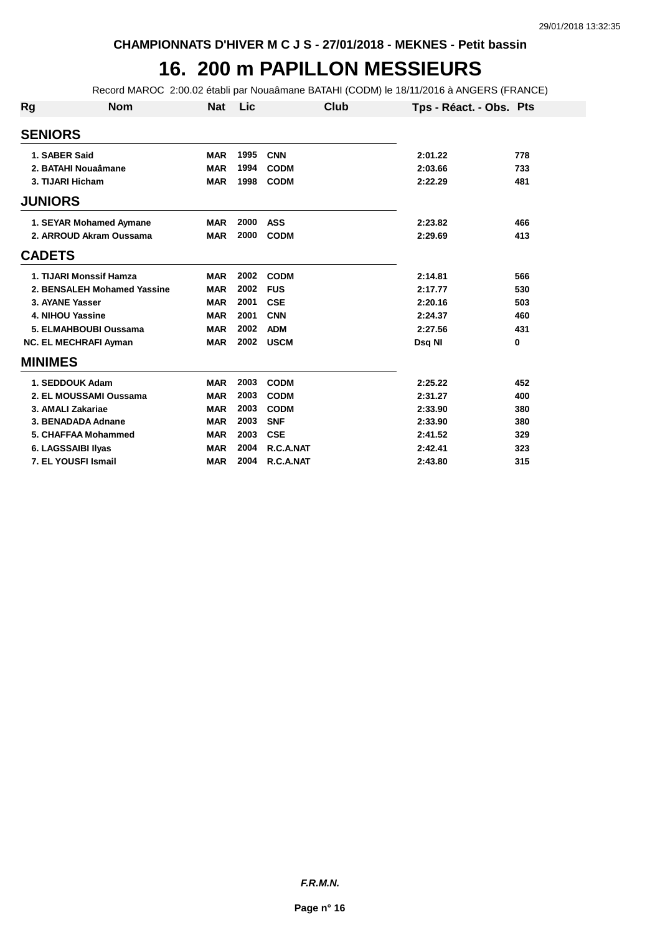## **16. 200 m PAPILLON MESSIEURS**

Record MAROC 2:00.02 établi par Nouaâmane BATAHI (CODM) le 18/11/2016 à ANGERS (FRANCE)

| Rg | <b>Nom</b>                   | <b>Nat</b> | Lic  | Club        |         | Tps - Réact. - Obs. Pts |
|----|------------------------------|------------|------|-------------|---------|-------------------------|
|    | <b>SENIORS</b>               |            |      |             |         |                         |
|    | 1. SABER Said                | <b>MAR</b> | 1995 | <b>CNN</b>  | 2:01.22 | 778                     |
|    | 2. BATAHI Nouaâmane          | <b>MAR</b> | 1994 | <b>CODM</b> | 2:03.66 | 733                     |
|    | 3. TIJARI Hicham             | <b>MAR</b> | 1998 | <b>CODM</b> | 2:22.29 | 481                     |
|    | <b>JUNIORS</b>               |            |      |             |         |                         |
|    | 1. SEYAR Mohamed Aymane      | <b>MAR</b> | 2000 | <b>ASS</b>  | 2:23.82 | 466                     |
|    | 2. ARROUD Akram Oussama      | <b>MAR</b> | 2000 | <b>CODM</b> | 2:29.69 | 413                     |
|    | <b>CADETS</b>                |            |      |             |         |                         |
|    | 1. TIJARI Monssif Hamza      | <b>MAR</b> | 2002 | <b>CODM</b> | 2:14.81 | 566                     |
|    | 2. BENSALEH Mohamed Yassine  | <b>MAR</b> | 2002 | <b>FUS</b>  | 2:17.77 | 530                     |
|    | 3. AYANE Yasser              | <b>MAR</b> | 2001 | <b>CSE</b>  | 2:20.16 | 503                     |
|    | 4. NIHOU Yassine             | <b>MAR</b> | 2001 | <b>CNN</b>  | 2:24.37 | 460                     |
|    | 5. ELMAHBOUBI Oussama        | <b>MAR</b> | 2002 | <b>ADM</b>  | 2:27.56 | 431                     |
|    | <b>NC. EL MECHRAFI Ayman</b> | <b>MAR</b> | 2002 | <b>USCM</b> | Dsq NI  | 0                       |
|    | <b>MINIMES</b>               |            |      |             |         |                         |
|    | 1. SEDDOUK Adam              | <b>MAR</b> | 2003 | <b>CODM</b> | 2:25.22 | 452                     |
|    | 2. EL MOUSSAMI Oussama       | <b>MAR</b> | 2003 | <b>CODM</b> | 2:31.27 | 400                     |
|    | 3. AMALI Zakariae            | <b>MAR</b> | 2003 | <b>CODM</b> | 2:33.90 | 380                     |
|    | 3. BENADADA Adnane           | <b>MAR</b> | 2003 | <b>SNF</b>  | 2:33.90 | 380                     |
|    | 5. CHAFFAA Mohammed          | <b>MAR</b> | 2003 | <b>CSE</b>  | 2:41.52 | 329                     |
|    | 6. LAGSSAIBI IIyas           | <b>MAR</b> | 2004 | R.C.A.NAT   | 2:42.41 | 323                     |
|    | 7. EL YOUSFI Ismail          | <b>MAR</b> | 2004 | R.C.A.NAT   | 2:43.80 | 315                     |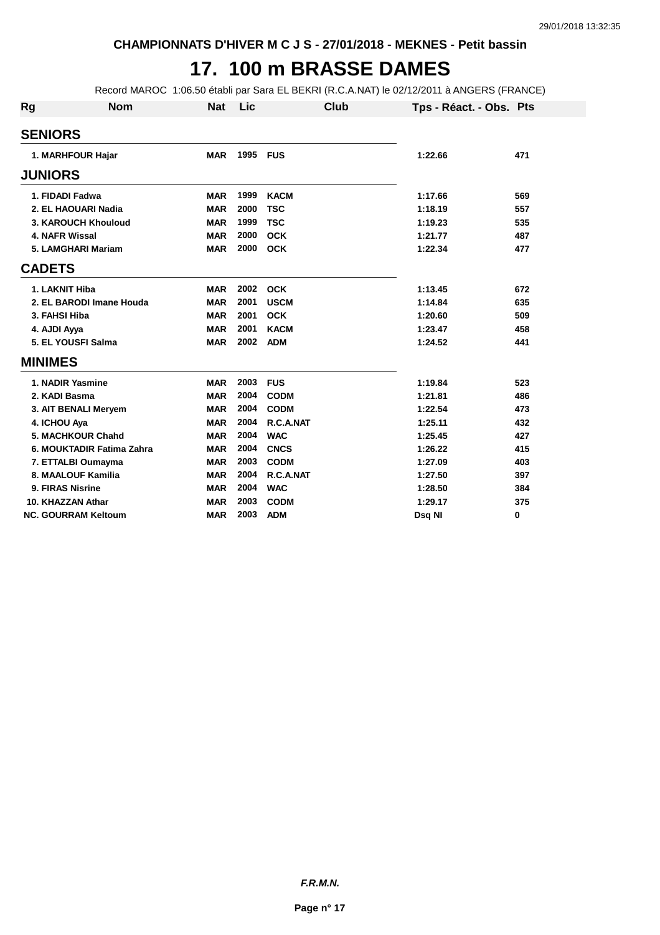## **17. 100 m BRASSE DAMES**

Record MAROC 1:06.50 établi par Sara EL BEKRI (R.C.A.NAT) le 02/12/2011 à ANGERS (FRANCE)

| <b>Rg</b> | <b>Nom</b>                 | <b>Nat</b> | Lic  | Club        | Tps - Réact. - Obs. Pts |     |
|-----------|----------------------------|------------|------|-------------|-------------------------|-----|
|           | <b>SENIORS</b>             |            |      |             |                         |     |
|           | 1. MARHFOUR Hajar          | <b>MAR</b> | 1995 | <b>FUS</b>  | 1:22.66                 | 471 |
|           | <b>JUNIORS</b>             |            |      |             |                         |     |
|           | 1. FIDADI Fadwa            | <b>MAR</b> | 1999 | <b>KACM</b> | 1:17.66                 | 569 |
|           | 2. EL HAOUARI Nadia        | <b>MAR</b> | 2000 | <b>TSC</b>  | 1:18.19                 | 557 |
|           | 3. KAROUCH Khouloud        | <b>MAR</b> | 1999 | <b>TSC</b>  | 1:19.23                 | 535 |
|           | 4. NAFR Wissal             | <b>MAR</b> | 2000 | <b>OCK</b>  | 1:21.77                 | 487 |
|           | 5. LAMGHARI Mariam         | <b>MAR</b> | 2000 | <b>OCK</b>  | 1:22.34                 | 477 |
|           | <b>CADETS</b>              |            |      |             |                         |     |
|           | 1. LAKNIT Hiba             | <b>MAR</b> | 2002 | <b>OCK</b>  | 1:13.45                 | 672 |
|           | 2. EL BARODI Imane Houda   | <b>MAR</b> | 2001 | <b>USCM</b> | 1:14.84                 | 635 |
|           | 3. FAHSI Hiba              | <b>MAR</b> | 2001 | <b>OCK</b>  | 1:20.60                 | 509 |
|           | 4. AJDI Ayya               | <b>MAR</b> | 2001 | <b>KACM</b> | 1:23.47                 | 458 |
|           | 5. EL YOUSFI Salma         | <b>MAR</b> | 2002 | <b>ADM</b>  | 1:24.52                 | 441 |
|           | <b>MINIMES</b>             |            |      |             |                         |     |
|           | 1. NADIR Yasmine           | <b>MAR</b> | 2003 | <b>FUS</b>  | 1:19.84                 | 523 |
|           | 2. KADI Basma              | <b>MAR</b> | 2004 | <b>CODM</b> | 1:21.81                 | 486 |
|           | 3. AIT BENALI Meryem       | <b>MAR</b> | 2004 | <b>CODM</b> | 1:22.54                 | 473 |
|           | 4. ICHOU Aya               | <b>MAR</b> | 2004 | R.C.A.NAT   | 1:25.11                 | 432 |
|           | 5. MACHKOUR Chahd          | <b>MAR</b> | 2004 | <b>WAC</b>  | 1:25.45                 | 427 |
|           | 6. MOUKTADIR Fatima Zahra  | <b>MAR</b> | 2004 | <b>CNCS</b> | 1:26.22                 | 415 |
|           | 7. ETTALBI Oumayma         | <b>MAR</b> | 2003 | <b>CODM</b> | 1:27.09                 | 403 |
|           | 8. MAALOUF Kamilia         | <b>MAR</b> | 2004 | R.C.A.NAT   | 1:27.50                 | 397 |
|           | 9. FIRAS Nisrine           | <b>MAR</b> | 2004 | <b>WAC</b>  | 1:28.50                 | 384 |
|           | 10. KHAZZAN Athar          | <b>MAR</b> | 2003 | <b>CODM</b> | 1:29.17                 | 375 |
|           | <b>NC. GOURRAM Keltoum</b> | <b>MAR</b> | 2003 | <b>ADM</b>  | Dsq NI                  | 0   |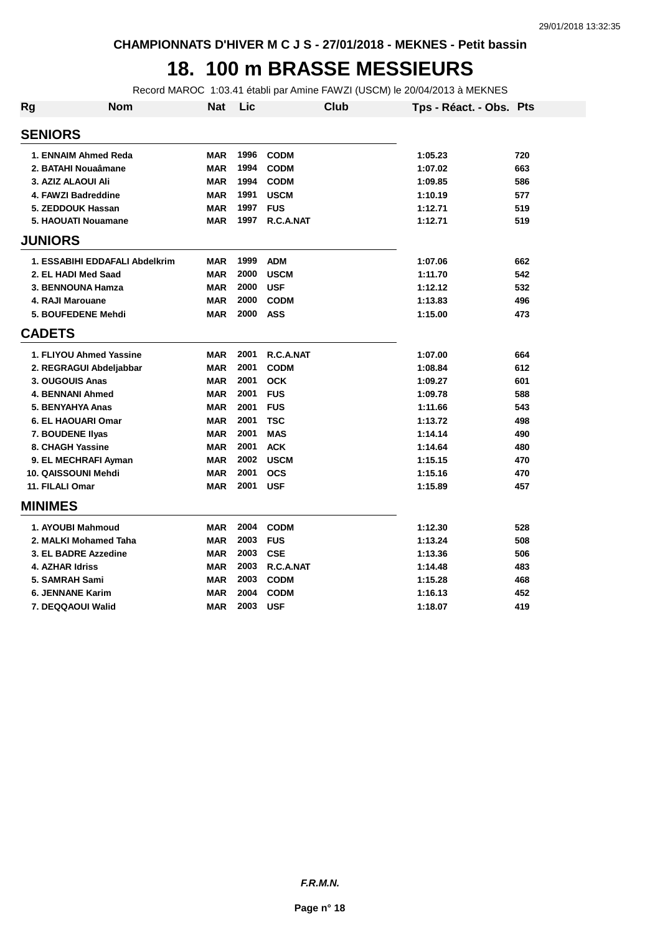## **18. 100 m BRASSE MESSIEURS**

Record MAROC 1:03.41 établi par Amine FAWZI (USCM) le 20/04/2013 à MEKNES

| Rg            | Nom                            | <b>Nat</b> | Lic  |             | Club | Tps - Réact. - Obs. Pts |     |
|---------------|--------------------------------|------------|------|-------------|------|-------------------------|-----|
|               | <b>SENIORS</b>                 |            |      |             |      |                         |     |
|               | 1. ENNAIM Ahmed Reda           | <b>MAR</b> | 1996 | <b>CODM</b> |      | 1:05.23                 | 720 |
|               | 2. BATAHI Nouaâmane            | <b>MAR</b> | 1994 | <b>CODM</b> |      | 1:07.02                 | 663 |
|               | 3. AZIZ ALAOUI Ali             | <b>MAR</b> | 1994 | <b>CODM</b> |      | 1:09.85                 | 586 |
|               | 4. FAWZI Badreddine            | <b>MAR</b> | 1991 | <b>USCM</b> |      | 1:10.19                 | 577 |
|               | 5. ZEDDOUK Hassan              | <b>MAR</b> | 1997 | <b>FUS</b>  |      | 1:12.71                 | 519 |
|               | 5. HAOUATI Nouamane            | <b>MAR</b> | 1997 | R.C.A.NAT   |      | 1:12.71                 | 519 |
|               | <b>JUNIORS</b>                 |            |      |             |      |                         |     |
|               | 1. ESSABIHI EDDAFALI Abdelkrim | <b>MAR</b> | 1999 | <b>ADM</b>  |      | 1:07.06                 | 662 |
|               | 2. EL HADI Med Saad            | <b>MAR</b> | 2000 | <b>USCM</b> |      | 1:11.70                 | 542 |
|               | 3. BENNOUNA Hamza              | <b>MAR</b> | 2000 | <b>USF</b>  |      | 1:12.12                 | 532 |
|               | 4. RAJI Marouane               | <b>MAR</b> | 2000 | <b>CODM</b> |      | 1:13.83                 | 496 |
|               | 5. BOUFEDENE Mehdi             | <b>MAR</b> | 2000 | <b>ASS</b>  |      | 1:15.00                 | 473 |
| <b>CADETS</b> |                                |            |      |             |      |                         |     |
|               | 1. FLIYOU Ahmed Yassine        | <b>MAR</b> | 2001 | R.C.A.NAT   |      | 1:07.00                 | 664 |
|               | 2. REGRAGUI Abdeljabbar        | <b>MAR</b> | 2001 | <b>CODM</b> |      | 1:08.84                 | 612 |
|               | 3. OUGOUIS Anas                | <b>MAR</b> | 2001 | <b>OCK</b>  |      | 1:09.27                 | 601 |
|               | <b>4. BENNANI Ahmed</b>        | <b>MAR</b> | 2001 | <b>FUS</b>  |      | 1:09.78                 | 588 |
|               | 5. BENYAHYA Anas               | <b>MAR</b> | 2001 | <b>FUS</b>  |      | 1:11.66                 | 543 |
|               | 6. EL HAOUARI Omar             | <b>MAR</b> | 2001 | <b>TSC</b>  |      | 1:13.72                 | 498 |
|               | 7. BOUDENE Ilyas               | <b>MAR</b> | 2001 | <b>MAS</b>  |      | 1:14.14                 | 490 |
|               | 8. CHAGH Yassine               | <b>MAR</b> | 2001 | <b>ACK</b>  |      | 1:14.64                 | 480 |
|               | 9. EL MECHRAFI Ayman           | <b>MAR</b> | 2002 | <b>USCM</b> |      | 1:15.15                 | 470 |
|               | 10. QAISSOUNI Mehdi            | <b>MAR</b> | 2001 | <b>OCS</b>  |      | 1:15.16                 | 470 |
|               | 11. FILALI Omar                | <b>MAR</b> | 2001 | <b>USF</b>  |      | 1:15.89                 | 457 |
|               | <b>MINIMES</b>                 |            |      |             |      |                         |     |
|               | 1. AYOUBI Mahmoud              | <b>MAR</b> | 2004 | <b>CODM</b> |      | 1:12.30                 | 528 |
|               | 2. MALKI Mohamed Taha          | <b>MAR</b> | 2003 | <b>FUS</b>  |      | 1:13.24                 | 508 |
|               | 3. EL BADRE Azzedine           | <b>MAR</b> | 2003 | <b>CSE</b>  |      | 1:13.36                 | 506 |
|               | 4. AZHAR Idriss                | <b>MAR</b> | 2003 | R.C.A.NAT   |      | 1:14.48                 | 483 |
|               | 5. SAMRAH Sami                 | <b>MAR</b> | 2003 | <b>CODM</b> |      | 1:15.28                 | 468 |
|               | <b>6. JENNANE Karim</b>        | <b>MAR</b> | 2004 | <b>CODM</b> |      | 1:16.13                 | 452 |
|               | 7. DEQQAOUI Walid              | <b>MAR</b> | 2003 | <b>USF</b>  |      | 1:18.07                 | 419 |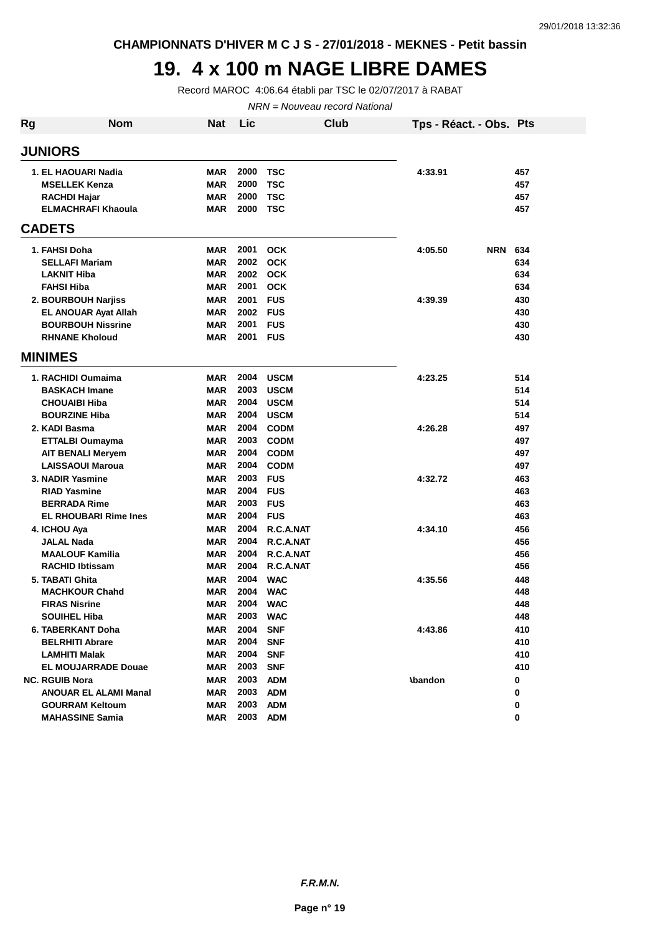**CHAMPIONNATS D'HIVER M C J S - 27/01/2018 - MEKNES - Petit bassin**

## **19. 4 x 100 m NAGE LIBRE DAMES**

Record MAROC 4:06.64 établi par TSC le 02/07/2017 à RABAT

NRN = Nouveau record National

| <b>JUNIORS</b><br>1. EL HAOUARI Nadia<br><b>MAR</b><br>2000<br><b>TSC</b><br>4:33.91<br>457<br><b>MAR</b><br>2000<br><b>TSC</b><br><b>MSELLEK Kenza</b><br>457<br>2000<br><b>TSC</b><br><b>RACHDI Hajar</b><br><b>MAR</b><br>457<br>2000<br><b>ELMACHRAFI Khaoula</b><br><b>MAR</b><br><b>TSC</b><br>457<br><b>CADETS</b><br>2001<br>1. FAHSI Doha<br><b>MAR</b><br><b>OCK</b><br>4:05.50<br><b>NRN</b><br>634<br>2002<br><b>OCK</b><br><b>SELLAFI Mariam</b><br><b>MAR</b><br>634<br>2002<br><b>OCK</b><br><b>LAKNIT Hiba</b><br><b>MAR</b><br>634<br>2001<br><b>FAHSI Hiba</b><br><b>MAR</b><br><b>OCK</b><br>634<br>2001<br><b>FUS</b><br>2. BOURBOUH Narjiss<br><b>MAR</b><br>4:39.39<br>430<br><b>MAR</b><br>2002<br><b>FUS</b><br><b>EL ANOUAR Ayat Allah</b><br>430<br>2001<br><b>MAR</b><br><b>FUS</b><br><b>BOURBOUH Nissrine</b><br>430<br><b>RHNANE Kholoud</b><br>2001<br><b>FUS</b><br><b>MAR</b><br>430<br><b>MINIMES</b><br>2004<br><b>USCM</b><br>1. RACHIDI Oumaima<br><b>MAR</b><br>4:23.25<br>514<br>2003<br><b>BASKACH Imane</b><br><b>MAR</b><br><b>USCM</b><br>514<br>2004<br><b>CHOUAIBI Hiba</b><br><b>MAR</b><br><b>USCM</b><br>514<br>2004<br><b>BOURZINE Hiba</b><br><b>MAR</b><br><b>USCM</b><br>514<br>2004<br>2. KADI Basma<br><b>MAR</b><br><b>CODM</b><br>4:26.28<br>497<br>2003<br><b>MAR</b><br><b>CODM</b><br>497<br><b>ETTALBI Oumayma</b><br>2004<br><b>MAR</b><br><b>CODM</b><br>497<br><b>AIT BENALI Meryem</b><br><b>MAR</b><br>2004<br><b>LAISSAOUI Maroua</b><br><b>CODM</b><br>497<br>3. NADIR Yasmine<br><b>MAR</b><br>2003<br><b>FUS</b><br>4:32.72<br>463<br>2004<br><b>MAR</b><br><b>FUS</b><br><b>RIAD Yasmine</b><br>463<br>2003<br><b>BERRADA Rime</b><br><b>MAR</b><br><b>FUS</b><br>463<br><b>EL RHOUBARI Rime Ines</b><br>2004<br><b>FUS</b><br><b>MAR</b><br>463<br><b>MAR</b><br>2004<br>R.C.A.NAT<br>456<br>4. ICHOU Aya<br>4:34.10<br>2004<br>456<br>JALAL Nada<br><b>MAR</b><br>R.C.A.NAT<br>2004<br><b>MAALOUF Kamilia</b><br>R.C.A.NAT<br>456<br><b>MAR</b><br>2004<br>R.C.A.NAT<br><b>RACHID Ibtissam</b><br><b>MAR</b><br>456<br>2004<br><b>WAC</b><br>5. TABATI Ghita<br><b>MAR</b><br>4:35.56<br>448<br>2004<br><b>WAC</b><br><b>MACHKOUR Chahd</b><br><b>MAR</b><br>448<br>2004<br><b>WAC</b><br><b>FIRAS Nisrine</b><br><b>MAR</b><br>448<br>SOUIHEL Hiba<br>MAR<br>2003<br><b>WAC</b><br>448<br>2004<br><b>6. TABERKANT Doha</b><br><b>MAR</b><br><b>SNF</b><br>4:43.86<br>410<br>2004<br><b>MAR</b><br><b>SNF</b><br>410<br><b>BELRHITI Abrare</b><br>2004<br><b>LAMHITI Malak</b><br>MAR<br><b>SNF</b><br>410<br><b>EL MOUJARRADE Douae</b><br>MAR<br>2003<br><b>SNF</b><br>410<br>2003<br><b>NC. RGUIB Nora</b><br>MAR<br><b>ADM</b><br><b>Abandon</b><br>0<br>2003<br>MAR<br><b>ADM</b><br><b>ANOUAR EL ALAMI Manal</b><br>0<br>2003<br><b>ADM</b><br><b>GOURRAM Keltoum</b><br><b>MAR</b><br>0<br>2003<br><b>MAHASSINE Samia</b><br>MAR<br><b>ADM</b><br>0 | <b>Rg</b> | <b>Nom</b> | Nat | Lic | Club | Tps - Réact. - Obs. Pts |  |
|------------------------------------------------------------------------------------------------------------------------------------------------------------------------------------------------------------------------------------------------------------------------------------------------------------------------------------------------------------------------------------------------------------------------------------------------------------------------------------------------------------------------------------------------------------------------------------------------------------------------------------------------------------------------------------------------------------------------------------------------------------------------------------------------------------------------------------------------------------------------------------------------------------------------------------------------------------------------------------------------------------------------------------------------------------------------------------------------------------------------------------------------------------------------------------------------------------------------------------------------------------------------------------------------------------------------------------------------------------------------------------------------------------------------------------------------------------------------------------------------------------------------------------------------------------------------------------------------------------------------------------------------------------------------------------------------------------------------------------------------------------------------------------------------------------------------------------------------------------------------------------------------------------------------------------------------------------------------------------------------------------------------------------------------------------------------------------------------------------------------------------------------------------------------------------------------------------------------------------------------------------------------------------------------------------------------------------------------------------------------------------------------------------------------------------------------------------------------------------------------------------------------------------------------------------------------------------------------------------------------------------------------------------------------------------------------------------------------------------------------------------------------------------------------------------------------------------------------------------------------------------------------------------------------------------|-----------|------------|-----|-----|------|-------------------------|--|
|                                                                                                                                                                                                                                                                                                                                                                                                                                                                                                                                                                                                                                                                                                                                                                                                                                                                                                                                                                                                                                                                                                                                                                                                                                                                                                                                                                                                                                                                                                                                                                                                                                                                                                                                                                                                                                                                                                                                                                                                                                                                                                                                                                                                                                                                                                                                                                                                                                                                                                                                                                                                                                                                                                                                                                                                                                                                                                                                    |           |            |     |     |      |                         |  |
|                                                                                                                                                                                                                                                                                                                                                                                                                                                                                                                                                                                                                                                                                                                                                                                                                                                                                                                                                                                                                                                                                                                                                                                                                                                                                                                                                                                                                                                                                                                                                                                                                                                                                                                                                                                                                                                                                                                                                                                                                                                                                                                                                                                                                                                                                                                                                                                                                                                                                                                                                                                                                                                                                                                                                                                                                                                                                                                                    |           |            |     |     |      |                         |  |
|                                                                                                                                                                                                                                                                                                                                                                                                                                                                                                                                                                                                                                                                                                                                                                                                                                                                                                                                                                                                                                                                                                                                                                                                                                                                                                                                                                                                                                                                                                                                                                                                                                                                                                                                                                                                                                                                                                                                                                                                                                                                                                                                                                                                                                                                                                                                                                                                                                                                                                                                                                                                                                                                                                                                                                                                                                                                                                                                    |           |            |     |     |      |                         |  |
|                                                                                                                                                                                                                                                                                                                                                                                                                                                                                                                                                                                                                                                                                                                                                                                                                                                                                                                                                                                                                                                                                                                                                                                                                                                                                                                                                                                                                                                                                                                                                                                                                                                                                                                                                                                                                                                                                                                                                                                                                                                                                                                                                                                                                                                                                                                                                                                                                                                                                                                                                                                                                                                                                                                                                                                                                                                                                                                                    |           |            |     |     |      |                         |  |
|                                                                                                                                                                                                                                                                                                                                                                                                                                                                                                                                                                                                                                                                                                                                                                                                                                                                                                                                                                                                                                                                                                                                                                                                                                                                                                                                                                                                                                                                                                                                                                                                                                                                                                                                                                                                                                                                                                                                                                                                                                                                                                                                                                                                                                                                                                                                                                                                                                                                                                                                                                                                                                                                                                                                                                                                                                                                                                                                    |           |            |     |     |      |                         |  |
|                                                                                                                                                                                                                                                                                                                                                                                                                                                                                                                                                                                                                                                                                                                                                                                                                                                                                                                                                                                                                                                                                                                                                                                                                                                                                                                                                                                                                                                                                                                                                                                                                                                                                                                                                                                                                                                                                                                                                                                                                                                                                                                                                                                                                                                                                                                                                                                                                                                                                                                                                                                                                                                                                                                                                                                                                                                                                                                                    |           |            |     |     |      |                         |  |
|                                                                                                                                                                                                                                                                                                                                                                                                                                                                                                                                                                                                                                                                                                                                                                                                                                                                                                                                                                                                                                                                                                                                                                                                                                                                                                                                                                                                                                                                                                                                                                                                                                                                                                                                                                                                                                                                                                                                                                                                                                                                                                                                                                                                                                                                                                                                                                                                                                                                                                                                                                                                                                                                                                                                                                                                                                                                                                                                    |           |            |     |     |      |                         |  |
|                                                                                                                                                                                                                                                                                                                                                                                                                                                                                                                                                                                                                                                                                                                                                                                                                                                                                                                                                                                                                                                                                                                                                                                                                                                                                                                                                                                                                                                                                                                                                                                                                                                                                                                                                                                                                                                                                                                                                                                                                                                                                                                                                                                                                                                                                                                                                                                                                                                                                                                                                                                                                                                                                                                                                                                                                                                                                                                                    |           |            |     |     |      |                         |  |
|                                                                                                                                                                                                                                                                                                                                                                                                                                                                                                                                                                                                                                                                                                                                                                                                                                                                                                                                                                                                                                                                                                                                                                                                                                                                                                                                                                                                                                                                                                                                                                                                                                                                                                                                                                                                                                                                                                                                                                                                                                                                                                                                                                                                                                                                                                                                                                                                                                                                                                                                                                                                                                                                                                                                                                                                                                                                                                                                    |           |            |     |     |      |                         |  |
|                                                                                                                                                                                                                                                                                                                                                                                                                                                                                                                                                                                                                                                                                                                                                                                                                                                                                                                                                                                                                                                                                                                                                                                                                                                                                                                                                                                                                                                                                                                                                                                                                                                                                                                                                                                                                                                                                                                                                                                                                                                                                                                                                                                                                                                                                                                                                                                                                                                                                                                                                                                                                                                                                                                                                                                                                                                                                                                                    |           |            |     |     |      |                         |  |
|                                                                                                                                                                                                                                                                                                                                                                                                                                                                                                                                                                                                                                                                                                                                                                                                                                                                                                                                                                                                                                                                                                                                                                                                                                                                                                                                                                                                                                                                                                                                                                                                                                                                                                                                                                                                                                                                                                                                                                                                                                                                                                                                                                                                                                                                                                                                                                                                                                                                                                                                                                                                                                                                                                                                                                                                                                                                                                                                    |           |            |     |     |      |                         |  |
|                                                                                                                                                                                                                                                                                                                                                                                                                                                                                                                                                                                                                                                                                                                                                                                                                                                                                                                                                                                                                                                                                                                                                                                                                                                                                                                                                                                                                                                                                                                                                                                                                                                                                                                                                                                                                                                                                                                                                                                                                                                                                                                                                                                                                                                                                                                                                                                                                                                                                                                                                                                                                                                                                                                                                                                                                                                                                                                                    |           |            |     |     |      |                         |  |
|                                                                                                                                                                                                                                                                                                                                                                                                                                                                                                                                                                                                                                                                                                                                                                                                                                                                                                                                                                                                                                                                                                                                                                                                                                                                                                                                                                                                                                                                                                                                                                                                                                                                                                                                                                                                                                                                                                                                                                                                                                                                                                                                                                                                                                                                                                                                                                                                                                                                                                                                                                                                                                                                                                                                                                                                                                                                                                                                    |           |            |     |     |      |                         |  |
|                                                                                                                                                                                                                                                                                                                                                                                                                                                                                                                                                                                                                                                                                                                                                                                                                                                                                                                                                                                                                                                                                                                                                                                                                                                                                                                                                                                                                                                                                                                                                                                                                                                                                                                                                                                                                                                                                                                                                                                                                                                                                                                                                                                                                                                                                                                                                                                                                                                                                                                                                                                                                                                                                                                                                                                                                                                                                                                                    |           |            |     |     |      |                         |  |
|                                                                                                                                                                                                                                                                                                                                                                                                                                                                                                                                                                                                                                                                                                                                                                                                                                                                                                                                                                                                                                                                                                                                                                                                                                                                                                                                                                                                                                                                                                                                                                                                                                                                                                                                                                                                                                                                                                                                                                                                                                                                                                                                                                                                                                                                                                                                                                                                                                                                                                                                                                                                                                                                                                                                                                                                                                                                                                                                    |           |            |     |     |      |                         |  |
|                                                                                                                                                                                                                                                                                                                                                                                                                                                                                                                                                                                                                                                                                                                                                                                                                                                                                                                                                                                                                                                                                                                                                                                                                                                                                                                                                                                                                                                                                                                                                                                                                                                                                                                                                                                                                                                                                                                                                                                                                                                                                                                                                                                                                                                                                                                                                                                                                                                                                                                                                                                                                                                                                                                                                                                                                                                                                                                                    |           |            |     |     |      |                         |  |
|                                                                                                                                                                                                                                                                                                                                                                                                                                                                                                                                                                                                                                                                                                                                                                                                                                                                                                                                                                                                                                                                                                                                                                                                                                                                                                                                                                                                                                                                                                                                                                                                                                                                                                                                                                                                                                                                                                                                                                                                                                                                                                                                                                                                                                                                                                                                                                                                                                                                                                                                                                                                                                                                                                                                                                                                                                                                                                                                    |           |            |     |     |      |                         |  |
|                                                                                                                                                                                                                                                                                                                                                                                                                                                                                                                                                                                                                                                                                                                                                                                                                                                                                                                                                                                                                                                                                                                                                                                                                                                                                                                                                                                                                                                                                                                                                                                                                                                                                                                                                                                                                                                                                                                                                                                                                                                                                                                                                                                                                                                                                                                                                                                                                                                                                                                                                                                                                                                                                                                                                                                                                                                                                                                                    |           |            |     |     |      |                         |  |
|                                                                                                                                                                                                                                                                                                                                                                                                                                                                                                                                                                                                                                                                                                                                                                                                                                                                                                                                                                                                                                                                                                                                                                                                                                                                                                                                                                                                                                                                                                                                                                                                                                                                                                                                                                                                                                                                                                                                                                                                                                                                                                                                                                                                                                                                                                                                                                                                                                                                                                                                                                                                                                                                                                                                                                                                                                                                                                                                    |           |            |     |     |      |                         |  |
|                                                                                                                                                                                                                                                                                                                                                                                                                                                                                                                                                                                                                                                                                                                                                                                                                                                                                                                                                                                                                                                                                                                                                                                                                                                                                                                                                                                                                                                                                                                                                                                                                                                                                                                                                                                                                                                                                                                                                                                                                                                                                                                                                                                                                                                                                                                                                                                                                                                                                                                                                                                                                                                                                                                                                                                                                                                                                                                                    |           |            |     |     |      |                         |  |
|                                                                                                                                                                                                                                                                                                                                                                                                                                                                                                                                                                                                                                                                                                                                                                                                                                                                                                                                                                                                                                                                                                                                                                                                                                                                                                                                                                                                                                                                                                                                                                                                                                                                                                                                                                                                                                                                                                                                                                                                                                                                                                                                                                                                                                                                                                                                                                                                                                                                                                                                                                                                                                                                                                                                                                                                                                                                                                                                    |           |            |     |     |      |                         |  |
|                                                                                                                                                                                                                                                                                                                                                                                                                                                                                                                                                                                                                                                                                                                                                                                                                                                                                                                                                                                                                                                                                                                                                                                                                                                                                                                                                                                                                                                                                                                                                                                                                                                                                                                                                                                                                                                                                                                                                                                                                                                                                                                                                                                                                                                                                                                                                                                                                                                                                                                                                                                                                                                                                                                                                                                                                                                                                                                                    |           |            |     |     |      |                         |  |
|                                                                                                                                                                                                                                                                                                                                                                                                                                                                                                                                                                                                                                                                                                                                                                                                                                                                                                                                                                                                                                                                                                                                                                                                                                                                                                                                                                                                                                                                                                                                                                                                                                                                                                                                                                                                                                                                                                                                                                                                                                                                                                                                                                                                                                                                                                                                                                                                                                                                                                                                                                                                                                                                                                                                                                                                                                                                                                                                    |           |            |     |     |      |                         |  |
|                                                                                                                                                                                                                                                                                                                                                                                                                                                                                                                                                                                                                                                                                                                                                                                                                                                                                                                                                                                                                                                                                                                                                                                                                                                                                                                                                                                                                                                                                                                                                                                                                                                                                                                                                                                                                                                                                                                                                                                                                                                                                                                                                                                                                                                                                                                                                                                                                                                                                                                                                                                                                                                                                                                                                                                                                                                                                                                                    |           |            |     |     |      |                         |  |
|                                                                                                                                                                                                                                                                                                                                                                                                                                                                                                                                                                                                                                                                                                                                                                                                                                                                                                                                                                                                                                                                                                                                                                                                                                                                                                                                                                                                                                                                                                                                                                                                                                                                                                                                                                                                                                                                                                                                                                                                                                                                                                                                                                                                                                                                                                                                                                                                                                                                                                                                                                                                                                                                                                                                                                                                                                                                                                                                    |           |            |     |     |      |                         |  |
|                                                                                                                                                                                                                                                                                                                                                                                                                                                                                                                                                                                                                                                                                                                                                                                                                                                                                                                                                                                                                                                                                                                                                                                                                                                                                                                                                                                                                                                                                                                                                                                                                                                                                                                                                                                                                                                                                                                                                                                                                                                                                                                                                                                                                                                                                                                                                                                                                                                                                                                                                                                                                                                                                                                                                                                                                                                                                                                                    |           |            |     |     |      |                         |  |
|                                                                                                                                                                                                                                                                                                                                                                                                                                                                                                                                                                                                                                                                                                                                                                                                                                                                                                                                                                                                                                                                                                                                                                                                                                                                                                                                                                                                                                                                                                                                                                                                                                                                                                                                                                                                                                                                                                                                                                                                                                                                                                                                                                                                                                                                                                                                                                                                                                                                                                                                                                                                                                                                                                                                                                                                                                                                                                                                    |           |            |     |     |      |                         |  |
|                                                                                                                                                                                                                                                                                                                                                                                                                                                                                                                                                                                                                                                                                                                                                                                                                                                                                                                                                                                                                                                                                                                                                                                                                                                                                                                                                                                                                                                                                                                                                                                                                                                                                                                                                                                                                                                                                                                                                                                                                                                                                                                                                                                                                                                                                                                                                                                                                                                                                                                                                                                                                                                                                                                                                                                                                                                                                                                                    |           |            |     |     |      |                         |  |
|                                                                                                                                                                                                                                                                                                                                                                                                                                                                                                                                                                                                                                                                                                                                                                                                                                                                                                                                                                                                                                                                                                                                                                                                                                                                                                                                                                                                                                                                                                                                                                                                                                                                                                                                                                                                                                                                                                                                                                                                                                                                                                                                                                                                                                                                                                                                                                                                                                                                                                                                                                                                                                                                                                                                                                                                                                                                                                                                    |           |            |     |     |      |                         |  |
|                                                                                                                                                                                                                                                                                                                                                                                                                                                                                                                                                                                                                                                                                                                                                                                                                                                                                                                                                                                                                                                                                                                                                                                                                                                                                                                                                                                                                                                                                                                                                                                                                                                                                                                                                                                                                                                                                                                                                                                                                                                                                                                                                                                                                                                                                                                                                                                                                                                                                                                                                                                                                                                                                                                                                                                                                                                                                                                                    |           |            |     |     |      |                         |  |
|                                                                                                                                                                                                                                                                                                                                                                                                                                                                                                                                                                                                                                                                                                                                                                                                                                                                                                                                                                                                                                                                                                                                                                                                                                                                                                                                                                                                                                                                                                                                                                                                                                                                                                                                                                                                                                                                                                                                                                                                                                                                                                                                                                                                                                                                                                                                                                                                                                                                                                                                                                                                                                                                                                                                                                                                                                                                                                                                    |           |            |     |     |      |                         |  |
|                                                                                                                                                                                                                                                                                                                                                                                                                                                                                                                                                                                                                                                                                                                                                                                                                                                                                                                                                                                                                                                                                                                                                                                                                                                                                                                                                                                                                                                                                                                                                                                                                                                                                                                                                                                                                                                                                                                                                                                                                                                                                                                                                                                                                                                                                                                                                                                                                                                                                                                                                                                                                                                                                                                                                                                                                                                                                                                                    |           |            |     |     |      |                         |  |
|                                                                                                                                                                                                                                                                                                                                                                                                                                                                                                                                                                                                                                                                                                                                                                                                                                                                                                                                                                                                                                                                                                                                                                                                                                                                                                                                                                                                                                                                                                                                                                                                                                                                                                                                                                                                                                                                                                                                                                                                                                                                                                                                                                                                                                                                                                                                                                                                                                                                                                                                                                                                                                                                                                                                                                                                                                                                                                                                    |           |            |     |     |      |                         |  |
|                                                                                                                                                                                                                                                                                                                                                                                                                                                                                                                                                                                                                                                                                                                                                                                                                                                                                                                                                                                                                                                                                                                                                                                                                                                                                                                                                                                                                                                                                                                                                                                                                                                                                                                                                                                                                                                                                                                                                                                                                                                                                                                                                                                                                                                                                                                                                                                                                                                                                                                                                                                                                                                                                                                                                                                                                                                                                                                                    |           |            |     |     |      |                         |  |
|                                                                                                                                                                                                                                                                                                                                                                                                                                                                                                                                                                                                                                                                                                                                                                                                                                                                                                                                                                                                                                                                                                                                                                                                                                                                                                                                                                                                                                                                                                                                                                                                                                                                                                                                                                                                                                                                                                                                                                                                                                                                                                                                                                                                                                                                                                                                                                                                                                                                                                                                                                                                                                                                                                                                                                                                                                                                                                                                    |           |            |     |     |      |                         |  |
|                                                                                                                                                                                                                                                                                                                                                                                                                                                                                                                                                                                                                                                                                                                                                                                                                                                                                                                                                                                                                                                                                                                                                                                                                                                                                                                                                                                                                                                                                                                                                                                                                                                                                                                                                                                                                                                                                                                                                                                                                                                                                                                                                                                                                                                                                                                                                                                                                                                                                                                                                                                                                                                                                                                                                                                                                                                                                                                                    |           |            |     |     |      |                         |  |
|                                                                                                                                                                                                                                                                                                                                                                                                                                                                                                                                                                                                                                                                                                                                                                                                                                                                                                                                                                                                                                                                                                                                                                                                                                                                                                                                                                                                                                                                                                                                                                                                                                                                                                                                                                                                                                                                                                                                                                                                                                                                                                                                                                                                                                                                                                                                                                                                                                                                                                                                                                                                                                                                                                                                                                                                                                                                                                                                    |           |            |     |     |      |                         |  |
|                                                                                                                                                                                                                                                                                                                                                                                                                                                                                                                                                                                                                                                                                                                                                                                                                                                                                                                                                                                                                                                                                                                                                                                                                                                                                                                                                                                                                                                                                                                                                                                                                                                                                                                                                                                                                                                                                                                                                                                                                                                                                                                                                                                                                                                                                                                                                                                                                                                                                                                                                                                                                                                                                                                                                                                                                                                                                                                                    |           |            |     |     |      |                         |  |
|                                                                                                                                                                                                                                                                                                                                                                                                                                                                                                                                                                                                                                                                                                                                                                                                                                                                                                                                                                                                                                                                                                                                                                                                                                                                                                                                                                                                                                                                                                                                                                                                                                                                                                                                                                                                                                                                                                                                                                                                                                                                                                                                                                                                                                                                                                                                                                                                                                                                                                                                                                                                                                                                                                                                                                                                                                                                                                                                    |           |            |     |     |      |                         |  |
|                                                                                                                                                                                                                                                                                                                                                                                                                                                                                                                                                                                                                                                                                                                                                                                                                                                                                                                                                                                                                                                                                                                                                                                                                                                                                                                                                                                                                                                                                                                                                                                                                                                                                                                                                                                                                                                                                                                                                                                                                                                                                                                                                                                                                                                                                                                                                                                                                                                                                                                                                                                                                                                                                                                                                                                                                                                                                                                                    |           |            |     |     |      |                         |  |
|                                                                                                                                                                                                                                                                                                                                                                                                                                                                                                                                                                                                                                                                                                                                                                                                                                                                                                                                                                                                                                                                                                                                                                                                                                                                                                                                                                                                                                                                                                                                                                                                                                                                                                                                                                                                                                                                                                                                                                                                                                                                                                                                                                                                                                                                                                                                                                                                                                                                                                                                                                                                                                                                                                                                                                                                                                                                                                                                    |           |            |     |     |      |                         |  |
|                                                                                                                                                                                                                                                                                                                                                                                                                                                                                                                                                                                                                                                                                                                                                                                                                                                                                                                                                                                                                                                                                                                                                                                                                                                                                                                                                                                                                                                                                                                                                                                                                                                                                                                                                                                                                                                                                                                                                                                                                                                                                                                                                                                                                                                                                                                                                                                                                                                                                                                                                                                                                                                                                                                                                                                                                                                                                                                                    |           |            |     |     |      |                         |  |
|                                                                                                                                                                                                                                                                                                                                                                                                                                                                                                                                                                                                                                                                                                                                                                                                                                                                                                                                                                                                                                                                                                                                                                                                                                                                                                                                                                                                                                                                                                                                                                                                                                                                                                                                                                                                                                                                                                                                                                                                                                                                                                                                                                                                                                                                                                                                                                                                                                                                                                                                                                                                                                                                                                                                                                                                                                                                                                                                    |           |            |     |     |      |                         |  |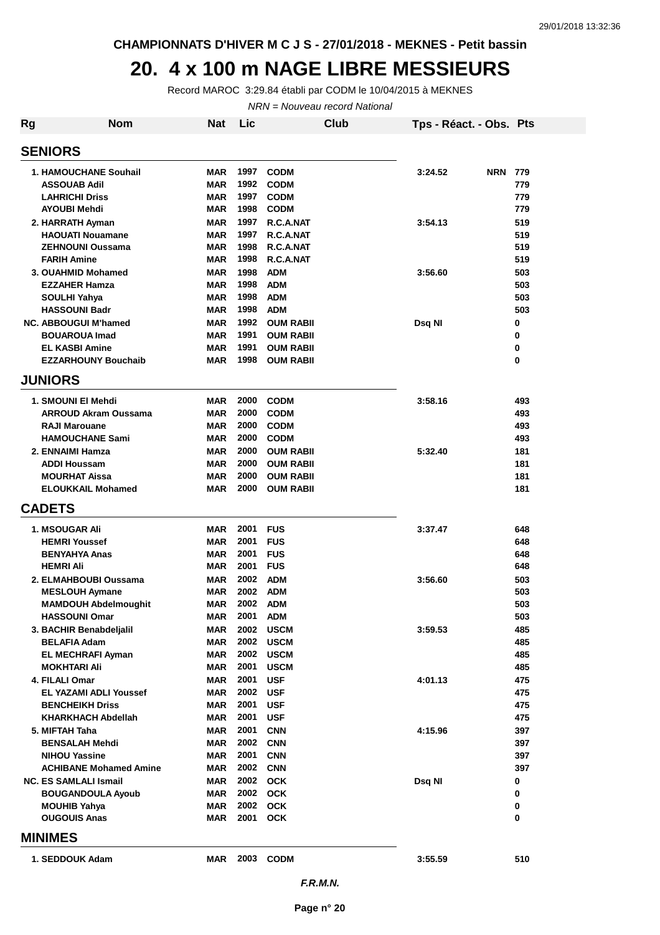#### **20. 4 x 100 m NAGE LIBRE MESSIEURS**

Record MAROC 3:29.84 établi par CODM le 10/04/2015 à MEKNES

NRN = Nouveau record National

| <b>Rg</b> | <b>Nom</b>                                              | <b>Nat</b>               | Lic          |                                      | Club | Tps - Réact. - Obs. Pts |            |            |
|-----------|---------------------------------------------------------|--------------------------|--------------|--------------------------------------|------|-------------------------|------------|------------|
|           | <b>SENIORS</b>                                          |                          |              |                                      |      |                         |            |            |
|           | <b>1. HAMOUCHANE Souhail</b>                            | <b>MAR</b>               | 1997         | <b>CODM</b>                          |      | 3:24.52                 | <b>NRN</b> | 779        |
|           | <b>ASSOUAB Adil</b>                                     | <b>MAR</b>               | 1992         | <b>CODM</b>                          |      |                         |            | 779        |
|           | <b>LAHRICHI Driss</b>                                   | <b>MAR</b>               | 1997         | <b>CODM</b>                          |      |                         |            | 779        |
|           | <b>AYOUBI Mehdi</b>                                     | <b>MAR</b>               | 1998         | <b>CODM</b>                          |      |                         |            | 779        |
|           | 2. HARRATH Ayman                                        | <b>MAR</b>               | 1997         | R.C.A.NAT                            |      | 3:54.13                 |            | 519        |
|           | <b>HAOUATI Nouamane</b><br><b>ZEHNOUNI Oussama</b>      | <b>MAR</b><br><b>MAR</b> | 1997<br>1998 | R.C.A.NAT                            |      |                         |            | 519<br>519 |
|           | <b>FARIH Amine</b>                                      | <b>MAR</b>               | 1998         | R.C.A.NAT<br>R.C.A.NAT               |      |                         |            | 519        |
|           | 3. OUAHMID Mohamed                                      | <b>MAR</b>               | 1998         | <b>ADM</b>                           |      | 3:56.60                 |            | 503        |
|           | <b>EZZAHER Hamza</b>                                    | <b>MAR</b>               | 1998         | <b>ADM</b>                           |      |                         |            | 503        |
|           | <b>SOULHI Yahya</b>                                     | <b>MAR</b>               | 1998         | <b>ADM</b>                           |      |                         |            | 503        |
|           | <b>HASSOUNI Badr</b>                                    | <b>MAR</b>               | 1998         | <b>ADM</b>                           |      |                         |            | 503        |
|           | <b>NC. ABBOUGUI M'hamed</b>                             | <b>MAR</b>               | 1992         | <b>OUM RABII</b>                     |      | Dsq NI                  |            | 0          |
|           | <b>BOUAROUA Imad</b>                                    | <b>MAR</b>               | 1991         | <b>OUM RABII</b>                     |      |                         |            | 0          |
|           | <b>EL KASBI Amine</b>                                   | <b>MAR</b>               | 1991         | <b>OUM RABII</b>                     |      |                         |            | 0          |
|           | <b>EZZARHOUNY Bouchaib</b>                              | <b>MAR</b>               | 1998         | <b>OUM RABII</b>                     |      |                         |            | 0          |
|           | <b>JUNIORS</b>                                          |                          |              |                                      |      |                         |            |            |
|           | 1. SMOUNI EI Mehdi                                      | <b>MAR</b>               | 2000         | <b>CODM</b>                          |      | 3:58.16                 |            | 493        |
|           | <b>ARROUD Akram Oussama</b>                             | <b>MAR</b>               | 2000         | <b>CODM</b>                          |      |                         |            | 493        |
|           | <b>RAJI Marouane</b>                                    | <b>MAR</b>               | 2000         | <b>CODM</b>                          |      |                         |            | 493        |
|           | <b>HAMOUCHANE Sami</b>                                  | <b>MAR</b>               | 2000         | <b>CODM</b>                          |      |                         |            | 493        |
|           | 2. ENNAIMI Hamza                                        | <b>MAR</b>               | 2000         | <b>OUM RABII</b>                     |      | 5:32.40                 |            | 181        |
|           | <b>ADDI Houssam</b>                                     | <b>MAR</b>               | 2000         | <b>OUM RABII</b>                     |      |                         |            | 181        |
|           | <b>MOURHAT Aissa</b><br><b>ELOUKKAIL Mohamed</b>        | <b>MAR</b><br><b>MAR</b> | 2000<br>2000 | <b>OUM RABII</b><br><b>OUM RABII</b> |      |                         |            | 181<br>181 |
|           | <b>CADETS</b>                                           |                          |              |                                      |      |                         |            |            |
|           |                                                         |                          |              |                                      |      |                         |            |            |
|           | <b>1. MSOUGAR Ali</b>                                   | <b>MAR</b>               | 2001         | <b>FUS</b>                           |      | 3:37.47                 |            | 648        |
|           | <b>HEMRI Youssef</b><br><b>BENYAHYA Anas</b>            | <b>MAR</b><br><b>MAR</b> | 2001<br>2001 | <b>FUS</b><br><b>FUS</b>             |      |                         |            | 648<br>648 |
|           | <b>HEMRI Ali</b>                                        | <b>MAR</b>               | 2001         | <b>FUS</b>                           |      |                         |            | 648        |
|           | 2. ELMAHBOUBI Oussama                                   | <b>MAR</b>               | 2002         | <b>ADM</b>                           |      | 3:56.60                 |            | 503        |
|           | <b>MESLOUH Aymane</b>                                   | <b>MAR</b>               | 2002         | <b>ADM</b>                           |      |                         |            | 503        |
|           | <b>MAMDOUH Abdelmoughit</b>                             | MAR                      | 2002         | <b>ADM</b>                           |      |                         |            | 503        |
|           | <b>HASSOUNI Omar</b>                                    | MAR                      | 2001         | <b>ADM</b>                           |      |                         |            | 503        |
|           | 3. BACHIR Benabdeljalil                                 | <b>MAR</b>               | 2002         | <b>USCM</b>                          |      | 3:59.53                 |            | 485        |
|           | <b>BELAFIA Adam</b>                                     | <b>MAR</b>               | 2002         | <b>USCM</b>                          |      |                         |            | 485        |
|           | <b>EL MECHRAFI Ayman</b>                                | <b>MAR</b>               | 2002         | <b>USCM</b>                          |      |                         |            | 485        |
|           | <b>MOKHTARI Ali</b>                                     | <b>MAR</b>               | 2001         | <b>USCM</b>                          |      |                         |            | 485        |
|           | 4. FILALI Omar                                          | <b>MAR</b>               | 2001         | <b>USF</b>                           |      | 4:01.13                 |            | 475        |
|           | <b>EL YAZAMI ADLI Youssef</b><br><b>BENCHEIKH Driss</b> | <b>MAR</b><br><b>MAR</b> | 2002<br>2001 | <b>USF</b><br><b>USF</b>             |      |                         |            | 475<br>475 |
|           | <b>KHARKHACH Abdellah</b>                               | MAR                      | 2001         | <b>USF</b>                           |      |                         |            | 475        |
|           | 5. MIFTAH Taha                                          | <b>MAR</b>               | 2001         | <b>CNN</b>                           |      | 4:15.96                 |            | 397        |
|           | <b>BENSALAH Mehdi</b>                                   | <b>MAR</b>               | 2002         | <b>CNN</b>                           |      |                         |            | 397        |
|           | <b>NIHOU Yassine</b>                                    | <b>MAR</b>               | 2001         | <b>CNN</b>                           |      |                         |            | 397        |
|           | <b>ACHIBANE Mohamed Amine</b>                           | <b>MAR</b>               | 2002 CNN     |                                      |      |                         |            | 397        |
|           | <b>NC. ES SAMLALI Ismail</b>                            | <b>MAR</b>               | 2002 OCK     |                                      |      | Dsq NI                  |            | 0          |
|           | <b>BOUGANDOULA Ayoub</b>                                | <b>MAR</b>               |              | 2002 OCK                             |      |                         |            | 0          |
|           | <b>MOUHIB Yahya</b>                                     | <b>MAR</b>               | 2002         | <b>OCK</b>                           |      |                         |            | 0          |
|           | <b>OUGOUIS Anas</b>                                     | <b>MAR</b>               | 2001         | <b>OCK</b>                           |      |                         |            | 0          |
|           | <b>MINIMES</b>                                          |                          |              |                                      |      |                         |            |            |
|           | 1. SEDDOUK Adam                                         | <b>MAR</b>               | 2003         | <b>CODM</b>                          |      | 3:55.59                 |            | 510        |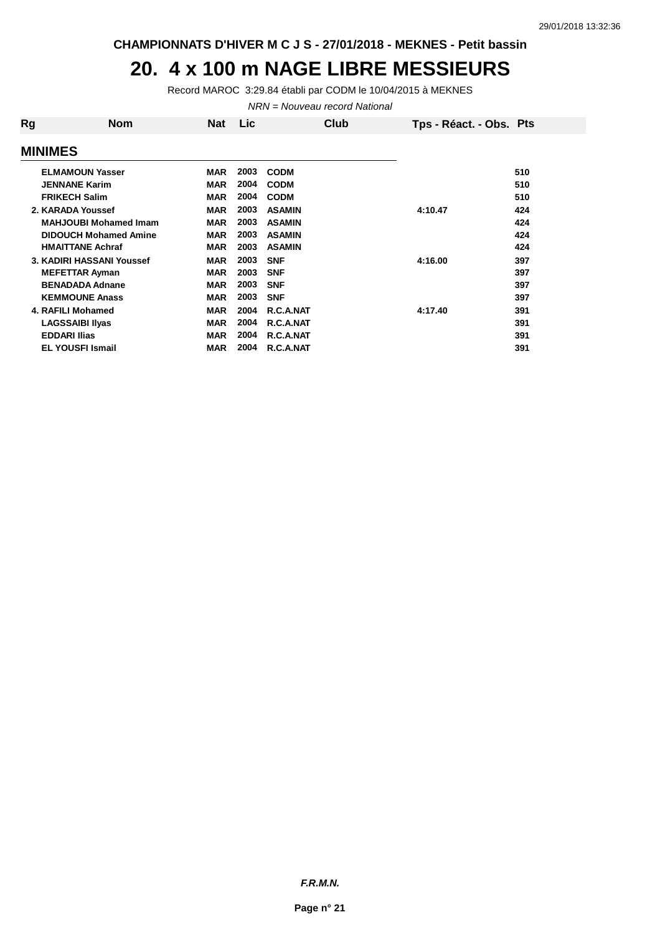#### **20. 4 x 100 m NAGE LIBRE MESSIEURS**

Record MAROC 3:29.84 établi par CODM le 10/04/2015 à MEKNES

NRN = Nouveau record National

| Rg | Nom                          | Nat        | <b>Lic</b> | Club          | Tps - Réact. - Obs. Pts |     |
|----|------------------------------|------------|------------|---------------|-------------------------|-----|
|    | <b>MINIMES</b>               |            |            |               |                         |     |
|    | <b>ELMAMOUN Yasser</b>       | <b>MAR</b> | 2003       | <b>CODM</b>   |                         | 510 |
|    | <b>JENNANE Karim</b>         | <b>MAR</b> | 2004       | <b>CODM</b>   |                         | 510 |
|    | <b>FRIKECH Salim</b>         | <b>MAR</b> | 2004       | <b>CODM</b>   |                         | 510 |
|    | 2. KARADA Youssef            | <b>MAR</b> | 2003       | <b>ASAMIN</b> | 4:10.47                 | 424 |
|    | <b>MAHJOUBI Mohamed Imam</b> | <b>MAR</b> | 2003       | <b>ASAMIN</b> |                         | 424 |
|    | <b>DIDOUCH Mohamed Amine</b> | <b>MAR</b> | 2003       | <b>ASAMIN</b> |                         | 424 |
|    | <b>HMAITTANE Achraf</b>      | <b>MAR</b> | 2003       | <b>ASAMIN</b> |                         | 424 |
|    | 3. KADIRI HASSANI Youssef    | <b>MAR</b> | 2003       | <b>SNF</b>    | 4:16.00                 | 397 |
|    | <b>MEFETTAR Ayman</b>        | <b>MAR</b> | 2003       | <b>SNF</b>    |                         | 397 |
|    | <b>BENADADA Adnane</b>       | <b>MAR</b> | 2003       | <b>SNF</b>    |                         | 397 |
|    | <b>KEMMOUNE Anass</b>        | <b>MAR</b> | 2003       | <b>SNF</b>    |                         | 397 |
|    | 4. RAFILI Mohamed            | <b>MAR</b> | 2004       | R.C.A.NAT     | 4:17.40                 | 391 |
|    | <b>LAGSSAIBI Ilyas</b>       | <b>MAR</b> | 2004       | R.C.A.NAT     |                         | 391 |
|    | <b>EDDARI Ilias</b>          | <b>MAR</b> | 2004       | R.C.A.NAT     |                         | 391 |
|    | <b>EL YOUSFI Ismail</b>      | <b>MAR</b> | 2004       | R.C.A.NAT     |                         | 391 |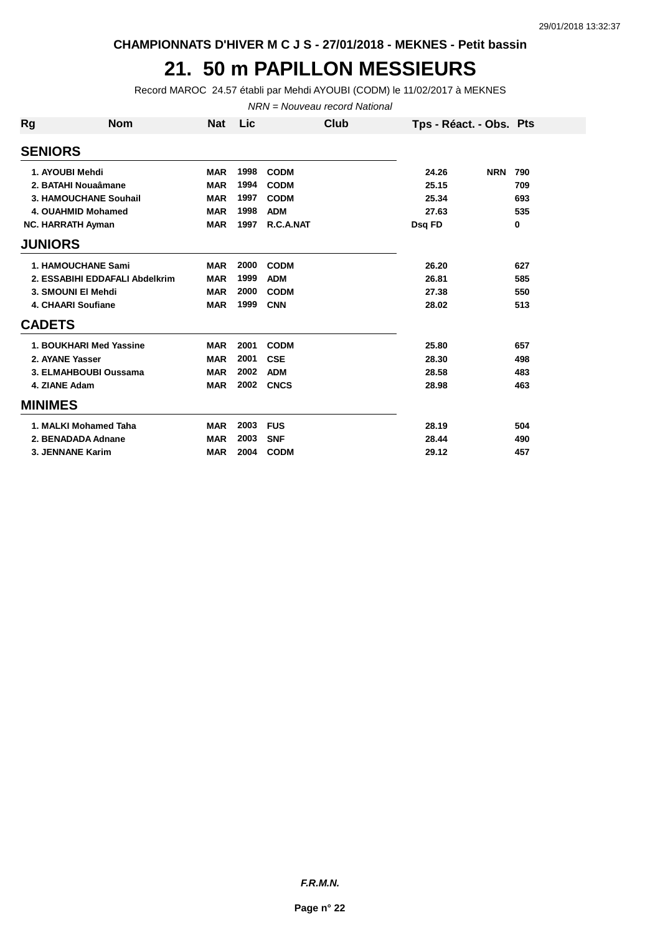**CHAMPIONNATS D'HIVER M C J S - 27/01/2018 - MEKNES - Petit bassin**

## **21. 50 m PAPILLON MESSIEURS**

Record MAROC 24.57 établi par Mehdi AYOUBI (CODM) le 11/02/2017 à MEKNES

NRN = Nouveau record National

| Rg             | <b>Nom</b>                     | <b>Nat</b> | Lic  | Club        | Tps - Réact. - Obs. Pts |            |     |
|----------------|--------------------------------|------------|------|-------------|-------------------------|------------|-----|
| <b>SENIORS</b> |                                |            |      |             |                         |            |     |
|                | 1. AYOUBI Mehdi                | <b>MAR</b> | 1998 | <b>CODM</b> | 24.26                   | <b>NRN</b> | 790 |
|                | 2. BATAHI Nouaâmane            | <b>MAR</b> | 1994 | <b>CODM</b> | 25.15                   |            | 709 |
|                | 3. HAMOUCHANE Souhail          | <b>MAR</b> | 1997 | <b>CODM</b> | 25.34                   |            | 693 |
|                | 4. OUAHMID Mohamed             | <b>MAR</b> | 1998 | <b>ADM</b>  | 27.63                   |            | 535 |
|                | <b>NC. HARRATH Ayman</b>       | <b>MAR</b> | 1997 | R.C.A.NAT   | Dsq FD                  |            | 0   |
| <b>JUNIORS</b> |                                |            |      |             |                         |            |     |
|                | <b>1. HAMOUCHANE Sami</b>      | <b>MAR</b> | 2000 | <b>CODM</b> | 26.20                   |            | 627 |
|                | 2. ESSABIHI EDDAFALI Abdelkrim | <b>MAR</b> | 1999 | <b>ADM</b>  | 26.81                   |            | 585 |
|                | 3. SMOUNI EI Mehdi             | <b>MAR</b> | 2000 | <b>CODM</b> | 27.38                   |            | 550 |
|                | 4. CHAARI Soufiane             | <b>MAR</b> | 1999 | <b>CNN</b>  | 28.02                   |            | 513 |
| <b>CADETS</b>  |                                |            |      |             |                         |            |     |
|                | 1. BOUKHARI Med Yassine        | <b>MAR</b> | 2001 | <b>CODM</b> | 25.80                   |            | 657 |
|                | 2. AYANE Yasser                | <b>MAR</b> | 2001 | <b>CSE</b>  | 28.30                   |            | 498 |
|                | 3. ELMAHBOUBI Oussama          | <b>MAR</b> | 2002 | <b>ADM</b>  | 28.58                   |            | 483 |
|                | 4. ZIANE Adam                  | <b>MAR</b> | 2002 | <b>CNCS</b> | 28.98                   |            | 463 |
| <b>MINIMES</b> |                                |            |      |             |                         |            |     |
|                | 1. MALKI Mohamed Taha          | <b>MAR</b> | 2003 | <b>FUS</b>  | 28.19                   |            | 504 |
|                | 2. BENADADA Adnane             | <b>MAR</b> | 2003 | <b>SNF</b>  | 28.44                   |            | 490 |
|                | 3. JENNANE Karim               | <b>MAR</b> | 2004 | <b>CODM</b> | 29.12                   |            | 457 |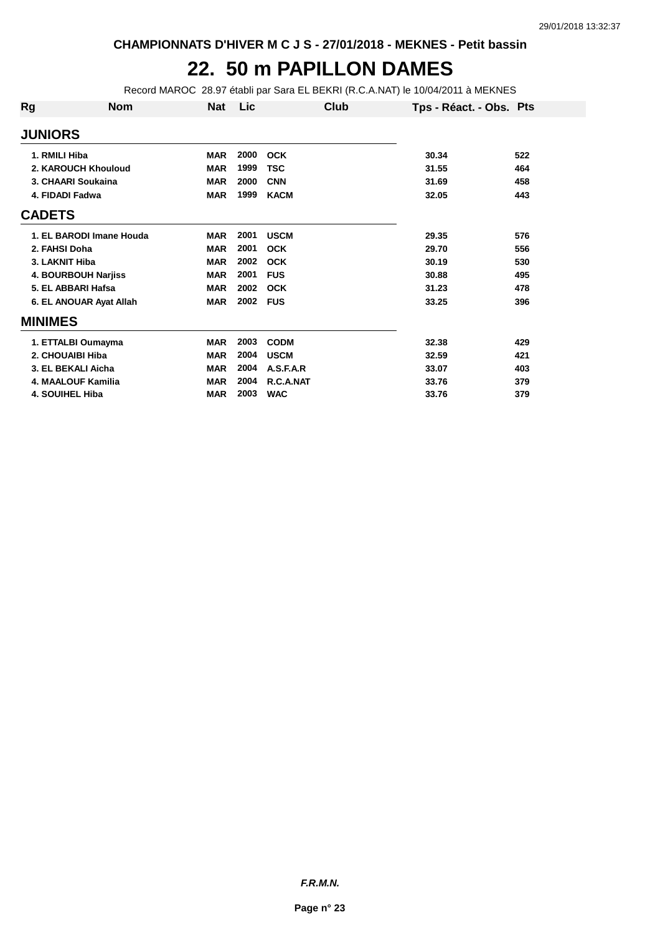#### **22. 50 m PAPILLON DAMES**

Record MAROC 28.97 établi par Sara EL BEKRI (R.C.A.NAT) le 10/04/2011 à MEKNES

| Rg             | <b>Nom</b>               | <b>Nat</b> | Lic  | Club        | Tps - Réact. - Obs. Pts |     |
|----------------|--------------------------|------------|------|-------------|-------------------------|-----|
| <b>JUNIORS</b> |                          |            |      |             |                         |     |
|                | 1. RMILI Hiba            | <b>MAR</b> | 2000 | <b>OCK</b>  | 30.34                   | 522 |
|                | 2. KAROUCH Khouloud      | <b>MAR</b> | 1999 | <b>TSC</b>  | 31.55                   | 464 |
|                | 3. CHAARI Soukaina       | <b>MAR</b> | 2000 | <b>CNN</b>  | 31.69                   | 458 |
|                | 4. FIDADI Fadwa          | <b>MAR</b> | 1999 | <b>KACM</b> | 32.05                   | 443 |
| <b>CADETS</b>  |                          |            |      |             |                         |     |
|                | 1. EL BARODI Imane Houda | <b>MAR</b> | 2001 | <b>USCM</b> | 29.35                   | 576 |
|                | 2. FAHSI Doha            | <b>MAR</b> | 2001 | <b>OCK</b>  | 29.70                   | 556 |
|                | 3. LAKNIT Hiba           | <b>MAR</b> | 2002 | <b>OCK</b>  | 30.19                   | 530 |
|                | 4. BOURBOUH Narjiss      | <b>MAR</b> | 2001 | <b>FUS</b>  | 30.88                   | 495 |
|                | 5. EL ABBARI Hafsa       | <b>MAR</b> | 2002 | <b>OCK</b>  | 31.23                   | 478 |
|                | 6. EL ANOUAR Ayat Allah  | <b>MAR</b> | 2002 | <b>FUS</b>  | 33.25                   | 396 |
| <b>MINIMES</b> |                          |            |      |             |                         |     |
|                | 1. ETTALBI Oumayma       | <b>MAR</b> | 2003 | <b>CODM</b> | 32.38                   | 429 |
|                | 2. CHOUAIBI Hiba         | <b>MAR</b> | 2004 | <b>USCM</b> | 32.59                   | 421 |
|                | 3. EL BEKALI Aicha       | <b>MAR</b> | 2004 | A.S.F.A.R   | 33.07                   | 403 |
|                | 4. MAALOUF Kamilia       | <b>MAR</b> | 2004 | R.C.A.NAT   | 33.76                   | 379 |
|                | <b>4. SOUIHEL Hiba</b>   | <b>MAR</b> | 2003 | <b>WAC</b>  | 33.76                   | 379 |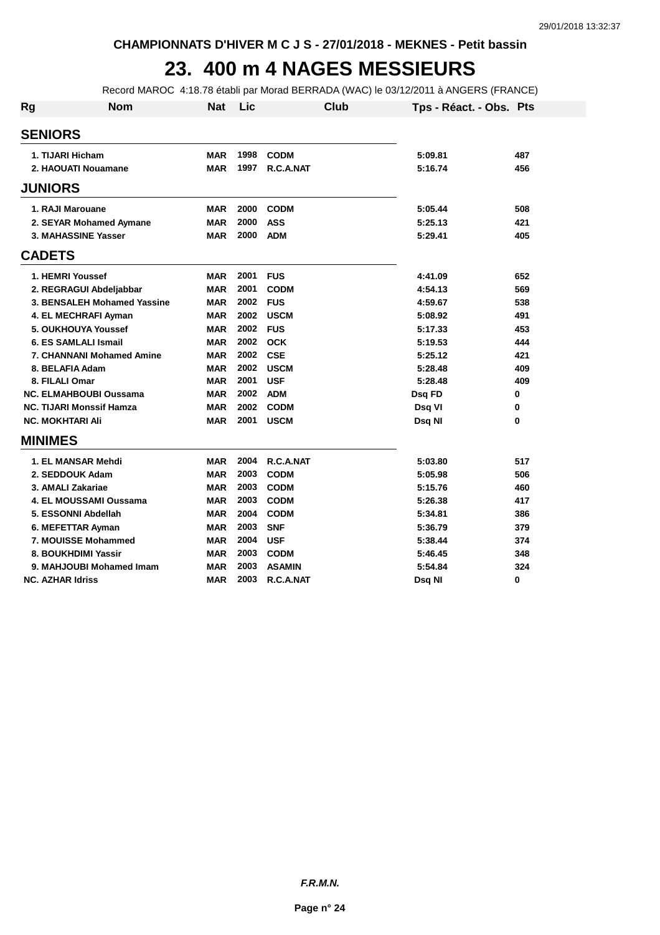## **23. 400 m 4 NAGES MESSIEURS**

Record MAROC 4:18.78 établi par Morad BERRADA (WAC) le 03/12/2011 à ANGERS (FRANCE)

| <b>Rg</b>               | <b>Nom</b>                       | <b>Nat</b> | Lic  | <b>Club</b>   | Tps - Réact. - Obs. Pts |     |
|-------------------------|----------------------------------|------------|------|---------------|-------------------------|-----|
| <b>SENIORS</b>          |                                  |            |      |               |                         |     |
| 1. TIJARI Hicham        |                                  | <b>MAR</b> | 1998 | <b>CODM</b>   | 5:09.81                 | 487 |
|                         | 2. HAOUATI Nouamane              | <b>MAR</b> | 1997 | R.C.A.NAT     | 5:16.74                 | 456 |
| <b>JUNIORS</b>          |                                  |            |      |               |                         |     |
| 1. RAJI Marouane        |                                  | <b>MAR</b> | 2000 | <b>CODM</b>   | 5:05.44                 | 508 |
|                         | 2. SEYAR Mohamed Aymane          | <b>MAR</b> | 2000 | <b>ASS</b>    | 5:25.13                 | 421 |
|                         | 3. MAHASSINE Yasser              | <b>MAR</b> | 2000 | <b>ADM</b>    | 5:29.41                 | 405 |
| <b>CADETS</b>           |                                  |            |      |               |                         |     |
| 1. HEMRI Youssef        |                                  | <b>MAR</b> | 2001 | <b>FUS</b>    | 4:41.09                 | 652 |
|                         | 2. REGRAGUI Abdeljabbar          | <b>MAR</b> | 2001 | <b>CODM</b>   | 4:54.13                 | 569 |
|                         | 3. BENSALEH Mohamed Yassine      | <b>MAR</b> | 2002 | <b>FUS</b>    | 4:59.67                 | 538 |
|                         | 4. EL MECHRAFI Ayman             | <b>MAR</b> | 2002 | <b>USCM</b>   | 5:08.92                 | 491 |
|                         | 5. OUKHOUYA Youssef              | <b>MAR</b> | 2002 | <b>FUS</b>    | 5:17.33                 | 453 |
|                         | 6. ES SAMLALI Ismail             | <b>MAR</b> | 2002 | <b>OCK</b>    | 5:19.53                 | 444 |
|                         | <b>7. CHANNANI Mohamed Amine</b> | <b>MAR</b> | 2002 | <b>CSE</b>    | 5:25.12                 | 421 |
| 8. BELAFIA Adam         |                                  | <b>MAR</b> | 2002 | <b>USCM</b>   | 5:28.48                 | 409 |
| 8. FILALI Omar          |                                  | MAR        | 2001 | <b>USF</b>    | 5:28.48                 | 409 |
|                         | <b>NC. ELMAHBOUBI Oussama</b>    | <b>MAR</b> | 2002 | <b>ADM</b>    | Dsq FD                  | 0   |
|                         | <b>NC. TIJARI Monssif Hamza</b>  | <b>MAR</b> | 2002 | <b>CODM</b>   | Dsq VI                  | 0   |
| <b>NC. MOKHTARI AII</b> |                                  | <b>MAR</b> | 2001 | <b>USCM</b>   | Dsg Nl                  | 0   |
| <b>MINIMES</b>          |                                  |            |      |               |                         |     |
|                         | 1. EL MANSAR Mehdi               | <b>MAR</b> | 2004 | R.C.A.NAT     | 5:03.80                 | 517 |
|                         | 2. SEDDOUK Adam                  | <b>MAR</b> | 2003 | <b>CODM</b>   | 5:05.98                 | 506 |
| 3. AMALI Zakariae       |                                  | <b>MAR</b> | 2003 | <b>CODM</b>   | 5:15.76                 | 460 |
|                         | 4. EL MOUSSAMI Oussama           | <b>MAR</b> | 2003 | <b>CODM</b>   | 5:26.38                 | 417 |
|                         | 5. ESSONNI Abdellah              | MAR        | 2004 | <b>CODM</b>   | 5:34.81                 | 386 |
|                         | 6. MEFETTAR Ayman                | MAR        | 2003 | <b>SNF</b>    | 5:36.79                 | 379 |
|                         | 7. MOUISSE Mohammed              | <b>MAR</b> | 2004 | <b>USF</b>    | 5:38.44                 | 374 |
|                         | 8. BOUKHDIMI Yassir              | <b>MAR</b> | 2003 | <b>CODM</b>   | 5:46.45                 | 348 |
|                         | 9. MAHJOUBI Mohamed Imam         | MAR        | 2003 | <b>ASAMIN</b> | 5:54.84                 | 324 |
| <b>NC. AZHAR Idriss</b> |                                  | <b>MAR</b> | 2003 | R.C.A.NAT     | Dsq NI                  | 0   |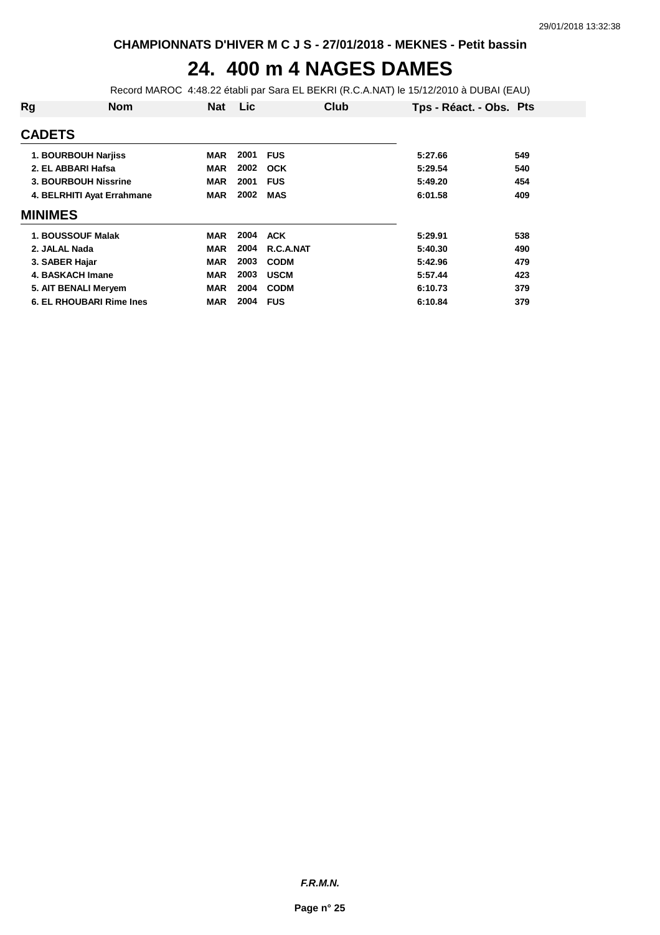## **24. 400 m 4 NAGES DAMES**

Record MAROC 4:48.22 établi par Sara EL BEKRI (R.C.A.NAT) le 15/12/2010 à DUBAI (EAU)

| Rg             | <b>Nom</b>                      | <b>Nat</b> | Lic  | Club        | Tps - Réact. - Obs. Pts |     |
|----------------|---------------------------------|------------|------|-------------|-------------------------|-----|
| <b>CADETS</b>  |                                 |            |      |             |                         |     |
|                | <b>1. BOURBOUH Narjiss</b>      | MAR        | 2001 | <b>FUS</b>  | 5:27.66                 | 549 |
|                | 2. EL ABBARI Hafsa              | <b>MAR</b> | 2002 | <b>OCK</b>  | 5:29.54                 | 540 |
|                | 3. BOURBOUH Nissrine            | <b>MAR</b> | 2001 | <b>FUS</b>  | 5:49.20                 | 454 |
|                | 4. BELRHITI Ayat Errahmane      | <b>MAR</b> | 2002 | <b>MAS</b>  | 6:01.58                 | 409 |
| <b>MINIMES</b> |                                 |            |      |             |                         |     |
|                | 1. BOUSSOUF Malak               | <b>MAR</b> | 2004 | <b>ACK</b>  | 5:29.91                 | 538 |
| 2. JALAL Nada  |                                 | <b>MAR</b> | 2004 | R.C.A.NAT   | 5:40.30                 | 490 |
| 3. SABER Hajar |                                 | <b>MAR</b> | 2003 | <b>CODM</b> | 5:42.96                 | 479 |
|                | 4. BASKACH Imane                | <b>MAR</b> | 2003 | <b>USCM</b> | 5:57.44                 | 423 |
|                | 5. AIT BENALI Meryem            | <b>MAR</b> | 2004 | <b>CODM</b> | 6:10.73                 | 379 |
|                | <b>6. EL RHOUBARI Rime Ines</b> | <b>MAR</b> | 2004 | <b>FUS</b>  | 6:10.84                 | 379 |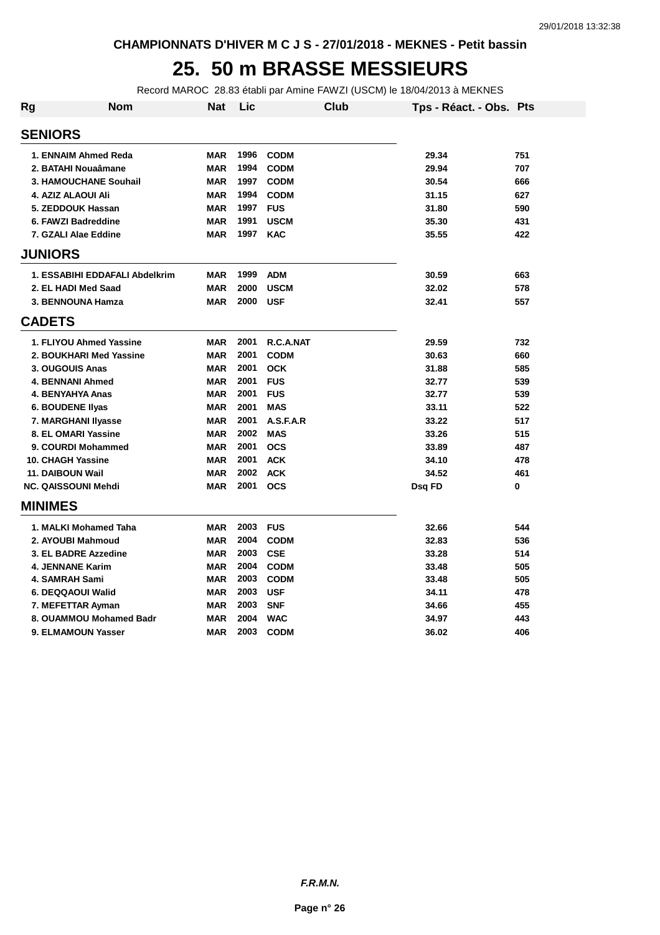## **25. 50 m BRASSE MESSIEURS**

Record MAROC 28.83 établi par Amine FAWZI (USCM) le 18/04/2013 à MEKNES

| Rg             | Nom                            | <b>Nat</b> | Lic  | <b>Club</b> |        | Tps - Réact. - Obs. Pts |     |
|----------------|--------------------------------|------------|------|-------------|--------|-------------------------|-----|
| <b>SENIORS</b> |                                |            |      |             |        |                         |     |
|                | 1. ENNAIM Ahmed Reda           | <b>MAR</b> | 1996 | <b>CODM</b> |        | 29.34                   | 751 |
|                | 2. BATAHI Nouaâmane            | <b>MAR</b> | 1994 | <b>CODM</b> |        | 29.94                   | 707 |
|                | 3. HAMOUCHANE Souhail          | <b>MAR</b> | 1997 | <b>CODM</b> |        | 30.54                   | 666 |
|                | 4. AZIZ ALAOUI Ali             | <b>MAR</b> | 1994 | <b>CODM</b> |        | 31.15                   | 627 |
|                | 5. ZEDDOUK Hassan              | <b>MAR</b> | 1997 | <b>FUS</b>  |        | 31.80                   | 590 |
|                | 6. FAWZI Badreddine            | <b>MAR</b> | 1991 | <b>USCM</b> |        | 35.30                   | 431 |
|                | 7. GZALI Alae Eddine           | <b>MAR</b> | 1997 | <b>KAC</b>  |        | 35.55                   | 422 |
| <b>JUNIORS</b> |                                |            |      |             |        |                         |     |
|                | 1. ESSABIHI EDDAFALI Abdelkrim | <b>MAR</b> | 1999 | <b>ADM</b>  |        | 30.59                   | 663 |
|                | 2. EL HADI Med Saad            | <b>MAR</b> | 2000 | <b>USCM</b> |        | 32.02                   | 578 |
|                | 3. BENNOUNA Hamza              | <b>MAR</b> | 2000 | <b>USF</b>  |        | 32.41                   | 557 |
| <b>CADETS</b>  |                                |            |      |             |        |                         |     |
|                | 1. FLIYOU Ahmed Yassine        | <b>MAR</b> | 2001 | R.C.A.NAT   |        | 29.59                   | 732 |
|                | 2. BOUKHARI Med Yassine        | <b>MAR</b> | 2001 | <b>CODM</b> |        | 30.63                   | 660 |
|                | 3. OUGOUIS Anas                | <b>MAR</b> | 2001 | <b>OCK</b>  |        | 31.88                   | 585 |
|                | 4. BENNANI Ahmed               | <b>MAR</b> | 2001 | <b>FUS</b>  |        | 32.77                   | 539 |
|                | 4. BENYAHYA Anas               | <b>MAR</b> | 2001 | <b>FUS</b>  |        | 32.77                   | 539 |
|                | <b>6. BOUDENE Ilyas</b>        | <b>MAR</b> | 2001 | <b>MAS</b>  |        | 33.11                   | 522 |
|                | 7. MARGHANI Ilyasse            | <b>MAR</b> | 2001 | A.S.F.A.R   |        | 33.22                   | 517 |
|                | 8. EL OMARI Yassine            | <b>MAR</b> | 2002 | <b>MAS</b>  |        | 33.26                   | 515 |
|                | 9. COURDI Mohammed             | <b>MAR</b> | 2001 | <b>OCS</b>  |        | 33.89                   | 487 |
|                | 10. CHAGH Yassine              | <b>MAR</b> | 2001 | <b>ACK</b>  |        | 34.10                   | 478 |
|                | 11. DAIBOUN Wail               | <b>MAR</b> | 2002 | <b>ACK</b>  |        | 34.52                   | 461 |
|                | <b>NC. QAISSOUNI Mehdi</b>     | <b>MAR</b> | 2001 | <b>OCS</b>  | Dsq FD |                         | 0   |
| <b>MINIMES</b> |                                |            |      |             |        |                         |     |
|                | 1. MALKI Mohamed Taha          | <b>MAR</b> | 2003 | <b>FUS</b>  |        | 32.66                   | 544 |
|                | 2. AYOUBI Mahmoud              | <b>MAR</b> | 2004 | <b>CODM</b> |        | 32.83                   | 536 |
|                | 3. EL BADRE Azzedine           | <b>MAR</b> | 2003 | <b>CSE</b>  |        | 33.28                   | 514 |
|                | <b>4. JENNANE Karim</b>        | <b>MAR</b> | 2004 | <b>CODM</b> |        | 33.48                   | 505 |
|                | 4. SAMRAH Sami                 | <b>MAR</b> | 2003 | <b>CODM</b> |        | 33.48                   | 505 |
|                | 6. DEQQAOUI Walid              | <b>MAR</b> | 2003 | <b>USF</b>  |        | 34.11                   | 478 |
|                | 7. MEFETTAR Ayman              | <b>MAR</b> | 2003 | <b>SNF</b>  |        | 34.66                   | 455 |
|                | 8. OUAMMOU Mohamed Badr        | <b>MAR</b> | 2004 | <b>WAC</b>  |        | 34.97                   | 443 |
|                | 9. ELMAMOUN Yasser             | <b>MAR</b> | 2003 | <b>CODM</b> |        | 36.02                   | 406 |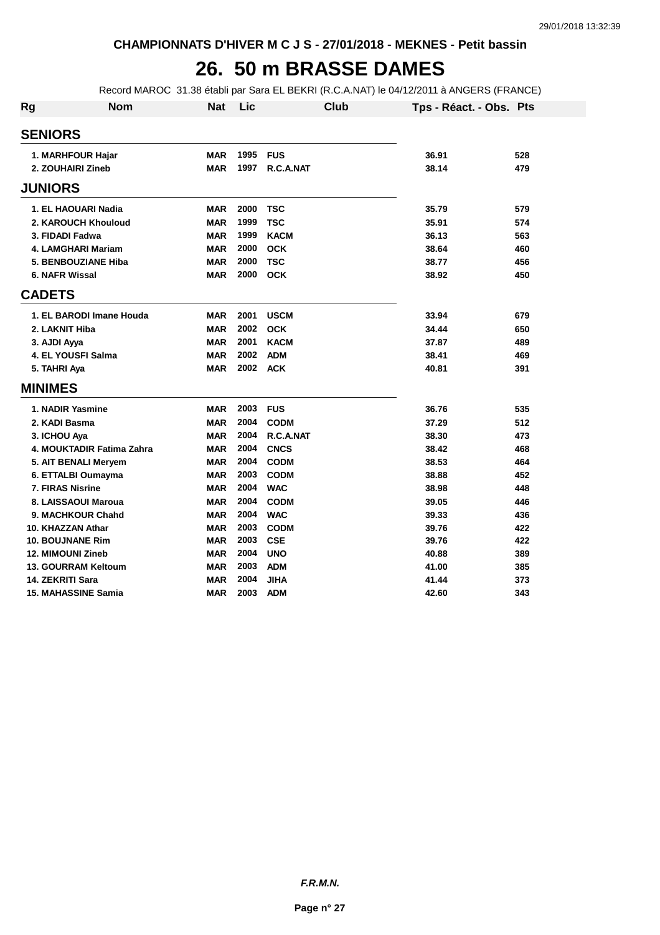#### **26. 50 m BRASSE DAMES**

Record MAROC 31.38 établi par Sara EL BEKRI (R.C.A.NAT) le 04/12/2011 à ANGERS (FRANCE)

| <b>Rg</b> | <b>Nom</b>                 | <b>Nat</b> | Lic  | Club        | Tps - Réact. - Obs. Pts |     |
|-----------|----------------------------|------------|------|-------------|-------------------------|-----|
|           | <b>SENIORS</b>             |            |      |             |                         |     |
|           | 1. MARHFOUR Hajar          | <b>MAR</b> | 1995 | <b>FUS</b>  | 36.91                   | 528 |
|           | 2. ZOUHAIRI Zineb          | <b>MAR</b> | 1997 | R.C.A.NAT   | 38.14                   | 479 |
|           | <b>JUNIORS</b>             |            |      |             |                         |     |
|           | 1. EL HAOUARI Nadia        | <b>MAR</b> | 2000 | <b>TSC</b>  | 35.79                   | 579 |
|           | 2. KAROUCH Khouloud        | <b>MAR</b> | 1999 | <b>TSC</b>  | 35.91                   | 574 |
|           | 3. FIDADI Fadwa            | <b>MAR</b> | 1999 | <b>KACM</b> | 36.13                   | 563 |
|           | 4. LAMGHARI Mariam         | <b>MAR</b> | 2000 | <b>OCK</b>  | 38.64                   | 460 |
|           | 5. BENBOUZIANE Hiba        | <b>MAR</b> | 2000 | <b>TSC</b>  | 38.77                   | 456 |
|           | 6. NAFR Wissal             | <b>MAR</b> | 2000 | <b>OCK</b>  | 38.92                   | 450 |
|           | <b>CADETS</b>              |            |      |             |                         |     |
|           | 1. EL BARODI Imane Houda   | <b>MAR</b> | 2001 | <b>USCM</b> | 33.94                   | 679 |
|           | 2. LAKNIT Hiba             | <b>MAR</b> | 2002 | <b>OCK</b>  | 34.44                   | 650 |
|           | 3. AJDI Ayya               | <b>MAR</b> | 2001 | <b>KACM</b> | 37.87                   | 489 |
|           | 4. EL YOUSFI Salma         | <b>MAR</b> | 2002 | <b>ADM</b>  | 38.41                   | 469 |
|           | 5. TAHRI Aya               | <b>MAR</b> | 2002 | <b>ACK</b>  | 40.81                   | 391 |
|           | <b>MINIMES</b>             |            |      |             |                         |     |
|           | 1. NADIR Yasmine           | <b>MAR</b> | 2003 | <b>FUS</b>  | 36.76                   | 535 |
|           | 2. KADI Basma              | <b>MAR</b> | 2004 | <b>CODM</b> | 37.29                   | 512 |
|           | 3. ICHOU Aya               | <b>MAR</b> | 2004 | R.C.A.NAT   | 38.30                   | 473 |
|           | 4. MOUKTADIR Fatima Zahra  | <b>MAR</b> | 2004 | <b>CNCS</b> | 38.42                   | 468 |
|           | 5. AIT BENALI Meryem       | <b>MAR</b> | 2004 | <b>CODM</b> | 38.53                   | 464 |
|           | 6. ETTALBI Oumayma         | <b>MAR</b> | 2003 | <b>CODM</b> | 38.88                   | 452 |
|           | <b>7. FIRAS Nisrine</b>    | <b>MAR</b> | 2004 | <b>WAC</b>  | 38.98                   | 448 |
|           | 8. LAISSAOUI Maroua        | <b>MAR</b> | 2004 | <b>CODM</b> | 39.05                   | 446 |
|           | 9. MACHKOUR Chahd          | <b>MAR</b> | 2004 | <b>WAC</b>  | 39.33                   | 436 |
|           | 10. KHAZZAN Athar          | <b>MAR</b> | 2003 | <b>CODM</b> | 39.76                   | 422 |
|           | <b>10. BOUJNANE Rim</b>    | <b>MAR</b> | 2003 | <b>CSE</b>  | 39.76                   | 422 |
|           | <b>12. MIMOUNI Zineb</b>   | <b>MAR</b> | 2004 | <b>UNO</b>  | 40.88                   | 389 |
|           | 13. GOURRAM Keltoum        | <b>MAR</b> | 2003 | <b>ADM</b>  | 41.00                   | 385 |
|           | 14. ZEKRITI Sara           | <b>MAR</b> | 2004 | <b>JIHA</b> | 41.44                   | 373 |
|           | <b>15. MAHASSINE Samia</b> | <b>MAR</b> | 2003 | <b>ADM</b>  | 42.60                   | 343 |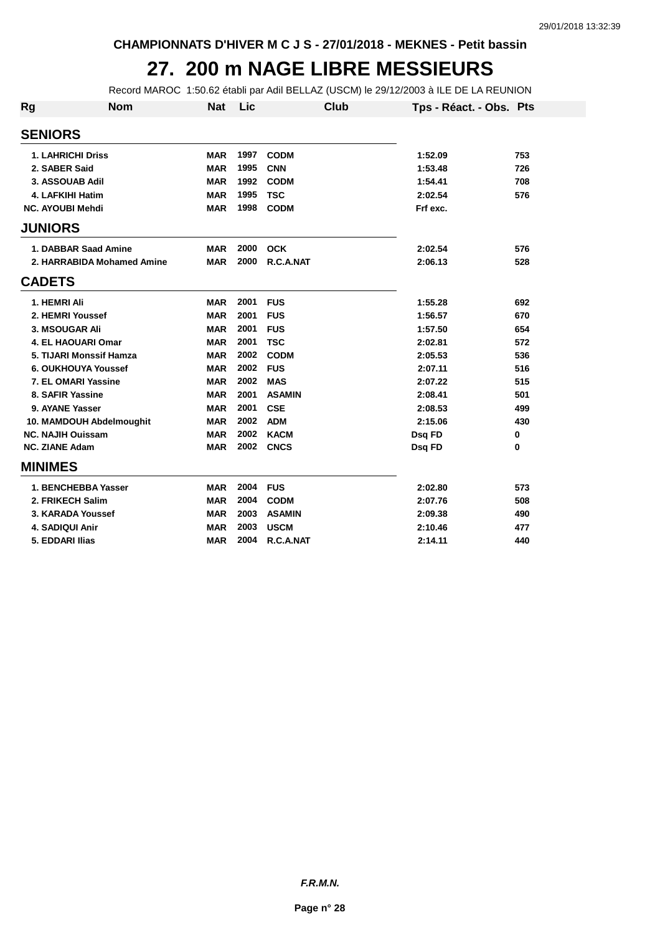#### **27. 200 m NAGE LIBRE MESSIEURS**

Record MAROC 1:50.62 établi par Adil BELLAZ (USCM) le 29/12/2003 à ILE DE LA REUNION

| <b>Rg</b> | <b>Nom</b>                 | <b>Nat</b> | Lic  |               | Club | Tps - Réact. - Obs. Pts |     |
|-----------|----------------------------|------------|------|---------------|------|-------------------------|-----|
|           | <b>SENIORS</b>             |            |      |               |      |                         |     |
|           | 1. LAHRICHI Driss          | <b>MAR</b> | 1997 | <b>CODM</b>   |      | 1:52.09                 | 753 |
|           | 2. SABER Said              | <b>MAR</b> | 1995 | <b>CNN</b>    |      | 1:53.48                 | 726 |
|           | 3. ASSOUAB Adil            | <b>MAR</b> | 1992 | <b>CODM</b>   |      | 1:54.41                 | 708 |
|           | 4. LAFKIHI Hatim           | <b>MAR</b> | 1995 | <b>TSC</b>    |      | 2:02.54                 | 576 |
|           | <b>NC. AYOUBI Mehdi</b>    | <b>MAR</b> | 1998 | <b>CODM</b>   |      | Frf exc.                |     |
|           | <b>JUNIORS</b>             |            |      |               |      |                         |     |
|           | 1. DABBAR Saad Amine       | <b>MAR</b> | 2000 | <b>OCK</b>    |      | 2:02.54                 | 576 |
|           | 2. HARRABIDA Mohamed Amine | <b>MAR</b> | 2000 | R.C.A.NAT     |      | 2:06.13                 | 528 |
|           | <b>CADETS</b>              |            |      |               |      |                         |     |
|           | 1. HEMRI Ali               | <b>MAR</b> | 2001 | <b>FUS</b>    |      | 1:55.28                 | 692 |
|           | 2. HEMRI Youssef           | <b>MAR</b> | 2001 | <b>FUS</b>    |      | 1:56.57                 | 670 |
|           | 3. MSOUGAR Ali             | <b>MAR</b> | 2001 | <b>FUS</b>    |      | 1:57.50                 | 654 |
|           | <b>4. EL HAOUARI Omar</b>  | <b>MAR</b> | 2001 | <b>TSC</b>    |      | 2:02.81                 | 572 |
|           | 5. TIJARI Monssif Hamza    | <b>MAR</b> | 2002 | <b>CODM</b>   |      | 2:05.53                 | 536 |
|           | 6. OUKHOUYA Youssef        | <b>MAR</b> | 2002 | <b>FUS</b>    |      | 2:07.11                 | 516 |
|           | 7. EL OMARI Yassine        | <b>MAR</b> | 2002 | <b>MAS</b>    |      | 2:07.22                 | 515 |
|           | 8. SAFIR Yassine           | <b>MAR</b> | 2001 | <b>ASAMIN</b> |      | 2:08.41                 | 501 |
|           | 9. AYANE Yasser            | <b>MAR</b> | 2001 | <b>CSE</b>    |      | 2:08.53                 | 499 |
|           | 10. MAMDOUH Abdelmoughit   | <b>MAR</b> | 2002 | <b>ADM</b>    |      | 2:15.06                 | 430 |
|           | <b>NC. NAJIH Ouissam</b>   | <b>MAR</b> | 2002 | <b>KACM</b>   |      | Dsq FD                  | 0   |
|           | <b>NC. ZIANE Adam</b>      | <b>MAR</b> | 2002 | <b>CNCS</b>   |      | Dsq FD                  | 0   |
|           | <b>MINIMES</b>             |            |      |               |      |                         |     |
|           | 1. BENCHEBBA Yasser        | <b>MAR</b> | 2004 | <b>FUS</b>    |      | 2:02.80                 | 573 |
|           | 2. FRIKECH Salim           | <b>MAR</b> | 2004 | <b>CODM</b>   |      | 2:07.76                 | 508 |
|           | 3. KARADA Youssef          | <b>MAR</b> | 2003 | <b>ASAMIN</b> |      | 2:09.38                 | 490 |
|           | 4. SADIQUI Anir            | <b>MAR</b> | 2003 | <b>USCM</b>   |      | 2:10.46                 | 477 |
|           | 5. EDDARI Ilias            | <b>MAR</b> | 2004 | R.C.A.NAT     |      | 2:14.11                 | 440 |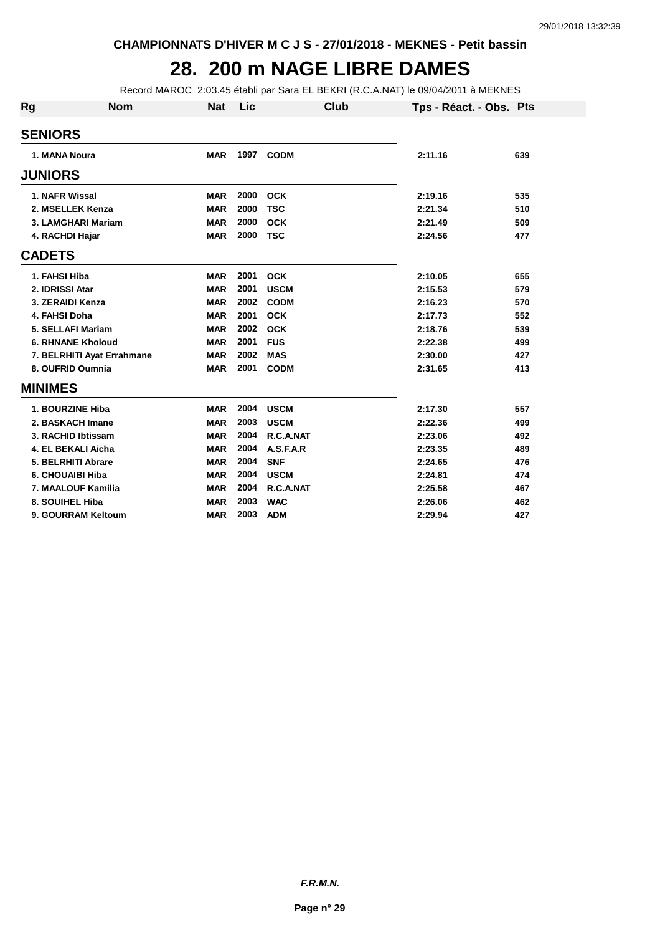## **28. 200 m NAGE LIBRE DAMES**

Record MAROC 2:03.45 établi par Sara EL BEKRI (R.C.A.NAT) le 09/04/2011 à MEKNES

| Rg | <b>Nom</b>                 | <b>Nat</b> | Lic  | Club        | Tps - Réact. - Obs. Pts |     |
|----|----------------------------|------------|------|-------------|-------------------------|-----|
|    | <b>SENIORS</b>             |            |      |             |                         |     |
|    | 1. MANA Noura              | <b>MAR</b> | 1997 | <b>CODM</b> | 2:11.16                 | 639 |
|    | <b>JUNIORS</b>             |            |      |             |                         |     |
|    | 1. NAFR Wissal             | <b>MAR</b> | 2000 | <b>OCK</b>  | 2:19.16                 | 535 |
|    | 2. MSELLEK Kenza           | <b>MAR</b> | 2000 | <b>TSC</b>  | 2:21.34                 | 510 |
|    | 3. LAMGHARI Mariam         | <b>MAR</b> | 2000 | <b>OCK</b>  | 2:21.49                 | 509 |
|    | 4. RACHDI Hajar            | <b>MAR</b> | 2000 | <b>TSC</b>  | 2:24.56                 | 477 |
|    | <b>CADETS</b>              |            |      |             |                         |     |
|    | 1. FAHSI Hiba              | <b>MAR</b> | 2001 | <b>OCK</b>  | 2:10.05                 | 655 |
|    | 2. IDRISSI Atar            | <b>MAR</b> | 2001 | <b>USCM</b> | 2:15.53                 | 579 |
|    | 3. ZERAIDI Kenza           | <b>MAR</b> | 2002 | <b>CODM</b> | 2:16.23                 | 570 |
|    | 4. FAHSI Doha              | <b>MAR</b> | 2001 | <b>OCK</b>  | 2:17.73                 | 552 |
|    | 5. SELLAFI Mariam          | <b>MAR</b> | 2002 | <b>OCK</b>  | 2:18.76                 | 539 |
|    | <b>6. RHNANE Kholoud</b>   | <b>MAR</b> | 2001 | <b>FUS</b>  | 2:22.38                 | 499 |
|    | 7. BELRHITI Ayat Errahmane | <b>MAR</b> | 2002 | <b>MAS</b>  | 2:30.00                 | 427 |
|    | 8. OUFRID Oumnia           | <b>MAR</b> | 2001 | <b>CODM</b> | 2:31.65                 | 413 |
|    | <b>MINIMES</b>             |            |      |             |                         |     |
|    | 1. BOURZINE Hiba           | <b>MAR</b> | 2004 | <b>USCM</b> | 2:17.30                 | 557 |
|    | 2. BASKACH Imane           | <b>MAR</b> | 2003 | <b>USCM</b> | 2:22.36                 | 499 |
|    | 3. RACHID Ibtissam         | <b>MAR</b> | 2004 | R.C.A.NAT   | 2:23.06                 | 492 |
|    | 4. EL BEKALI Aicha         | <b>MAR</b> | 2004 | A.S.F.A.R   | 2:23.35                 | 489 |
|    | 5. BELRHITI Abrare         | <b>MAR</b> | 2004 | <b>SNF</b>  | 2:24.65                 | 476 |
|    | 6. CHOUAIBI Hiba           | <b>MAR</b> | 2004 | <b>USCM</b> | 2:24.81                 | 474 |
|    | 7. MAALOUF Kamilia         | <b>MAR</b> | 2004 | R.C.A.NAT   | 2:25.58                 | 467 |
|    | 8. SOUIHEL Hiba            | <b>MAR</b> | 2003 | <b>WAC</b>  | 2:26.06                 | 462 |
|    | 9. GOURRAM Keltoum         | <b>MAR</b> | 2003 | <b>ADM</b>  | 2:29.94                 | 427 |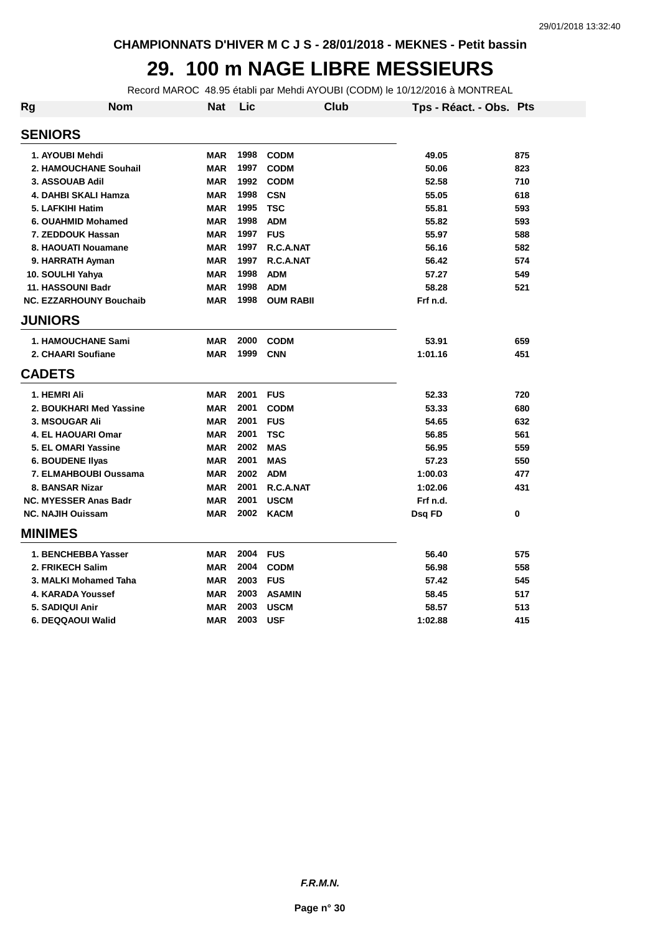#### **29. 100 m NAGE LIBRE MESSIEURS**

Record MAROC 48.95 établi par Mehdi AYOUBI (CODM) le 10/12/2016 à MONTREAL

| Rg                       | <b>Nom</b>                     | <b>Nat</b> | Lic  | <b>Club</b>      | Tps - Réact. - Obs. Pts |     |
|--------------------------|--------------------------------|------------|------|------------------|-------------------------|-----|
| <b>SENIORS</b>           |                                |            |      |                  |                         |     |
| 1. AYOUBI Mehdi          |                                | <b>MAR</b> | 1998 | <b>CODM</b>      | 49.05                   | 875 |
|                          | 2. HAMOUCHANE Souhail          | <b>MAR</b> | 1997 | <b>CODM</b>      | 50.06                   | 823 |
| 3. ASSOUAB Adil          |                                | <b>MAR</b> | 1992 | <b>CODM</b>      | 52.58                   | 710 |
|                          | 4. DAHBI SKALI Hamza           | <b>MAR</b> | 1998 | <b>CSN</b>       | 55.05                   | 618 |
| 5. LAFKIHI Hatim         |                                | <b>MAR</b> | 1995 | <b>TSC</b>       | 55.81                   | 593 |
|                          | 6. OUAHMID Mohamed             | <b>MAR</b> | 1998 | <b>ADM</b>       | 55.82                   | 593 |
|                          | 7. ZEDDOUK Hassan              | <b>MAR</b> | 1997 | <b>FUS</b>       | 55.97                   | 588 |
|                          | 8. HAOUATI Nouamane            | <b>MAR</b> | 1997 | R.C.A.NAT        | 56.16                   | 582 |
|                          | 9. HARRATH Ayman               | <b>MAR</b> | 1997 | R.C.A.NAT        | 56.42                   | 574 |
| 10. SOULHI Yahya         |                                | <b>MAR</b> | 1998 | <b>ADM</b>       | 57.27                   | 549 |
| 11. HASSOUNI Badr        |                                | <b>MAR</b> | 1998 | <b>ADM</b>       | 58.28                   | 521 |
|                          | <b>NC. EZZARHOUNY Bouchaib</b> | <b>MAR</b> | 1998 | <b>OUM RABII</b> | Frf n.d.                |     |
| <b>JUNIORS</b>           |                                |            |      |                  |                         |     |
|                          | <b>1. HAMOUCHANE Sami</b>      | <b>MAR</b> | 2000 | <b>CODM</b>      | 53.91                   | 659 |
|                          | 2. CHAARI Soufiane             | <b>MAR</b> | 1999 | <b>CNN</b>       | 1:01.16                 | 451 |
| <b>CADETS</b>            |                                |            |      |                  |                         |     |
| 1. HEMRI Ali             |                                | <b>MAR</b> | 2001 | <b>FUS</b>       | 52.33                   | 720 |
|                          | 2. BOUKHARI Med Yassine        | <b>MAR</b> | 2001 | <b>CODM</b>      | 53.33                   | 680 |
| 3. MSOUGAR Ali           |                                | <b>MAR</b> | 2001 | <b>FUS</b>       | 54.65                   | 632 |
|                          | <b>4. EL HAOUARI Omar</b>      | <b>MAR</b> | 2001 | <b>TSC</b>       | 56.85                   | 561 |
|                          | 5. EL OMARI Yassine            | <b>MAR</b> | 2002 | <b>MAS</b>       | 56.95                   | 559 |
|                          | <b>6. BOUDENE Ilyas</b>        | <b>MAR</b> | 2001 | <b>MAS</b>       | 57.23                   | 550 |
|                          | 7. ELMAHBOUBI Oussama          | <b>MAR</b> | 2002 | <b>ADM</b>       | 1:00.03                 | 477 |
| 8. BANSAR Nizar          |                                | <b>MAR</b> | 2001 | R.C.A.NAT        | 1:02.06                 | 431 |
|                          | <b>NC. MYESSER Anas Badr</b>   | <b>MAR</b> | 2001 | <b>USCM</b>      | Frf n.d.                |     |
| <b>NC. NAJIH Ouissam</b> |                                | <b>MAR</b> | 2002 | <b>KACM</b>      | Dsq FD                  | 0   |
| <b>MINIMES</b>           |                                |            |      |                  |                         |     |
|                          | 1. BENCHEBBA Yasser            | <b>MAR</b> | 2004 | <b>FUS</b>       | 56.40                   | 575 |
|                          | 2. FRIKECH Salim               | <b>MAR</b> | 2004 | <b>CODM</b>      | 56.98                   | 558 |
|                          | 3. MALKI Mohamed Taha          | <b>MAR</b> | 2003 | <b>FUS</b>       | 57.42                   | 545 |
|                          | 4. KARADA Youssef              | <b>MAR</b> | 2003 | <b>ASAMIN</b>    | 58.45                   | 517 |
| 5. SADIQUI Anir          |                                | <b>MAR</b> | 2003 | <b>USCM</b>      | 58.57                   | 513 |
|                          | 6. DEQQAOUI Walid              | <b>MAR</b> | 2003 | <b>USF</b>       | 1:02.88                 | 415 |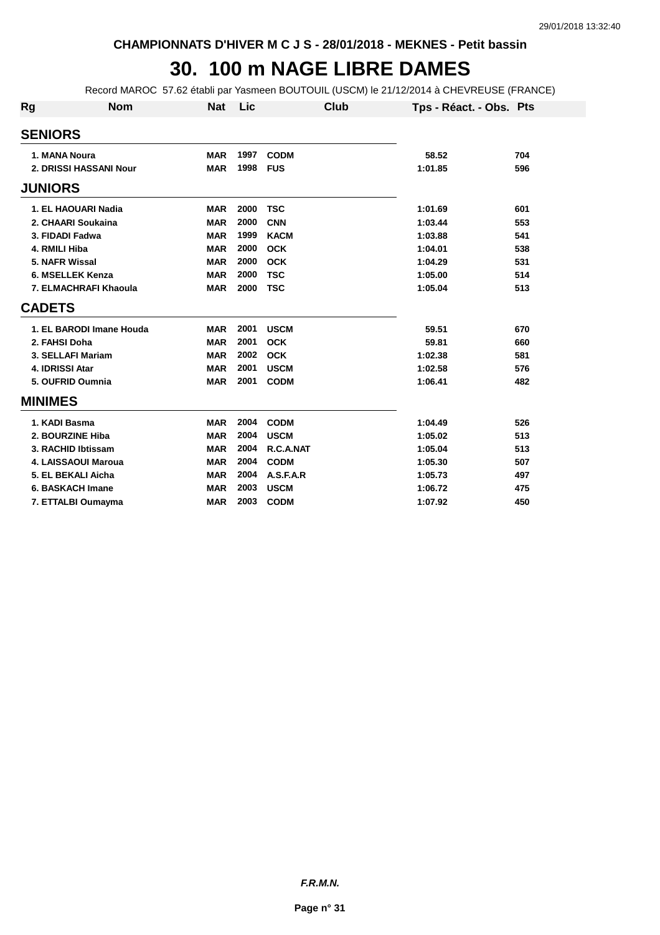## **30. 100 m NAGE LIBRE DAMES**

Record MAROC 57.62 établi par Yasmeen BOUTOUIL (USCM) le 21/12/2014 à CHEVREUSE (FRANCE)

| Rg             | <b>Nom</b>               | <b>Nat</b> | Lic  | Club        | Tps - Réact. - Obs. Pts |     |
|----------------|--------------------------|------------|------|-------------|-------------------------|-----|
| <b>SENIORS</b> |                          |            |      |             |                         |     |
|                | 1. MANA Noura            | <b>MAR</b> | 1997 | <b>CODM</b> | 58.52                   | 704 |
|                | 2. DRISSI HASSANI Nour   | <b>MAR</b> | 1998 | <b>FUS</b>  | 1:01.85                 | 596 |
| <b>JUNIORS</b> |                          |            |      |             |                         |     |
|                | 1. EL HAOUARI Nadia      | <b>MAR</b> | 2000 | <b>TSC</b>  | 1:01.69                 | 601 |
|                | 2. CHAARI Soukaina       | <b>MAR</b> | 2000 | <b>CNN</b>  | 1:03.44                 | 553 |
|                | 3. FIDADI Fadwa          | <b>MAR</b> | 1999 | <b>KACM</b> | 1:03.88                 | 541 |
|                | 4. RMILI Hiba            | <b>MAR</b> | 2000 | <b>OCK</b>  | 1:04.01                 | 538 |
|                | 5. NAFR Wissal           | <b>MAR</b> | 2000 | <b>OCK</b>  | 1:04.29                 | 531 |
|                | 6. MSELLEK Kenza         | <b>MAR</b> | 2000 | <b>TSC</b>  | 1:05.00                 | 514 |
|                | 7. ELMACHRAFI Khaoula    | <b>MAR</b> | 2000 | <b>TSC</b>  | 1:05.04                 | 513 |
| <b>CADETS</b>  |                          |            |      |             |                         |     |
|                | 1. EL BARODI Imane Houda | <b>MAR</b> | 2001 | <b>USCM</b> | 59.51                   | 670 |
|                | 2. FAHSI Doha            | <b>MAR</b> | 2001 | <b>OCK</b>  | 59.81                   | 660 |
|                | 3. SELLAFI Mariam        | <b>MAR</b> | 2002 | <b>OCK</b>  | 1:02.38                 | 581 |
|                | 4. IDRISSI Atar          | <b>MAR</b> | 2001 | <b>USCM</b> | 1:02.58                 | 576 |
|                | 5. OUFRID Oumnia         | <b>MAR</b> | 2001 | <b>CODM</b> | 1:06.41                 | 482 |
| <b>MINIMES</b> |                          |            |      |             |                         |     |
|                | 1. KADI Basma            | <b>MAR</b> | 2004 | <b>CODM</b> | 1:04.49                 | 526 |
|                | 2. BOURZINE Hiba         | <b>MAR</b> | 2004 | <b>USCM</b> | 1:05.02                 | 513 |
|                | 3. RACHID Ibtissam       | <b>MAR</b> | 2004 | R.C.A.NAT   | 1:05.04                 | 513 |
|                | 4. LAISSAOUI Maroua      | <b>MAR</b> | 2004 | <b>CODM</b> | 1:05.30                 | 507 |
|                | 5. EL BEKALI Aicha       | <b>MAR</b> | 2004 | A.S.F.A.R   | 1:05.73                 | 497 |
|                | 6. BASKACH Imane         | <b>MAR</b> | 2003 | <b>USCM</b> | 1:06.72                 | 475 |
|                | 7. ETTALBI Oumayma       | <b>MAR</b> | 2003 | <b>CODM</b> | 1:07.92                 | 450 |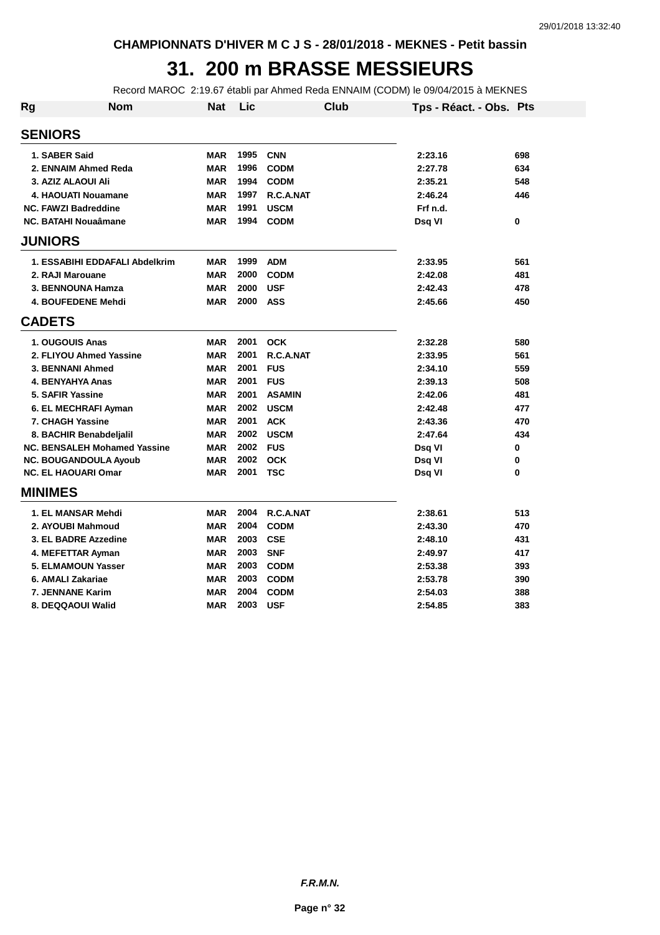## **31. 200 m BRASSE MESSIEURS**

Record MAROC 2:19.67 établi par Ahmed Reda ENNAIM (CODM) le 09/04/2015 à MEKNES

| Rg | <b>Nom</b>                          | <b>Nat</b> | Lic  |               | Club | Tps - Réact. - Obs. Pts |     |
|----|-------------------------------------|------------|------|---------------|------|-------------------------|-----|
|    | <b>SENIORS</b>                      |            |      |               |      |                         |     |
|    | 1. SABER Said                       | <b>MAR</b> | 1995 | <b>CNN</b>    |      | 2:23.16                 | 698 |
|    | 2. ENNAIM Ahmed Reda                | <b>MAR</b> | 1996 | <b>CODM</b>   |      | 2:27.78                 | 634 |
|    | 3. AZIZ ALAOUI Ali                  | <b>MAR</b> | 1994 | <b>CODM</b>   |      | 2:35.21                 | 548 |
|    | 4. HAOUATI Nouamane                 | <b>MAR</b> | 1997 | R.C.A.NAT     |      | 2:46.24                 | 446 |
|    | <b>NC. FAWZI Badreddine</b>         | <b>MAR</b> | 1991 | <b>USCM</b>   |      | Frf n.d.                |     |
|    | <b>NC. BATAHI Nouaâmane</b>         | <b>MAR</b> | 1994 | <b>CODM</b>   |      | Dsg VI                  | 0   |
|    | <b>JUNIORS</b>                      |            |      |               |      |                         |     |
|    | 1. ESSABIHI EDDAFALI Abdelkrim      | <b>MAR</b> | 1999 | <b>ADM</b>    |      | 2:33.95                 | 561 |
|    | 2. RAJI Marouane                    | <b>MAR</b> | 2000 | <b>CODM</b>   |      | 2:42.08                 | 481 |
|    | 3. BENNOUNA Hamza                   | <b>MAR</b> | 2000 | <b>USF</b>    |      | 2:42.43                 | 478 |
|    | 4. BOUFEDENE Mehdi                  | <b>MAR</b> | 2000 | <b>ASS</b>    |      | 2:45.66                 | 450 |
|    | <b>CADETS</b>                       |            |      |               |      |                         |     |
|    | 1. OUGOUIS Anas                     | <b>MAR</b> | 2001 | <b>OCK</b>    |      | 2:32.28                 | 580 |
|    | 2. FLIYOU Ahmed Yassine             | <b>MAR</b> | 2001 | R.C.A.NAT     |      | 2:33.95                 | 561 |
|    | 3. BENNANI Ahmed                    | <b>MAR</b> | 2001 | <b>FUS</b>    |      | 2:34.10                 | 559 |
|    | 4. BENYAHYA Anas                    | <b>MAR</b> | 2001 | <b>FUS</b>    |      | 2:39.13                 | 508 |
|    | 5. SAFIR Yassine                    | <b>MAR</b> | 2001 | <b>ASAMIN</b> |      | 2:42.06                 | 481 |
|    | 6. EL MECHRAFI Ayman                | <b>MAR</b> | 2002 | <b>USCM</b>   |      | 2:42.48                 | 477 |
|    | 7. CHAGH Yassine                    | <b>MAR</b> | 2001 | <b>ACK</b>    |      | 2:43.36                 | 470 |
|    | 8. BACHIR Benabdeljalil             | <b>MAR</b> | 2002 | <b>USCM</b>   |      | 2:47.64                 | 434 |
|    | <b>NC. BENSALEH Mohamed Yassine</b> | <b>MAR</b> | 2002 | <b>FUS</b>    |      | Dsg VI                  | 0   |
|    | <b>NC. BOUGANDOULA Ayoub</b>        | <b>MAR</b> | 2002 | <b>OCK</b>    |      | Dsq VI                  | 0   |
|    | <b>NC. EL HAOUARI Omar</b>          | <b>MAR</b> | 2001 | <b>TSC</b>    |      | Dsq VI                  | 0   |
|    | <b>MINIMES</b>                      |            |      |               |      |                         |     |
|    | 1. EL MANSAR Mehdi                  | <b>MAR</b> | 2004 | R.C.A.NAT     |      | 2:38.61                 | 513 |
|    | 2. AYOUBI Mahmoud                   | <b>MAR</b> | 2004 | <b>CODM</b>   |      | 2:43.30                 | 470 |
|    | 3. EL BADRE Azzedine                | <b>MAR</b> | 2003 | <b>CSE</b>    |      | 2:48.10                 | 431 |
|    | 4. MEFETTAR Ayman                   | <b>MAR</b> | 2003 | <b>SNF</b>    |      | 2:49.97                 | 417 |
|    | <b>5. ELMAMOUN Yasser</b>           | <b>MAR</b> | 2003 | <b>CODM</b>   |      | 2:53.38                 | 393 |
|    | 6. AMALI Zakariae                   | <b>MAR</b> | 2003 | <b>CODM</b>   |      | 2:53.78                 | 390 |
|    | 7. JENNANE Karim                    | <b>MAR</b> | 2004 | <b>CODM</b>   |      | 2:54.03                 | 388 |
|    | 8. DEQQAOUI Walid                   | <b>MAR</b> | 2003 | <b>USF</b>    |      | 2:54.85                 | 383 |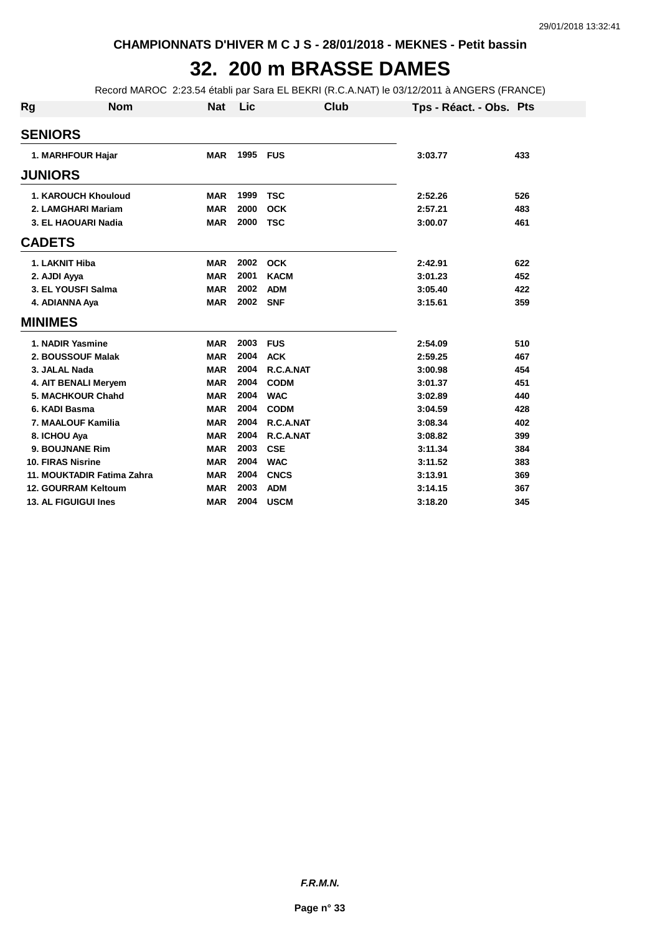## **32. 200 m BRASSE DAMES**

Record MAROC 2:23.54 établi par Sara EL BEKRI (R.C.A.NAT) le 03/12/2011 à ANGERS (FRANCE)

| Rg             | <b>Nom</b>                 | <b>Nat</b> | Lic      | Club        | Tps - Réact. - Obs. Pts |     |
|----------------|----------------------------|------------|----------|-------------|-------------------------|-----|
| <b>SENIORS</b> |                            |            |          |             |                         |     |
|                | 1. MARHFOUR Hajar          | <b>MAR</b> | 1995     | <b>FUS</b>  | 3:03.77                 | 433 |
| <b>JUNIORS</b> |                            |            |          |             |                         |     |
|                | <b>1. KAROUCH Khouloud</b> | <b>MAR</b> | 1999     | <b>TSC</b>  | 2:52.26                 | 526 |
|                | 2. LAMGHARI Mariam         | <b>MAR</b> | 2000     | <b>OCK</b>  | 2:57.21                 | 483 |
|                | 3. EL HAOUARI Nadia        | <b>MAR</b> | 2000     | <b>TSC</b>  | 3:00.07                 | 461 |
| <b>CADETS</b>  |                            |            |          |             |                         |     |
|                | 1. LAKNIT Hiba             | <b>MAR</b> | 2002     | <b>OCK</b>  | 2:42.91                 | 622 |
| 2. AJDI Ayya   |                            | <b>MAR</b> | 2001     | <b>KACM</b> | 3:01.23                 | 452 |
|                | 3. EL YOUSFI Salma         | <b>MAR</b> | 2002     | <b>ADM</b>  | 3:05.40                 | 422 |
|                | 4. ADIANNA Aya             | <b>MAR</b> | 2002 SNF |             | 3:15.61                 | 359 |
| <b>MINIMES</b> |                            |            |          |             |                         |     |
|                | 1. NADIR Yasmine           | <b>MAR</b> | 2003     | <b>FUS</b>  | 2:54.09                 | 510 |
|                | 2. BOUSSOUF Malak          | <b>MAR</b> | 2004     | <b>ACK</b>  | 2:59.25                 | 467 |
|                | 3. JALAL Nada              | <b>MAR</b> | 2004     | R.C.A.NAT   | 3:00.98                 | 454 |
|                | 4. AIT BENALI Meryem       | <b>MAR</b> | 2004     | <b>CODM</b> | 3:01.37                 | 451 |
|                | 5. MACHKOUR Chahd          | <b>MAR</b> | 2004     | <b>WAC</b>  | 3:02.89                 | 440 |
|                | 6. KADI Basma              | <b>MAR</b> | 2004     | <b>CODM</b> | 3:04.59                 | 428 |
|                | 7. MAALOUF Kamilia         | <b>MAR</b> | 2004     | R.C.A.NAT   | 3:08.34                 | 402 |
| 8. ICHOU Aya   |                            | <b>MAR</b> | 2004     | R.C.A.NAT   | 3:08.82                 | 399 |
|                | 9. BOUJNANE Rim            | <b>MAR</b> | 2003     | <b>CSE</b>  | 3:11.34                 | 384 |
|                | <b>10. FIRAS Nisrine</b>   | <b>MAR</b> | 2004     | <b>WAC</b>  | 3:11.52                 | 383 |
|                | 11. MOUKTADIR Fatima Zahra | <b>MAR</b> | 2004     | <b>CNCS</b> | 3:13.91                 | 369 |
|                | <b>12. GOURRAM Keltoum</b> | <b>MAR</b> | 2003     | <b>ADM</b>  | 3:14.15                 | 367 |
|                | 13. AL FIGUIGUI Ines       | <b>MAR</b> | 2004     | <b>USCM</b> | 3:18.20                 | 345 |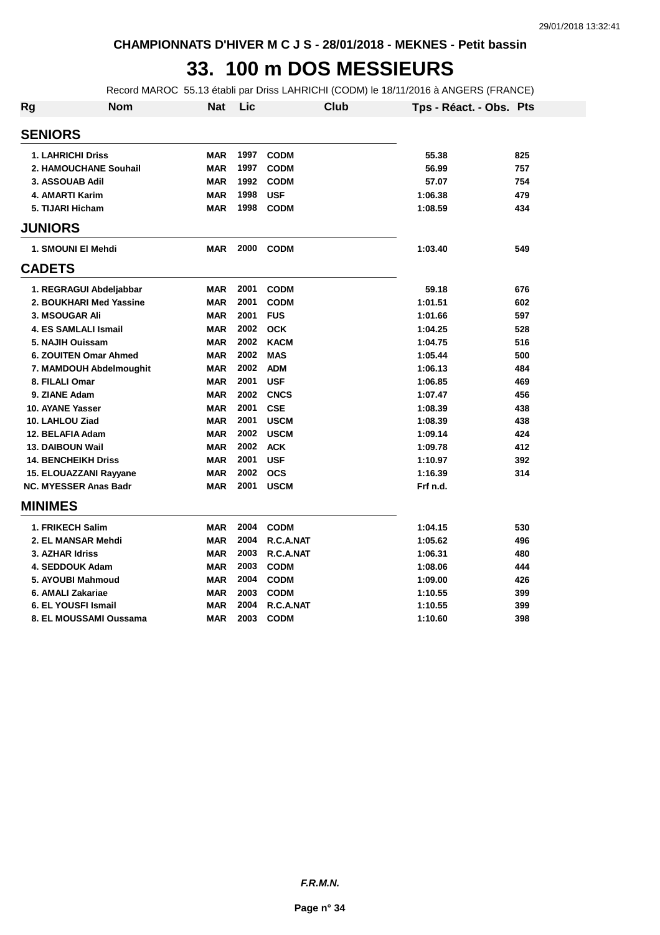### **33. 100 m DOS MESSIEURS**

Record MAROC 55.13 établi par Driss LAHRICHI (CODM) le 18/11/2016 à ANGERS (FRANCE)

| Rg                         | <b>Nom</b>                   | <b>Nat</b> | Lic  | <b>Club</b> | Tps - Réact. - Obs. Pts |     |
|----------------------------|------------------------------|------------|------|-------------|-------------------------|-----|
| <b>SENIORS</b>             |                              |            |      |             |                         |     |
| <b>1. LAHRICHI Driss</b>   |                              | <b>MAR</b> | 1997 | <b>CODM</b> | 55.38                   | 825 |
|                            | 2. HAMOUCHANE Souhail        | <b>MAR</b> | 1997 | <b>CODM</b> | 56.99                   | 757 |
| 3. ASSOUAB Adil            |                              | <b>MAR</b> | 1992 | <b>CODM</b> | 57.07                   | 754 |
| 4. AMARTI Karim            |                              | <b>MAR</b> | 1998 | <b>USF</b>  | 1:06.38                 | 479 |
| 5. TIJARI Hicham           |                              | <b>MAR</b> | 1998 | <b>CODM</b> | 1:08.59                 | 434 |
| <b>JUNIORS</b>             |                              |            |      |             |                         |     |
| 1. SMOUNI EI Mehdi         |                              | <b>MAR</b> | 2000 | <b>CODM</b> | 1:03.40                 | 549 |
| <b>CADETS</b>              |                              |            |      |             |                         |     |
|                            | 1. REGRAGUI Abdeljabbar      | <b>MAR</b> | 2001 | <b>CODM</b> | 59.18                   | 676 |
|                            | 2. BOUKHARI Med Yassine      | <b>MAR</b> | 2001 | <b>CODM</b> | 1:01.51                 | 602 |
| <b>3. MSOUGAR Ali</b>      |                              | <b>MAR</b> | 2001 | <b>FUS</b>  | 1:01.66                 | 597 |
|                            | 4. ES SAMLALI Ismail         | <b>MAR</b> | 2002 | <b>OCK</b>  | 1:04.25                 | 528 |
| 5. NAJIH Ouissam           |                              | <b>MAR</b> | 2002 | <b>KACM</b> | 1:04.75                 | 516 |
|                            | 6. ZOUITEN Omar Ahmed        | <b>MAR</b> | 2002 | <b>MAS</b>  | 1:05.44                 | 500 |
|                            | 7. MAMDOUH Abdelmoughit      | <b>MAR</b> | 2002 | <b>ADM</b>  | 1:06.13                 | 484 |
| 8. FILALI Omar             |                              | <b>MAR</b> | 2001 | <b>USF</b>  | 1:06.85                 | 469 |
| 9. ZIANE Adam              |                              | <b>MAR</b> | 2002 | <b>CNCS</b> | 1:07.47                 | 456 |
| 10. AYANE Yasser           |                              | <b>MAR</b> | 2001 | <b>CSE</b>  | 1:08.39                 | 438 |
| 10. LAHLOU Ziad            |                              | <b>MAR</b> | 2001 | <b>USCM</b> | 1:08.39                 | 438 |
| 12. BELAFIA Adam           |                              | <b>MAR</b> | 2002 | <b>USCM</b> | 1:09.14                 | 424 |
| <b>13. DAIBOUN Wail</b>    |                              | <b>MAR</b> | 2002 | <b>ACK</b>  | 1:09.78                 | 412 |
| <b>14. BENCHEIKH Driss</b> |                              | <b>MAR</b> | 2001 | <b>USF</b>  | 1:10.97                 | 392 |
|                            | 15. ELOUAZZANI Rayyane       | <b>MAR</b> | 2002 | <b>OCS</b>  | 1:16.39                 | 314 |
|                            | <b>NC. MYESSER Anas Badr</b> | <b>MAR</b> | 2001 | <b>USCM</b> | Frf n.d.                |     |
| <b>MINIMES</b>             |                              |            |      |             |                         |     |
| 1. FRIKECH Salim           |                              | <b>MAR</b> | 2004 | <b>CODM</b> | 1:04.15                 | 530 |
|                            | 2. EL MANSAR Mehdi           | <b>MAR</b> | 2004 | R.C.A.NAT   | 1:05.62                 | 496 |
| 3. AZHAR Idriss            |                              | <b>MAR</b> | 2003 | R.C.A.NAT   | 1:06.31                 | 480 |
| 4. SEDDOUK Adam            |                              | <b>MAR</b> | 2003 | <b>CODM</b> | 1:08.06                 | 444 |
|                            | 5. AYOUBI Mahmoud            | <b>MAR</b> | 2004 | <b>CODM</b> | 1:09.00                 | 426 |
| 6. AMALI Zakariae          |                              | <b>MAR</b> | 2003 | <b>CODM</b> | 1:10.55                 | 399 |
| 6. EL YOUSFI Ismail        |                              | <b>MAR</b> | 2004 | R.C.A.NAT   | 1:10.55                 | 399 |
|                            | 8. EL MOUSSAMI Oussama       | <b>MAR</b> | 2003 | <b>CODM</b> | 1:10.60                 | 398 |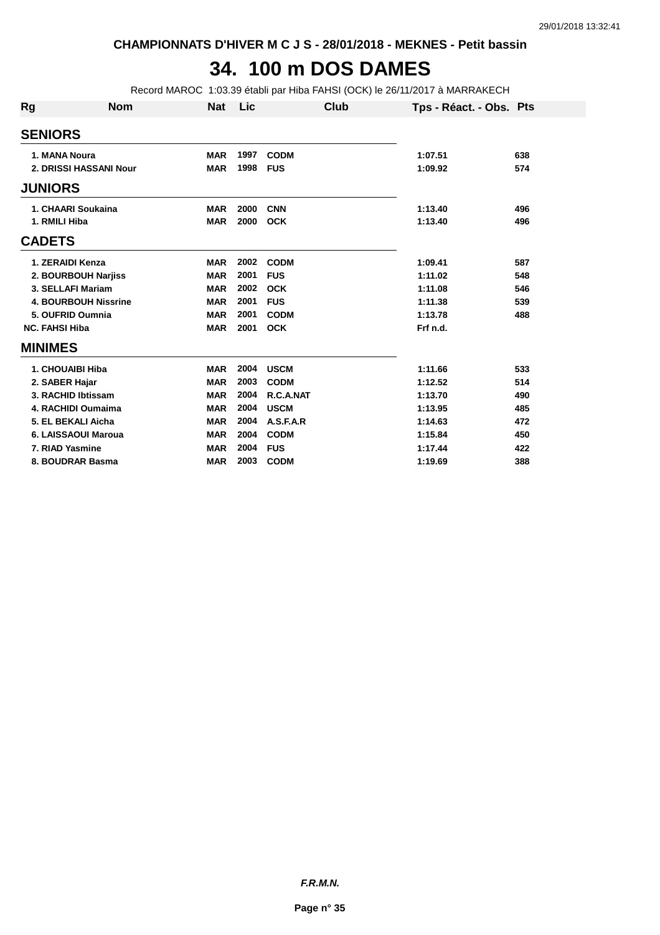#### **34. 100 m DOS DAMES**

Record MAROC 1:03.39 établi par Hiba FAHSI (OCK) le 26/11/2017 à MARRAKECH

| Rg             | <b>Nom</b>                  | <b>Nat</b> | Lic  | Club        | Tps - Réact. - Obs. Pts |     |
|----------------|-----------------------------|------------|------|-------------|-------------------------|-----|
| <b>SENIORS</b> |                             |            |      |             |                         |     |
|                | 1. MANA Noura               | <b>MAR</b> | 1997 | <b>CODM</b> | 1:07.51                 | 638 |
|                | 2. DRISSI HASSANI Nour      | <b>MAR</b> | 1998 | <b>FUS</b>  | 1:09.92                 | 574 |
| <b>JUNIORS</b> |                             |            |      |             |                         |     |
|                | 1. CHAARI Soukaina          | <b>MAR</b> | 2000 | <b>CNN</b>  | 1:13.40                 | 496 |
|                | 1. RMILI Hiba               | <b>MAR</b> | 2000 | <b>OCK</b>  | 1:13.40                 | 496 |
| <b>CADETS</b>  |                             |            |      |             |                         |     |
|                | 1. ZERAIDI Kenza            | <b>MAR</b> | 2002 | <b>CODM</b> | 1:09.41                 | 587 |
|                | 2. BOURBOUH Narjiss         | <b>MAR</b> | 2001 | <b>FUS</b>  | 1:11.02                 | 548 |
|                | 3. SELLAFI Mariam           | <b>MAR</b> | 2002 | <b>OCK</b>  | 1:11.08                 | 546 |
|                | <b>4. BOURBOUH Nissrine</b> | <b>MAR</b> | 2001 | <b>FUS</b>  | 1:11.38                 | 539 |
|                | 5. OUFRID Oumnia            | <b>MAR</b> | 2001 | <b>CODM</b> | 1:13.78                 | 488 |
|                | <b>NC. FAHSI Hiba</b>       | <b>MAR</b> | 2001 | <b>OCK</b>  | Frf n.d.                |     |
| <b>MINIMES</b> |                             |            |      |             |                         |     |
|                | 1. CHOUAIBI Hiba            | <b>MAR</b> | 2004 | <b>USCM</b> | 1:11.66                 | 533 |
|                | 2. SABER Hajar              | <b>MAR</b> | 2003 | <b>CODM</b> | 1:12.52                 | 514 |
|                | 3. RACHID Ibtissam          | <b>MAR</b> | 2004 | R.C.A.NAT   | 1:13.70                 | 490 |
|                | 4. RACHIDI Oumaima          | <b>MAR</b> | 2004 | <b>USCM</b> | 1:13.95                 | 485 |
|                | 5. EL BEKALI Aicha          | <b>MAR</b> | 2004 | A.S.F.A.R   | 1:14.63                 | 472 |
|                | 6. LAISSAOUI Maroua         | <b>MAR</b> | 2004 | <b>CODM</b> | 1:15.84                 | 450 |
|                | 7. RIAD Yasmine             | <b>MAR</b> | 2004 | <b>FUS</b>  | 1:17.44                 | 422 |
|                | 8. BOUDRAR Basma            | <b>MAR</b> | 2003 | <b>CODM</b> | 1:19.69                 | 388 |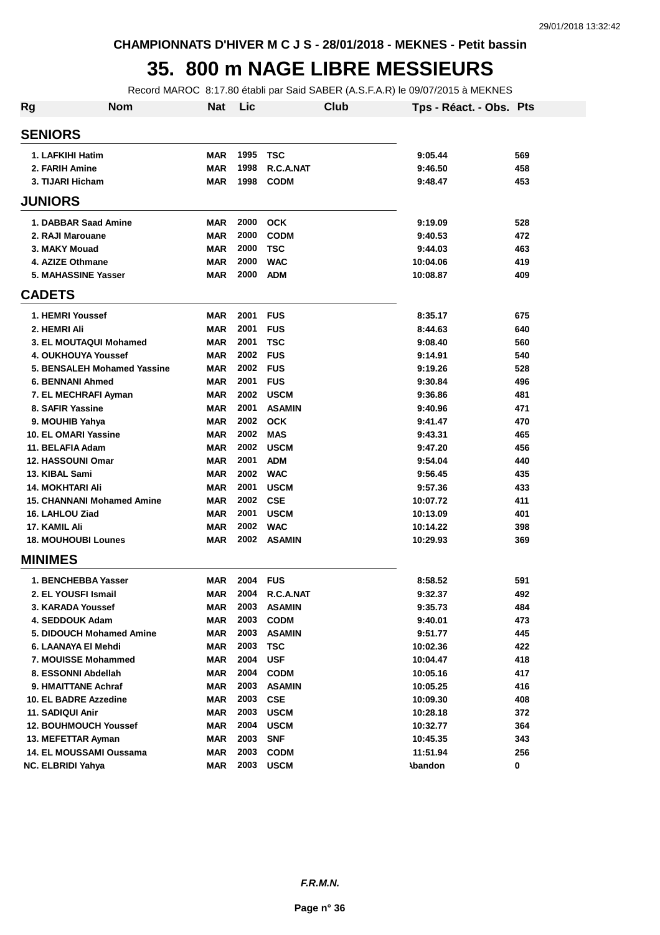#### **35. 800 m NAGE LIBRE MESSIEURS**

Record MAROC 8:17.80 établi par Said SABER (A.S.F.A.R) le 09/07/2015 à MEKNES

| Rg | <b>Nom</b>                        | <b>Nat</b> | Lic  | Club          | Tps - Réact. - Obs. Pts |     |
|----|-----------------------------------|------------|------|---------------|-------------------------|-----|
|    | <b>SENIORS</b>                    |            |      |               |                         |     |
|    | 1. LAFKIHI Hatim                  | <b>MAR</b> | 1995 | TSC           | 9:05.44                 | 569 |
|    | 2. FARIH Amine                    | <b>MAR</b> | 1998 | R.C.A.NAT     | 9:46.50                 | 458 |
|    | 3. TIJARI Hicham                  | <b>MAR</b> | 1998 | <b>CODM</b>   | 9:48.47                 | 453 |
|    | <b>JUNIORS</b>                    |            |      |               |                         |     |
|    | 1. DABBAR Saad Amine              | <b>MAR</b> | 2000 | <b>OCK</b>    | 9:19.09                 | 528 |
|    | 2. RAJI Marouane                  | <b>MAR</b> | 2000 | <b>CODM</b>   | 9:40.53                 | 472 |
|    | 3. MAKY Mouad                     | <b>MAR</b> | 2000 | <b>TSC</b>    | 9:44.03                 | 463 |
|    | 4. AZIZE Othmane                  | <b>MAR</b> | 2000 | <b>WAC</b>    | 10:04.06                | 419 |
|    | <b>5. MAHASSINE Yasser</b>        | <b>MAR</b> | 2000 | <b>ADM</b>    | 10:08.87                | 409 |
|    | <b>CADETS</b>                     |            |      |               |                         |     |
|    | 1. HEMRI Youssef                  | <b>MAR</b> | 2001 | <b>FUS</b>    | 8:35.17                 | 675 |
|    | 2. HEMRI Ali                      | <b>MAR</b> | 2001 | <b>FUS</b>    | 8:44.63                 | 640 |
|    | 3. EL MOUTAQUI Mohamed            | <b>MAR</b> | 2001 | <b>TSC</b>    | 9:08.40                 | 560 |
|    | 4. OUKHOUYA Youssef               | <b>MAR</b> | 2002 | <b>FUS</b>    | 9:14.91                 | 540 |
|    | 5. BENSALEH Mohamed Yassine       | <b>MAR</b> | 2002 | <b>FUS</b>    | 9:19.26                 | 528 |
|    | <b>6. BENNANI Ahmed</b>           | <b>MAR</b> | 2001 | <b>FUS</b>    | 9:30.84                 | 496 |
|    | 7. EL MECHRAFI Ayman              | <b>MAR</b> | 2002 | <b>USCM</b>   | 9:36.86                 | 481 |
|    | 8. SAFIR Yassine                  | <b>MAR</b> | 2001 | <b>ASAMIN</b> | 9:40.96                 | 471 |
|    | 9. MOUHIB Yahya                   | <b>MAR</b> | 2002 | <b>OCK</b>    | 9:41.47                 | 470 |
|    | 10. EL OMARI Yassine              | <b>MAR</b> | 2002 | <b>MAS</b>    | 9:43.31                 | 465 |
|    | 11. BELAFIA Adam                  | <b>MAR</b> | 2002 | <b>USCM</b>   | 9:47.20                 | 456 |
|    | 12. HASSOUNI Omar                 | <b>MAR</b> | 2001 | <b>ADM</b>    | 9:54.04                 | 440 |
|    | 13. KIBAL Sami                    | <b>MAR</b> | 2002 | <b>WAC</b>    | 9:56.45                 | 435 |
|    | <b>14. MOKHTARI Ali</b>           | <b>MAR</b> | 2001 | <b>USCM</b>   | 9:57.36                 | 433 |
|    | <b>15. CHANNANI Mohamed Amine</b> | <b>MAR</b> | 2002 | <b>CSE</b>    | 10:07.72                | 411 |
|    | 16. LAHLOU Ziad                   | <b>MAR</b> | 2001 | <b>USCM</b>   | 10:13.09                | 401 |
|    | 17. KAMIL Ali                     | <b>MAR</b> | 2002 | <b>WAC</b>    | 10:14.22                | 398 |
|    | <b>18. MOUHOUBI Lounes</b>        | <b>MAR</b> | 2002 | <b>ASAMIN</b> | 10:29.93                | 369 |
|    | <b>MINIMES</b>                    |            |      |               |                         |     |
|    | 1. BENCHEBBA Yasser               | <b>MAR</b> | 2004 | <b>FUS</b>    | 8:58.52                 | 591 |
|    | 2. EL YOUSFI Ismail               | <b>MAR</b> | 2004 | R.C.A.NAT     | 9:32.37                 | 492 |
|    | 3. KARADA Youssef                 | MAR        | 2003 | <b>ASAMIN</b> | 9:35.73                 | 484 |
|    | 4. SEDDOUK Adam                   | <b>MAR</b> | 2003 | <b>CODM</b>   | 9:40.01                 | 473 |
|    | 5. DIDOUCH Mohamed Amine          | <b>MAR</b> | 2003 | <b>ASAMIN</b> | 9:51.77                 | 445 |
|    | 6. LAANAYA EI Mehdi               | <b>MAR</b> | 2003 | <b>TSC</b>    | 10:02.36                | 422 |
|    | 7. MOUISSE Mohammed               | <b>MAR</b> | 2004 | <b>USF</b>    | 10:04.47                | 418 |
|    | 8. ESSONNI Abdellah               | <b>MAR</b> | 2004 | <b>CODM</b>   | 10:05.16                | 417 |
|    | 9. HMAITTANE Achraf               | <b>MAR</b> | 2003 | <b>ASAMIN</b> | 10:05.25                | 416 |
|    | 10. EL BADRE Azzedine             | <b>MAR</b> | 2003 | <b>CSE</b>    | 10:09.30                | 408 |
|    | 11. SADIQUI Anir                  | <b>MAR</b> | 2003 | <b>USCM</b>   | 10:28.18                | 372 |
|    | <b>12. BOUHMOUCH Youssef</b>      | <b>MAR</b> | 2004 | <b>USCM</b>   | 10:32.77                | 364 |
|    | 13. MEFETTAR Ayman                | <b>MAR</b> | 2003 | <b>SNF</b>    | 10:45.35                | 343 |
|    | 14. EL MOUSSAMI Oussama           | <b>MAR</b> | 2003 | <b>CODM</b>   | 11:51.94                | 256 |
|    | <b>NC. ELBRIDI Yahya</b>          | <b>MAR</b> | 2003 | <b>USCM</b>   | <b>Abandon</b>          | 0   |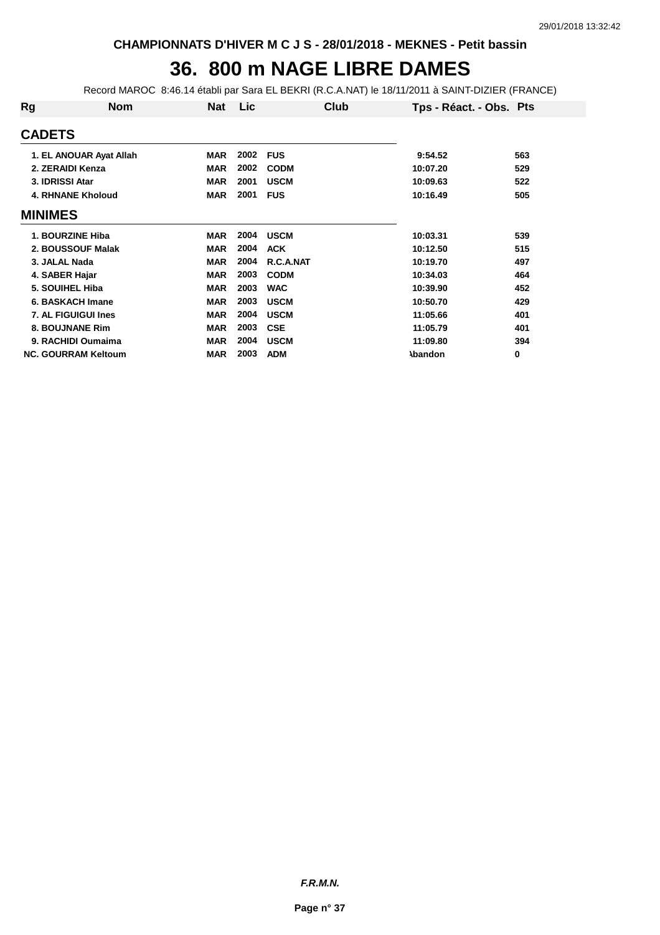## **36. 800 m NAGE LIBRE DAMES**

Record MAROC 8:46.14 établi par Sara EL BEKRI (R.C.A.NAT) le 18/11/2011 à SAINT-DIZIER (FRANCE)

| Rg               | <b>Nom</b>                 | Nat        | Lic  | Club        | Tps - Réact. - Obs. Pts |     |
|------------------|----------------------------|------------|------|-------------|-------------------------|-----|
| <b>CADETS</b>    |                            |            |      |             |                         |     |
|                  | 1. EL ANOUAR Ayat Allah    | <b>MAR</b> | 2002 | <b>FUS</b>  | 9:54.52                 | 563 |
| 2. ZERAIDI Kenza |                            | <b>MAR</b> | 2002 | <b>CODM</b> | 10:07.20                | 529 |
| 3. IDRISSI Atar  |                            | <b>MAR</b> | 2001 | <b>USCM</b> | 10:09.63                | 522 |
|                  | <b>4. RHNANE Kholoud</b>   | <b>MAR</b> | 2001 | <b>FUS</b>  | 10:16.49                | 505 |
| <b>MINIMES</b>   |                            |            |      |             |                         |     |
|                  | <b>1. BOURZINE Hiba</b>    | <b>MAR</b> | 2004 | <b>USCM</b> | 10:03.31                | 539 |
|                  | 2. BOUSSOUF Malak          | <b>MAR</b> | 2004 | <b>ACK</b>  | 10:12.50                | 515 |
| 3. JALAL Nada    |                            | <b>MAR</b> | 2004 | R.C.A.NAT   | 10:19.70                | 497 |
| 4. SABER Hajar   |                            | <b>MAR</b> | 2003 | <b>CODM</b> | 10:34.03                | 464 |
|                  | 5. SOUIHEL Hiba            | <b>MAR</b> | 2003 | <b>WAC</b>  | 10:39.90                | 452 |
|                  | 6. BASKACH Imane           | <b>MAR</b> | 2003 | <b>USCM</b> | 10:50.70                | 429 |
|                  | 7. AL FIGUIGUI Ines        | <b>MAR</b> | 2004 | <b>USCM</b> | 11:05.66                | 401 |
|                  | 8. BOUJNANE Rim            | <b>MAR</b> | 2003 | <b>CSE</b>  | 11:05.79                | 401 |
|                  | 9. RACHIDI Oumaima         | <b>MAR</b> | 2004 | <b>USCM</b> | 11:09.80                | 394 |
|                  | <b>NC. GOURRAM Keltoum</b> | <b>MAR</b> | 2003 | <b>ADM</b>  | <b>\bandon</b>          | 0   |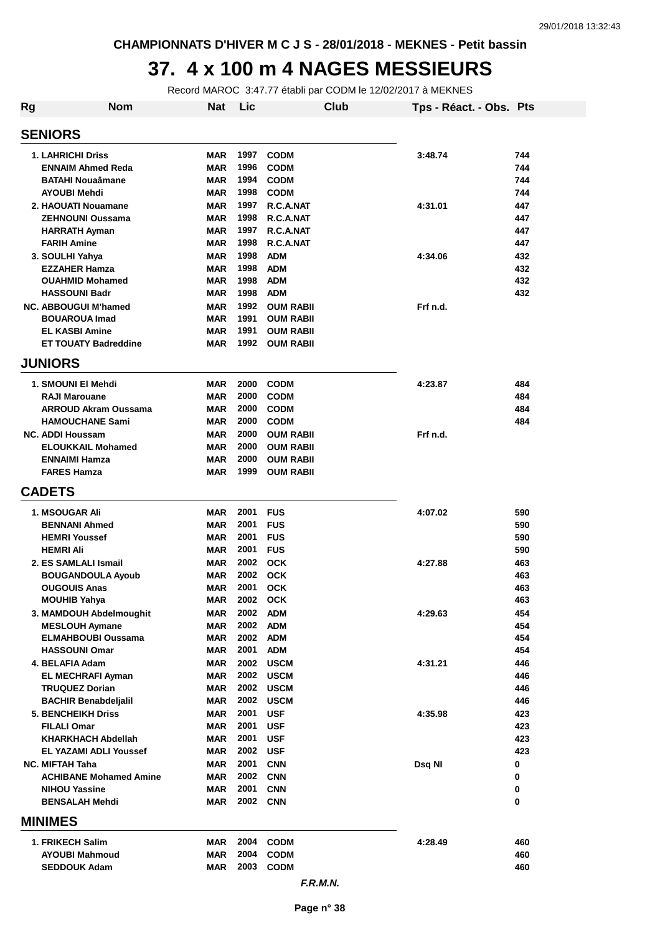### **37. 4 x 100 m 4 NAGES MESSIEURS**

Record MAROC 3:47.77 établi par CODM le 12/02/2017 à MEKNES

| Rg                      | <b>Nom</b>                                      | <b>Nat</b>               | Lic          | Club                     | Tps - Réact. - Obs. Pts |            |
|-------------------------|-------------------------------------------------|--------------------------|--------------|--------------------------|-------------------------|------------|
| <b>SENIORS</b>          |                                                 |                          |              |                          |                         |            |
|                         | <b>1. LAHRICHI Driss</b>                        | <b>MAR</b>               | 1997         | <b>CODM</b>              | 3:48.74                 | 744        |
|                         | <b>ENNAIM Ahmed Reda</b>                        | <b>MAR</b>               | 1996         | <b>CODM</b>              |                         | 744        |
| <b>BATAHI Nouaâmane</b> |                                                 | <b>MAR</b>               | 1994         | <b>CODM</b>              |                         | 744        |
| <b>AYOUBI Mehdi</b>     |                                                 | <b>MAR</b>               | 1998         | <b>CODM</b>              |                         | 744        |
| 2. HAOUATI Nouamane     |                                                 | MAR                      | 1997         | R.C.A.NAT                | 4:31.01                 | 447        |
|                         | <b>ZEHNOUNI Oussama</b>                         | <b>MAR</b>               | 1998         | R.C.A.NAT                |                         | 447        |
|                         | <b>HARRATH Ayman</b>                            | <b>MAR</b>               | 1997         | R.C.A.NAT                |                         | 447        |
|                         | <b>FARIH Amine</b>                              | <b>MAR</b>               | 1998         | R.C.A.NAT                |                         | 447        |
|                         | 3. SOULHI Yahya                                 | <b>MAR</b>               | 1998<br>1998 | <b>ADM</b><br><b>ADM</b> | 4:34.06                 | 432<br>432 |
|                         | <b>EZZAHER Hamza</b><br><b>OUAHMID Mohamed</b>  | <b>MAR</b><br><b>MAR</b> | 1998         | <b>ADM</b>               |                         | 432        |
|                         | <b>HASSOUNI Badr</b>                            | <b>MAR</b>               | 1998         | <b>ADM</b>               |                         | 432        |
|                         | <b>NC. ABBOUGUI M'hamed</b>                     | <b>MAR</b>               | 1992         | <b>OUM RABII</b>         | Frf n.d.                |            |
|                         | <b>BOUAROUA Imad</b>                            | <b>MAR</b>               | 1991         | <b>OUM RABII</b>         |                         |            |
|                         | <b>EL KASBI Amine</b>                           | <b>MAR</b>               | 1991         | <b>OUM RABII</b>         |                         |            |
|                         | <b>ET TOUATY Badreddine</b>                     | <b>MAR</b>               | 1992         | <b>OUM RABII</b>         |                         |            |
| <b>JUNIORS</b>          |                                                 |                          |              |                          |                         |            |
|                         | 1. SMOUNI EI Mehdi                              | <b>MAR</b>               | 2000         | <b>CODM</b>              | 4:23.87                 | 484        |
|                         | <b>RAJI Marouane</b>                            | <b>MAR</b>               | 2000         | <b>CODM</b>              |                         | 484        |
|                         | <b>ARROUD Akram Oussama</b>                     | <b>MAR</b>               | 2000         | <b>CODM</b>              |                         | 484        |
|                         | <b>HAMOUCHANE Sami</b>                          | <b>MAR</b>               | 2000         | <b>CODM</b>              |                         | 484        |
|                         | <b>NC. ADDI Houssam</b>                         | <b>MAR</b>               | 2000         | <b>OUM RABII</b>         | Frf n.d.                |            |
|                         | <b>ELOUKKAIL Mohamed</b>                        | <b>MAR</b>               | 2000         | <b>OUM RABII</b>         |                         |            |
|                         | <b>ENNAIMI Hamza</b>                            | <b>MAR</b>               | 2000         | <b>OUM RABII</b>         |                         |            |
|                         | <b>FARES Hamza</b>                              | <b>MAR</b>               | 1999         | <b>OUM RABII</b>         |                         |            |
| <b>CADETS</b>           |                                                 |                          |              |                          |                         |            |
|                         | <b>1. MSOUGAR Ali</b>                           | <b>MAR</b>               | 2001         | <b>FUS</b>               | 4:07.02                 | 590        |
|                         | <b>BENNANI Ahmed</b>                            | MAR                      | 2001         | <b>FUS</b>               |                         | 590        |
|                         | <b>HEMRI Youssef</b>                            | <b>MAR</b>               | 2001         | <b>FUS</b>               |                         | 590        |
|                         | <b>HEMRI Ali</b>                                | <b>MAR</b>               | 2001         | <b>FUS</b>               |                         | 590        |
|                         | 2. ES SAMLALI Ismail                            | <b>MAR</b>               | 2002         | <b>OCK</b>               | 4:27.88                 | 463        |
|                         | <b>BOUGANDOULA Ayoub</b><br><b>OUGOUIS Anas</b> | MAR<br><b>MAR</b>        | 2002<br>2001 | <b>OCK</b><br><b>OCK</b> |                         | 463<br>463 |
|                         | <b>MOUHIB Yahya</b>                             | MAR                      | 2002         | <b>OCK</b>               |                         | 463        |
|                         | 3. MAMDOUH Abdelmoughit                         | <b>MAR</b>               | 2002         | <b>ADM</b>               | 4:29.63                 | 454        |
|                         | <b>MESLOUH Aymane</b>                           | <b>MAR</b>               | 2002         | <b>ADM</b>               |                         | 454        |
|                         | <b>ELMAHBOUBI Oussama</b>                       | <b>MAR</b>               | 2002         | <b>ADM</b>               |                         | 454        |
|                         | <b>HASSOUNI Omar</b>                            | <b>MAR</b>               | 2001         | <b>ADM</b>               |                         | 454        |
|                         | 4. BELAFIA Adam                                 | <b>MAR</b>               | 2002         | <b>USCM</b>              | 4:31.21                 | 446        |
|                         | <b>EL MECHRAFI Ayman</b>                        | <b>MAR</b>               | 2002         | <b>USCM</b>              |                         | 446        |
|                         | <b>TRUQUEZ Dorian</b>                           | <b>MAR</b>               | 2002         | <b>USCM</b>              |                         | 446        |
|                         | <b>BACHIR Benabdeljalil</b>                     | <b>MAR</b>               | 2002         | <b>USCM</b>              |                         | 446        |
|                         | <b>5. BENCHEIKH Driss</b><br><b>FILALI Omar</b> | <b>MAR</b><br><b>MAR</b> | 2001<br>2001 | <b>USF</b><br><b>USF</b> | 4:35.98                 | 423<br>423 |
|                         | <b>KHARKHACH Abdellah</b>                       | <b>MAR</b>               | 2001         | <b>USF</b>               |                         | 423        |
|                         | <b>EL YAZAMI ADLI Youssef</b>                   | <b>MAR</b>               | 2002 USF     |                          |                         | 423        |
|                         | <b>NC. MIFTAH Taha</b>                          | <b>MAR</b>               | 2001         | <b>CNN</b>               | Dsq NI                  | 0          |
|                         | <b>ACHIBANE Mohamed Amine</b>                   | <b>MAR</b>               | 2002         | <b>CNN</b>               |                         | 0          |
|                         | <b>NIHOU Yassine</b>                            | <b>MAR</b>               | 2001         | <b>CNN</b>               |                         | 0          |
|                         | <b>BENSALAH Mehdi</b>                           | <b>MAR</b>               | 2002 CNN     |                          |                         | $\bf{0}$   |
| <b>MINIMES</b>          |                                                 |                          |              |                          |                         |            |
|                         | 1. FRIKECH Salim                                | <b>MAR</b>               | 2004         | <b>CODM</b>              | 4:28.49                 | 460        |
|                         | <b>AYOUBI Mahmoud</b>                           | <b>MAR</b>               | 2004         | <b>CODM</b>              |                         | 460        |
|                         | <b>SEDDOUK Adam</b>                             | <b>MAR</b>               | 2003         | <b>CODM</b>              |                         | 460        |
|                         |                                                 |                          |              | F.R.M.N.                 |                         |            |

**Page n° 38**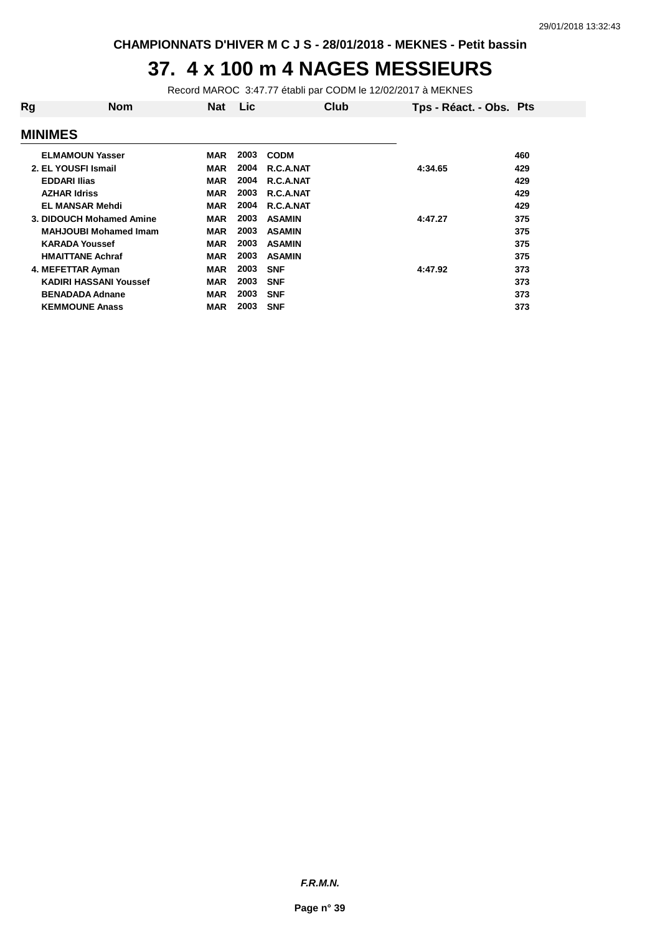#### **37. 4 x 100 m 4 NAGES MESSIEURS**

Record MAROC 3:47.77 établi par CODM le 12/02/2017 à MEKNES

| Rg                       | <b>Nom</b>                    | <b>Nat</b> | Lic  | Club          | Tps - Réact. - Obs. Pts |     |
|--------------------------|-------------------------------|------------|------|---------------|-------------------------|-----|
| <b>MINIMES</b>           |                               |            |      |               |                         |     |
|                          | <b>ELMAMOUN Yasser</b>        | <b>MAR</b> | 2003 | <b>CODM</b>   |                         | 460 |
| 2. EL YOUSFI Ismail      |                               | <b>MAR</b> | 2004 | R.C.A.NAT     | 4:34.65                 | 429 |
| <b>EDDARI Ilias</b>      |                               | <b>MAR</b> | 2004 | R.C.A.NAT     |                         | 429 |
| <b>AZHAR Idriss</b>      |                               | <b>MAR</b> | 2003 | R.C.A.NAT     |                         | 429 |
|                          | <b>EL MANSAR Mehdi</b>        | <b>MAR</b> | 2004 | R.C.A.NAT     |                         | 429 |
| 3. DIDOUCH Mohamed Amine |                               | <b>MAR</b> | 2003 | <b>ASAMIN</b> | 4:47.27                 | 375 |
|                          | <b>MAHJOUBI Mohamed Imam</b>  | <b>MAR</b> | 2003 | <b>ASAMIN</b> |                         | 375 |
|                          | <b>KARADA Youssef</b>         | <b>MAR</b> | 2003 | <b>ASAMIN</b> |                         | 375 |
|                          | <b>HMAITTANE Achraf</b>       | <b>MAR</b> | 2003 | <b>ASAMIN</b> |                         | 375 |
|                          | 4. MEFETTAR Ayman             | <b>MAR</b> | 2003 | <b>SNF</b>    | 4:47.92                 | 373 |
|                          | <b>KADIRI HASSANI Youssef</b> | <b>MAR</b> | 2003 | <b>SNF</b>    |                         | 373 |
|                          | <b>BENADADA Adnane</b>        | <b>MAR</b> | 2003 | <b>SNF</b>    |                         | 373 |
|                          | <b>KEMMOUNE Anass</b>         | <b>MAR</b> | 2003 | <b>SNF</b>    |                         | 373 |